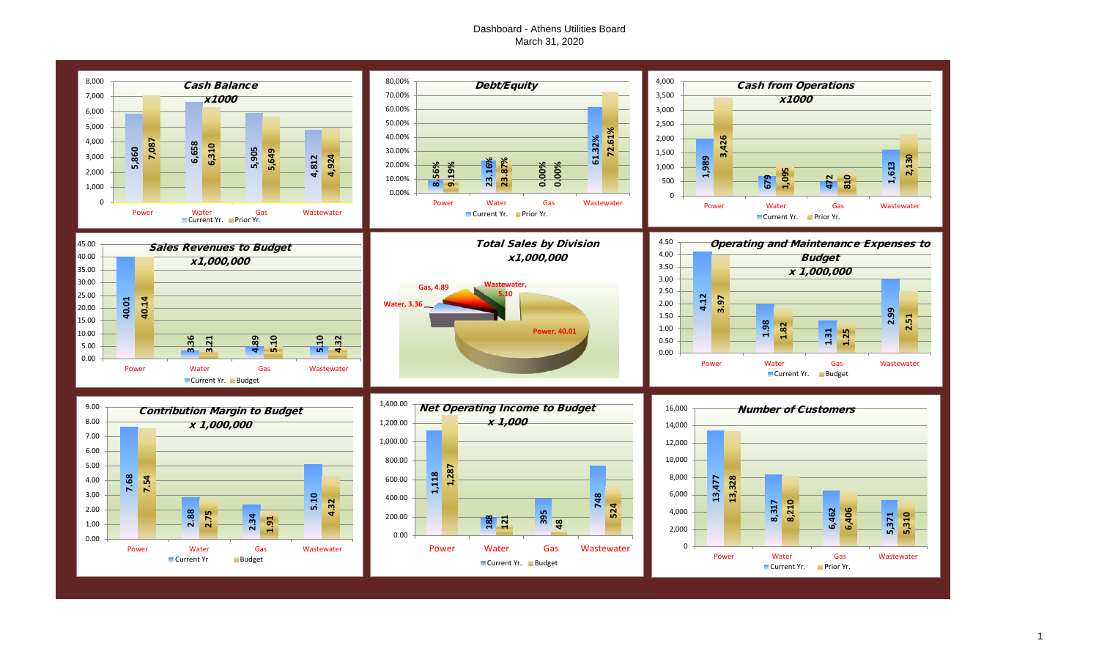#### Dashboard - Athens Utilities Board March 31, 2020

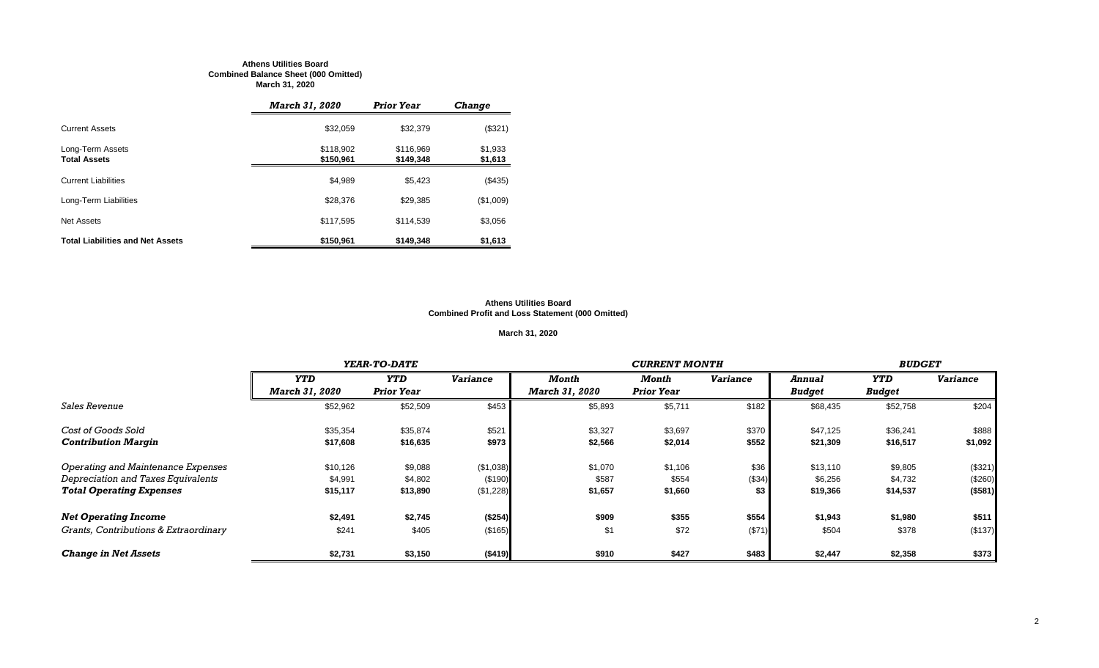#### **Athens Utilities Board Combined Balance Sheet (000 Omitted) March 31, 2020**

|                                         | <b>March 31, 2020</b>  | <b>Prior Year</b>      | <b>Change</b>      |
|-----------------------------------------|------------------------|------------------------|--------------------|
| <b>Current Assets</b>                   | \$32.059               | \$32,379               | (\$321)            |
| Long-Term Assets<br><b>Total Assets</b> | \$118,902<br>\$150,961 | \$116.969<br>\$149,348 | \$1,933<br>\$1,613 |
| <b>Current Liabilities</b>              | \$4,989                | \$5,423                | (\$435)            |
| Long-Term Liabilities                   | \$28,376               | \$29.385               | (\$1,009)          |
| <b>Net Assets</b>                       | \$117,595              | \$114,539              | \$3,056            |
| <b>Total Liabilities and Net Assets</b> | \$150,961              | \$149,348              | \$1,613            |

#### **Athens Utilities Board Combined Profit and Loss Statement (000 Omitted)**

#### **March 31, 2020**

|                                       |                | YEAR-TO-DATE      |                 |                       | <b>BUDGET</b>     |                 |               |               |                 |
|---------------------------------------|----------------|-------------------|-----------------|-----------------------|-------------------|-----------------|---------------|---------------|-----------------|
|                                       | <b>YTD</b>     | <b>YTD</b>        | <b>Variance</b> | Month                 | Month             | <b>Variance</b> | <b>Annual</b> | <b>YTD</b>    | <b>Variance</b> |
|                                       | March 31, 2020 | <b>Prior Year</b> |                 | <b>March 31, 2020</b> | <b>Prior Year</b> |                 | <b>Budget</b> | <b>Budget</b> |                 |
| <i><b>Sales Revenue</b></i>           | \$52,962       | \$52,509          | \$453           | \$5,893               | \$5,711           | \$182           | \$68,435      | \$52,758      | \$204           |
| Cost of Goods Sold                    | \$35,354       | \$35,874          | \$521           | \$3,327               | \$3,697           | \$370           | \$47,125      | \$36,241      | \$888           |
| <b>Contribution Margin</b>            | \$17,608       | \$16,635          | \$973           | \$2,566               | \$2,014           | \$552           | \$21,309      | \$16,517      | \$1,092         |
| Operating and Maintenance Expenses    | \$10,126       | \$9,088           | (\$1,038)       | \$1,070               | \$1,106           | \$36            | \$13,110      | \$9,805       | (\$321)         |
| Depreciation and Taxes Equivalents    | \$4,991        | \$4,802           | (\$190)         | \$587                 | \$554             | (\$34)          | \$6,256       | \$4,732       | (\$260)         |
| <b>Total Operating Expenses</b>       | \$15,117       | \$13,890          | (\$1,228)       | \$1,657               | \$1,660           | \$3             | \$19,366      | \$14,537      | (\$581)         |
| <b>Net Operating Income</b>           | \$2,491        | \$2,745           | (\$254)         | \$909                 | \$355             | \$554           | \$1,943       | \$1,980       | \$511           |
| Grants, Contributions & Extraordinary | \$241          | \$405             | (\$165)         | \$1                   | \$72              | (\$71)          | \$504         | \$378         | (\$137)         |
| <b>Change in Net Assets</b>           | \$2,731        | \$3,150           | (\$419)         | \$910                 | \$427             | \$483           | \$2,447       | \$2,358       | \$373           |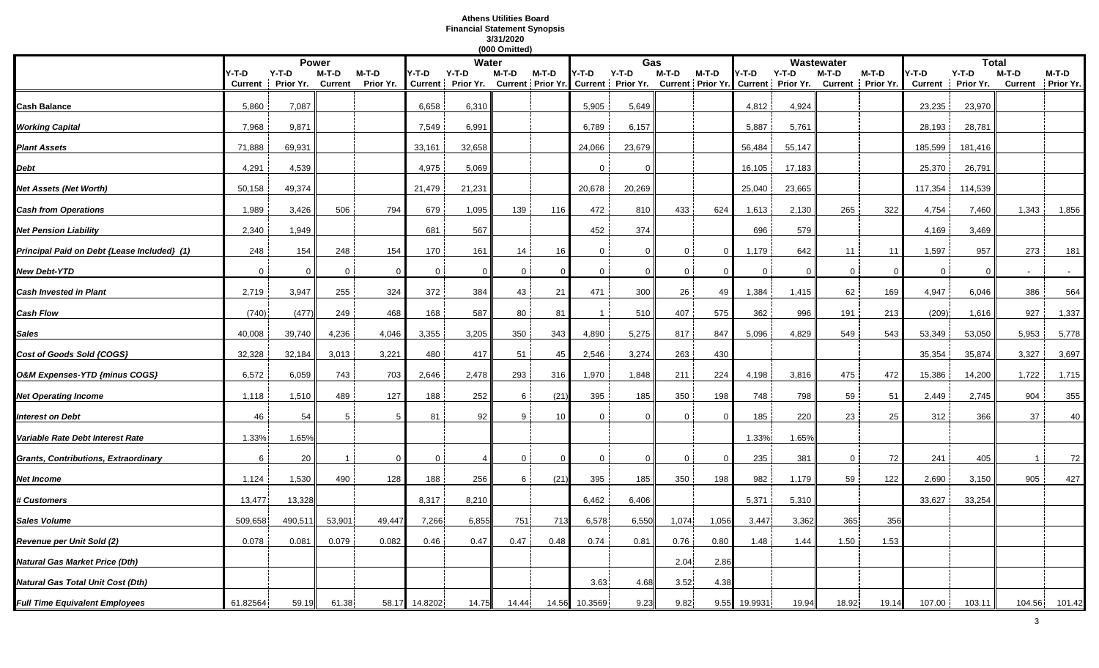#### **Athens Utilities Board Financial Statement Synopsis 3/31/2020 (000 Omitted)**

|                                             |                |           |                |           |              |                              | (000 Omitted)  |                            |                |                              |                |                |                |                                                |                |                   |                |                      |         |                    |
|---------------------------------------------|----------------|-----------|----------------|-----------|--------------|------------------------------|----------------|----------------------------|----------------|------------------------------|----------------|----------------|----------------|------------------------------------------------|----------------|-------------------|----------------|----------------------|---------|--------------------|
|                                             |                |           | <b>Power</b>   |           |              | Water                        |                |                            |                | Gas                          |                |                |                |                                                | Wastewater     |                   |                | <b>Total</b>         |         |                    |
|                                             | Y-T-D          | $Y-T-D$   | M-T-D          | M-T-D     | Y-T-D        | $Y-T-D$<br>Current Prior Yr. | M-T-D          | M-T-D<br>Current Prior Yr. | Y-T-D          | $Y-T-D$<br>Current Prior Yr. | M-T-D          | M-T-D          | Y-T-D          | $Y-T-D$<br>Current Prior Yr. Current Prior Yr. | M-T-D          | M-T-D             | Y-T-D          | $Y-T-D$<br>Prior Yr. | M-T-D   | M-T-D<br>Prior Yr. |
|                                             | <b>Current</b> | Prior Yr. | <b>Current</b> | Prior Yr. |              |                              |                |                            |                |                              |                |                |                |                                                |                | Current Prior Yr. | <b>Current</b> |                      | Current |                    |
| Cash Balance                                | 5,860          | 7,087     |                |           | 6,658        | 6,310                        |                |                            | 5,905          | 5,649                        |                |                | 4,812          | 4,924                                          |                |                   | 23,235         | 23,970               |         |                    |
| <b>Working Capital</b>                      | 7,968          | 9,871     |                |           | 7.549        | 6,991                        |                |                            | 6,789          | 6,157                        |                |                | 5,887          | 5,761                                          |                |                   | 28,193         | 28,781               |         |                    |
| <b>Plant Assets</b>                         | 71,888         | 69,931    |                |           | 33,161       | 32,658                       |                |                            | 24,066         | 23,679                       |                |                | 56,484         | 55,147                                         |                |                   | 185,599        | 181,416              |         |                    |
| Debt                                        | 4,291          | 4,539     |                |           | 4,975        | 5,069                        |                |                            | $\Omega$       | $\Omega$                     |                |                | 16,105         | 17,183                                         |                |                   | 25,370         | 26,791               |         |                    |
| <b>Vet Assets (Net Worth)</b>               | 50,158         | 49,374    |                |           | 21,479       | 21,231                       |                |                            | 20,678         | 20,269                       |                |                | 25,040         | 23,665                                         |                |                   | 117,354        | 114,539              |         |                    |
| <b>Cash from Operations</b>                 | 1,989          | 3,426     | 506            | 794       | 679          | 1,095                        | 139            | 116                        | 472            | 810                          | 433            | 624            | 1,613          | 2,130                                          | 265            | 322               | 4,754          | 7,460                | 1,343   | 1,856              |
| Net Pension Liability                       | 2,340          | 1,949     |                |           | 681          | 567                          |                |                            | 452            | 374                          |                |                | 696            | 579                                            |                |                   | 4,169          | 3,469                |         |                    |
| Principal Paid on Debt {Lease Included} (1) | 248            | 154       | 248            | 154       | 170          | 161                          | 14             | 16                         | $\mathbf{0}$   | $\mathbf 0$                  | $\overline{0}$ | $\overline{0}$ | 1,179          | 642                                            | 11             | 11                | 1,597          | 957                  | 273     | 181                |
| New Debt-YTD                                | $\mathbf 0$    | $\Omega$  | $\overline{0}$ | $\Omega$  | $\mathbf{0}$ | $\mathbf 0$                  | $\overline{0}$ | $\Omega$                   | $\overline{0}$ | $\mathbf 0$                  | 0 <sup>1</sup> |                | $\overline{0}$ | $\Omega$                                       | $\overline{0}$ | $\Omega$          | $\overline{0}$ | $\Omega$             |         | $\sim$             |
| <b>Cash Invested in Plant</b>               | 2,719          | 3,947     | 255            | 324       | 372          | 384                          | 43             | 21                         | 471            | 300                          | 26             | 49             | 1,384          | 1,415                                          | 62             | 169               | 4,947          | 6,046                | 386     | 564                |
| Cash Flow                                   | (740)          | (477)     | 249            | 468       | 168          | 587                          | 80             | 81                         | $\mathbf{1}$   | 510                          | 407            | 575            | 362            | 996                                            | 191            | 213               | (209)          | 1,616                | 927     | 1,337              |
| Sales                                       | 40,008         | 39,740    | 4,236          | 4,046     | 3,355        | 3,205                        | 350            | 343                        | 4,890          | 5,275                        | 817            | 847            | 5,096          | 4,829                                          | 549            | 543               | 53,349         | 53,050               | 5,953   | 5,778              |
| Cost of Goods Sold {COGS}                   | 32,328         | 32,184    | 3,013          | 3,221     | 480          | 417                          | 51             | 45                         | 2,546          | 3,274                        | 263            | 430            |                |                                                |                |                   | 35,354         | 35,874               | 3,327   | 3,697              |
| O&M Expenses-YTD {minus COGS}               | 6,572          | 6,059     | 743            | 703       | 2,646        | 2,478                        | 293            | 316                        | 1,970          | 1,848                        | 211            | 224            | 4,198          | 3,816                                          | 475            | 472               | 15,386         | 14,200               | 1,722   | 1,715              |
| <b>Net Operating Income</b>                 | 1,118          | 1,510     | 489            | 127       | 188          | 252                          | 6              | (21)                       | 395            | 185                          | 350            | 198            | 748            | 798                                            | 59             | 51                | 2,449          | 2,745                | 904     | 355                |
| <b>Interest on Debt</b>                     | 46             | 54        | 5              |           | 81           | 92                           | 9              | 10                         | $\mathbf 0$    | $\Omega$                     | $\Omega$       | $\Omega$       | 185            | 220                                            | 23             | 25                | 312            | 366                  | 37      | 40                 |
| Variable Rate Debt Interest Rate            | 1.33%          | 1.65%     |                |           |              |                              |                |                            |                |                              |                |                | 1.33%          | 1.65%                                          |                |                   |                |                      |         |                    |
| Grants, Contributions, Extraordinary        | 6              | 20        |                | $\Omega$  | 0            | $\overline{\mathcal{L}}$     | $\mathbf 0$    | $\Omega$                   | $\mathbf{0}$   | $\mathbf 0$                  | 0              | $\overline{0}$ | 235            | 381                                            | 0              | 72                | 241            | 405                  | -1      | 72                 |
| Net Income                                  | 1,124          | 1,530     | 490            | 128       | 188          | 256                          | 6              | (21)                       | 395            | 185                          | 350            | 198            | 982            | 1,179                                          | 59             | 122               | 2,690          | 3,150                | 905     | 427                |
| <b>t Customers</b>                          | 13,477         | 13,328    |                |           | 8,317        | 8,210                        |                |                            | 6,462          | 6,406                        |                |                | 5,371          | 5,310                                          |                |                   | 33,627         | 33,254               |         |                    |
| Sales Volume                                | 509,658        | 490,511   | 53,901         | 49,447    | 7,266        | 6,855                        | 751            | 713                        | 6,578          | 6,550                        | 1,074          | 1,056          | 3,447          | 3,362                                          | 365            | 356               |                |                      |         |                    |
| Revenue per Unit Sold (2)                   | 0.078          | 0.081     | 0.079          | 0.082     | 0.46         | 0.47                         | 0.47           | 0.48                       | 0.74           | 0.81                         | 0.76           | 0.80           | 1.48           | 1.44                                           | 1.50           | 1.53              |                |                      |         |                    |
| Natural Gas Market Price (Dth)              |                |           |                |           |              |                              |                |                            |                |                              | 2.04           | 2.86           |                |                                                |                |                   |                |                      |         |                    |
| Natural Gas Total Unit Cost (Dth)           |                |           |                |           |              |                              |                |                            | 3.63           | 4.68                         | 3.52           | 4.38           |                |                                                |                |                   |                |                      |         |                    |
| <b>Full Time Equivalent Employees</b>       | 61.82564       | 59.19     | 61.38          | 58.17     | 14.8202      | 14.75                        | 14.44          | 14.56                      | 10.3569        | 9.23                         | 9.82           | 9.55           | 19.9931        | 19.94                                          | 18.92          | 19.14             | 107.00         | 103.11               | 104.56  | 101.42             |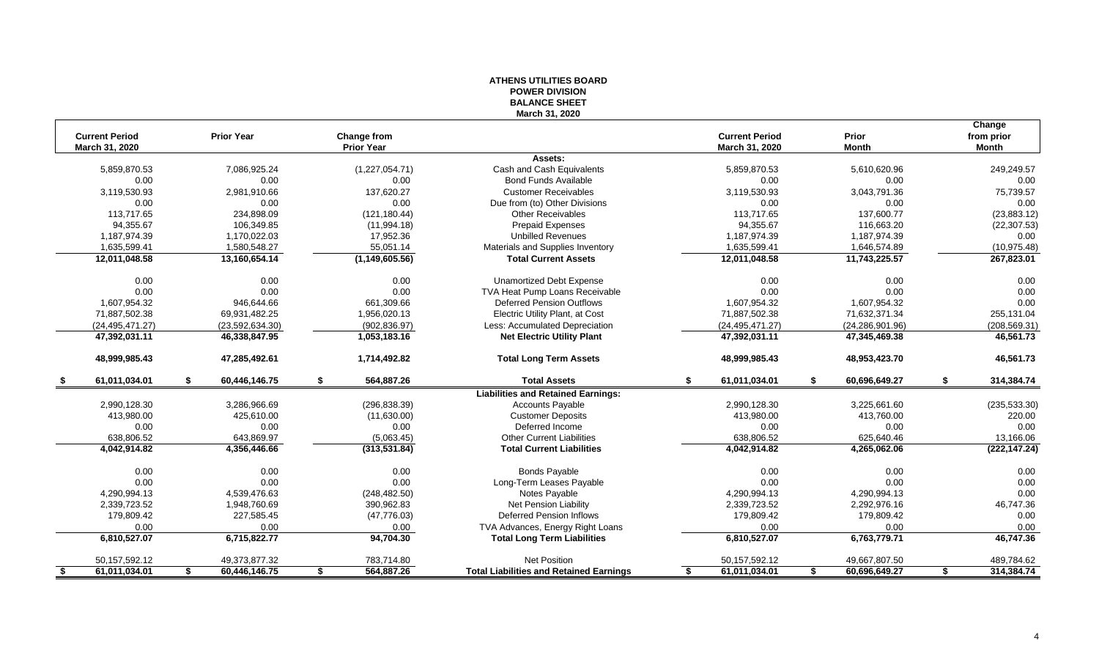|      |                                         |                     |                                         |                  | <b>PUWER DIVISION</b><br><b>BALANCE SHEET</b>  |    |                                         |    |                       |                                      |
|------|-----------------------------------------|---------------------|-----------------------------------------|------------------|------------------------------------------------|----|-----------------------------------------|----|-----------------------|--------------------------------------|
|      |                                         |                     |                                         |                  | March 31, 2020                                 |    |                                         |    |                       |                                      |
|      | <b>Current Period</b><br>March 31, 2020 | <b>Prior Year</b>   | <b>Change from</b><br><b>Prior Year</b> |                  |                                                |    | <b>Current Period</b><br>March 31, 2020 |    | Prior<br><b>Month</b> | Change<br>from prior<br><b>Month</b> |
|      |                                         |                     |                                         |                  | Assets:                                        |    |                                         |    |                       |                                      |
|      | 5,859,870.53                            | 7,086,925.24        |                                         | (1,227,054.71)   | Cash and Cash Equivalents                      |    | 5,859,870.53                            |    | 5,610,620.96          | 249,249.57                           |
|      | 0.00                                    | 0.00                |                                         | 0.00             | <b>Bond Funds Available</b>                    |    | 0.00                                    |    | 0.00                  | 0.00                                 |
|      | 3,119,530.93                            | 2,981,910.66        |                                         | 137,620.27       | <b>Customer Receivables</b>                    |    | 3,119,530.93                            |    | 3,043,791.36          | 75,739.57                            |
|      | 0.00                                    | 0.00                |                                         | 0.00             | Due from (to) Other Divisions                  |    | 0.00                                    |    | 0.00                  | 0.00                                 |
|      | 113.717.65                              | 234,898.09          |                                         | (121, 180.44)    | <b>Other Receivables</b>                       |    | 113,717.65                              |    | 137,600.77            | (23, 883.12)                         |
|      | 94,355.67                               | 106,349.85          |                                         | (11, 994.18)     | <b>Prepaid Expenses</b>                        |    | 94,355.67                               |    | 116,663.20            | (22, 307.53)                         |
|      | 1,187,974.39                            | 1,170,022.03        |                                         | 17,952.36        | <b>Unbilled Revenues</b>                       |    | 1,187,974.39                            |    | 1,187,974.39          | 0.00                                 |
|      | 1,635,599.41                            | 1,580,548.27        |                                         | 55,051.14        | Materials and Supplies Inventory               |    | 1,635,599.41                            |    | 1,646,574.89          | (10, 975.48)                         |
|      | 12,011,048.58                           | 13,160,654.14       |                                         | (1, 149, 605.56) | <b>Total Current Assets</b>                    |    | 12,011,048.58                           |    | 11,743,225.57         | 267,823.01                           |
|      | 0.00                                    | 0.00                |                                         | 0.00             | <b>Unamortized Debt Expense</b>                |    | 0.00                                    |    | 0.00                  | 0.00                                 |
|      | 0.00                                    | 0.00                |                                         | 0.00             | TVA Heat Pump Loans Receivable                 |    | 0.00                                    |    | 0.00                  | 0.00                                 |
|      | 1,607,954.32                            | 946,644.66          |                                         | 661,309.66       | <b>Deferred Pension Outflows</b>               |    | 1,607,954.32                            |    | 1,607,954.32          | 0.00                                 |
|      | 71,887,502.38                           | 69,931,482.25       |                                         | 1,956,020.13     | <b>Electric Utility Plant, at Cost</b>         |    | 71,887,502.38                           |    | 71,632,371.34         | 255,131.04                           |
|      | (24.495.471.27)                         | (23,592,634.30)     |                                         | (902, 836.97)    | Less: Accumulated Depreciation                 |    | (24, 495, 471.27)                       |    | (24, 286, 901.96)     | (208, 569.31)                        |
|      | 47,392,031.11                           | 46,338,847.95       |                                         | 1,053,183.16     | <b>Net Electric Utility Plant</b>              |    | 47,392,031.11                           |    | 47,345,469.38         | 46,561.73                            |
|      | 48,999,985.43                           | 47,285,492.61       |                                         | 1,714,492.82     | <b>Total Long Term Assets</b>                  |    | 48,999,985.43                           |    | 48,953,423.70         | 46,561.73                            |
| - \$ | 61,011,034.01                           | 60,446,146.75<br>S. | \$                                      | 564,887.26       | <b>Total Assets</b>                            | \$ | 61,011,034.01                           | S. | 60,696,649.27         | \$<br>314,384.74                     |
|      |                                         |                     |                                         |                  | <b>Liabilities and Retained Earnings:</b>      |    |                                         |    |                       |                                      |
|      | 2,990,128.30                            | 3,286,966.69        |                                         | (296, 838.39)    | <b>Accounts Payable</b>                        |    | 2,990,128.30                            |    | 3,225,661.60          | (235, 533.30)                        |
|      | 413,980.00                              | 425,610.00          |                                         | (11,630.00)      | <b>Customer Deposits</b>                       |    | 413,980.00                              |    | 413,760.00            | 220.00                               |
|      | 0.00                                    | 0.00                |                                         | 0.00             | Deferred Income                                |    | 0.00                                    |    | 0.00                  | 0.00                                 |
|      | 638,806.52                              | 643,869.97          |                                         | (5,063.45)       | <b>Other Current Liabilities</b>               |    | 638,806.52                              |    | 625,640.46            | 13,166.06                            |
|      | 4,042,914.82                            | 4,356,446.66        |                                         | (313,531.84)     | <b>Total Current Liabilities</b>               |    | 4,042,914.82                            |    | 4,265,062.06          | (222, 147.24)                        |
|      | 0.00                                    | 0.00                |                                         | 0.00             | <b>Bonds Payable</b>                           |    | 0.00                                    |    | 0.00                  | 0.00                                 |
|      | 0.00                                    | 0.00                |                                         | 0.00             | Long-Term Leases Payable                       |    | 0.00                                    |    | 0.00                  | 0.00                                 |
|      | 4,290,994.13                            | 4,539,476.63        |                                         | (248, 482.50)    | Notes Payable                                  |    | 4,290,994.13                            |    | 4,290,994.13          | 0.00                                 |
|      | 2,339,723.52                            | 1,948,760.69        |                                         | 390,962.83       | <b>Net Pension Liability</b>                   |    | 2,339,723.52                            |    | 2,292,976.16          | 46,747.36                            |
|      | 179,809.42                              | 227,585.45          |                                         | (47, 776.03)     | <b>Deferred Pension Inflows</b>                |    | 179,809.42                              |    | 179,809.42            | 0.00                                 |
|      | 0.00                                    | 0.00                |                                         | 0.00             | TVA Advances, Energy Right Loans               |    | 0.00                                    |    | 0.00                  | 0.00                                 |
|      | 6,810,527.07                            | 6,715,822.77        |                                         | 94,704.30        | <b>Total Long Term Liabilities</b>             |    | 6,810,527.07                            |    | 6,763,779.71          | 46,747.36                            |
|      | 50, 157, 592. 12                        | 49,373,877.32       |                                         | 783,714.80       | Net Position                                   |    | 50, 157, 592. 12                        |    | 49,667,807.50         | 489,784.62                           |
| - \$ | 61,011,034.01                           | 60,446,146.75<br>S  | \$                                      | 564,887.26       | <b>Total Liabilities and Retained Earnings</b> | S  | 61,011,034.01                           | \$ | 60,696,649.27         | \$<br>314,384.74                     |

### **ATHENS UTILITIES BOARD POWER DIVISION**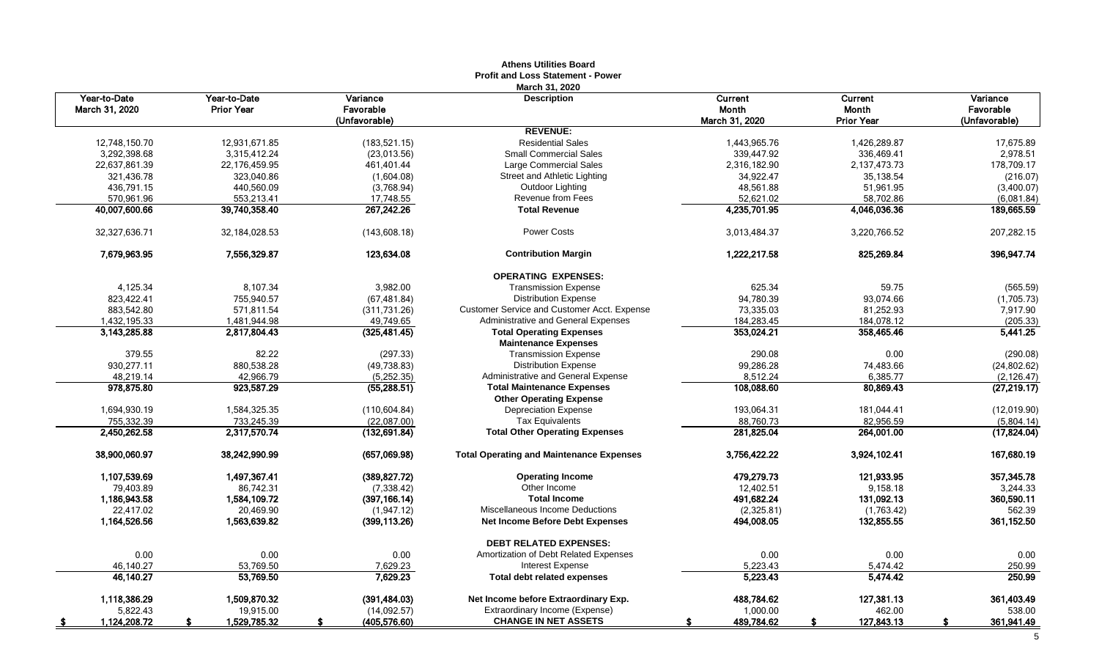|                                |                                   |                                        | Athens Utilities Board<br><b>Profit and Loss Statement - Power</b> |                                    |                                       |                                        |
|--------------------------------|-----------------------------------|----------------------------------------|--------------------------------------------------------------------|------------------------------------|---------------------------------------|----------------------------------------|
| Year-to-Date<br>March 31, 2020 | Year-to-Date<br><b>Prior Year</b> | Variance<br>Favorable<br>(Unfavorable) | March 31, 2020<br><b>Description</b>                               | Current<br>Month<br>March 31, 2020 | Current<br>Month<br><b>Prior Year</b> | Variance<br>Favorable<br>(Unfavorable) |
|                                |                                   |                                        | <b>REVENUE:</b>                                                    |                                    |                                       |                                        |
| 12,748,150.70                  | 12,931,671.85                     | (183, 521.15)                          | <b>Residential Sales</b>                                           | 1,443,965.76                       | 1,426,289.87                          | 17,675.89                              |
| 3,292,398.68                   | 3,315,412.24                      | (23,013.56)                            | <b>Small Commercial Sales</b>                                      | 339,447.92                         | 336,469.41                            | 2,978.51                               |
| 22,637,861.39                  | 22,176,459.95                     | 461,401.44                             | Large Commercial Sales                                             | 2,316,182.90                       | 2,137,473.73                          | 178,709.17                             |
| 321,436.78                     | 323,040.86                        | (1,604.08)                             | Street and Athletic Lighting                                       | 34,922.47                          | 35,138.54                             | (216.07)                               |
| 436,791.15                     | 440,560.09                        | (3,768.94)                             | Outdoor Lighting                                                   | 48,561.88                          | 51,961.95                             | (3,400.07)                             |
| 570,961.96                     | 553,213.41                        | 17,748.55                              | Revenue from Fees                                                  | 52,621.02                          | 58,702.86                             | (6,081.84)                             |
| 40,007,600.66                  | 39,740,358.40                     | 267,242.26                             | <b>Total Revenue</b>                                               | 4,235,701.95                       | 4,046,036.36                          | 189,665.59                             |
| 32,327,636.71                  | 32, 184, 028.53                   | (143, 608.18)                          | <b>Power Costs</b>                                                 | 3,013,484.37                       | 3,220,766.52                          | 207,282.15                             |
| 7,679,963.95                   | 7,556,329.87                      | 123,634.08                             | <b>Contribution Margin</b>                                         | 1,222,217.58                       | 825,269.84                            | 396,947.74                             |
|                                |                                   |                                        | <b>OPERATING EXPENSES:</b>                                         |                                    |                                       |                                        |
| 4,125.34                       | 8,107.34                          | 3,982.00                               | <b>Transmission Expense</b>                                        | 625.34                             | 59.75                                 | (565.59)                               |
| 823,422.41                     | 755,940.57                        | (67, 481.84)                           | <b>Distribution Expense</b>                                        | 94,780.39                          | 93,074.66                             | (1,705.73)                             |
| 883,542.80                     | 571,811.54                        | (311, 731.26)                          | Customer Service and Customer Acct. Expense                        | 73,335.03                          | 81,252.93                             | 7,917.90                               |
| 1,432,195.33                   | 1,481,944.98                      | 49,749.65                              | Administrative and General Expenses                                | 184,283.45                         | 184,078.12                            | (205.33)                               |
| 3,143,285.88                   | 2,817,804.43                      | (325, 481.45)                          | <b>Total Operating Expenses</b><br><b>Maintenance Expenses</b>     | 353,024.21                         | 358,465.46                            | 5,441.25                               |
| 379.55                         | 82.22                             | (297.33)                               | <b>Transmission Expense</b>                                        | 290.08                             | 0.00                                  | (290.08)                               |
| 930,277.11                     | 880,538.28                        | (49, 738.83)                           | <b>Distribution Expense</b>                                        | 99,286.28                          | 74,483.66                             | (24, 802.62)                           |
| 48,219.14                      | 42,966.79                         | (5, 252.35)                            | Administrative and General Expense                                 | 8.512.24                           | 6,385.77                              | (2, 126.47)                            |
| 978,875.80                     | 923,587.29                        | (55, 288.51)                           | <b>Total Maintenance Expenses</b>                                  | 108,088.60                         | 80,869.43                             | (27, 219.17)                           |
|                                |                                   |                                        | <b>Other Operating Expense</b>                                     |                                    |                                       |                                        |
| 1,694,930.19                   | 1,584,325.35                      | (110, 604.84)                          | <b>Depreciation Expense</b>                                        | 193,064.31                         | 181,044.41                            | (12,019.90)                            |
| 755,332.39                     | 733,245.39                        | (22,087.00)                            | <b>Tax Equivalents</b>                                             | 88,760.73                          | 82,956.59                             | (5,804.14)                             |
| 2.450.262.58                   | 2.317.570.74                      | (132, 691.84)                          | <b>Total Other Operating Expenses</b>                              | 281,825.04                         | 264,001.00                            | (17, 824.04)                           |
| 38,900,060.97                  | 38,242,990.99                     | (657,069.98)                           | <b>Total Operating and Maintenance Expenses</b>                    | 3,756,422.22                       | 3,924,102.41                          | 167,680.19                             |
| 1,107,539.69                   | 1,497,367.41                      | (389, 827.72)                          | <b>Operating Income</b>                                            | 479,279.73                         | 121,933.95                            | 357,345.78                             |
| 79,403.89                      | 86,742.31                         | (7, 338.42)                            | Other Income                                                       | 12,402.51                          | 9,158.18                              | 3,244.33                               |
| 1,186,943.58                   | 1,584,109.72                      | (397, 166.14)                          | <b>Total Income</b>                                                | 491,682.24                         | 131,092.13                            | 360,590.11                             |
| 22,417.02                      | 20,469.90                         | (1,947.12)                             | Miscellaneous Income Deductions                                    | (2,325.81)                         | (1,763.42)                            | 562.39                                 |
| 1,164,526.56                   | 1,563,639.82                      | (399,113.26)                           | <b>Net Income Before Debt Expenses</b>                             | 494,008.05                         | 132,855.55                            | 361,152.50                             |
|                                |                                   |                                        | <b>DEBT RELATED EXPENSES:</b>                                      |                                    |                                       |                                        |
| 0.00                           | 0.00                              | 0.00                                   | Amortization of Debt Related Expenses                              | 0.00                               | 0.00                                  | 0.00                                   |
| 46,140.27                      | 53,769.50                         | 7,629.23                               | <b>Interest Expense</b>                                            | 5,223.43                           | 5,474.42                              | 250.99                                 |
| 46,140.27                      | 53,769.50                         | 7,629.23                               | <b>Total debt related expenses</b>                                 | 5,223.43                           | 5,474.42                              | 250.99                                 |
| 1,118,386.29                   | 1,509,870.32                      | (391,484.03)                           | Net Income before Extraordinary Exp.                               | 488,784.62                         | 127,381.13                            | 361,403.49                             |
| 5,822.43                       | 19,915.00                         | (14,092.57)                            | Extraordinary Income (Expense)                                     | 1,000.00                           | 462.00                                | 538.00                                 |
| 1,124,208.72<br><u>_\$</u>     | 1,529,785.32                      | (405,576.60)                           | <b>CHANGE IN NET ASSETS</b>                                        | 489,784.62                         | 127,843.13                            | 361,941.49                             |

## **Athens Utilities Board**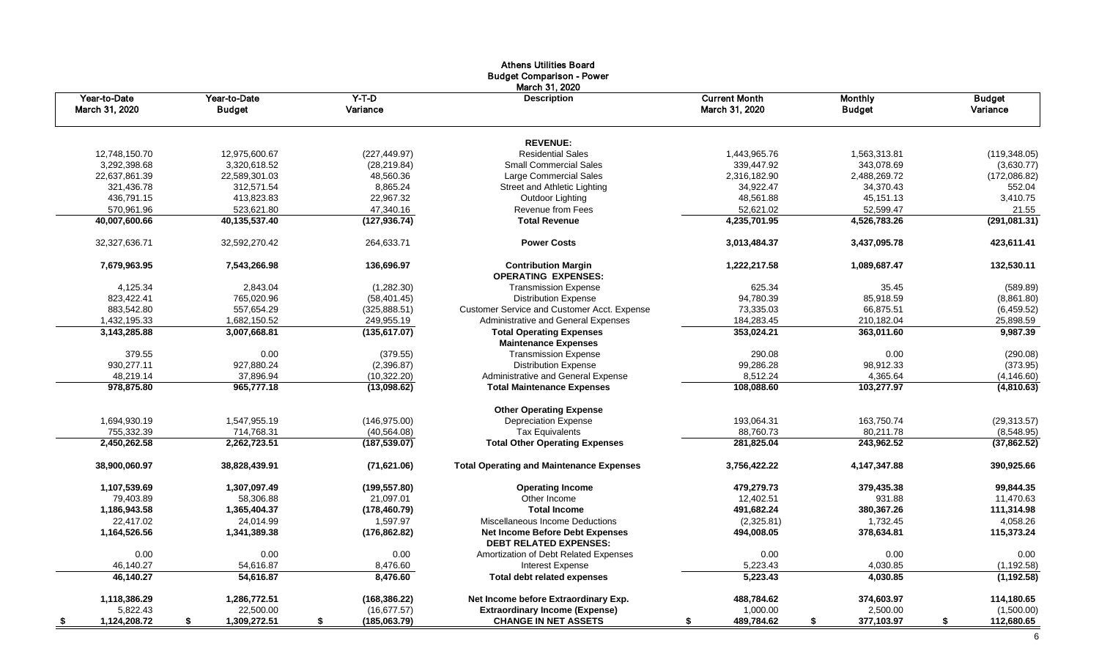|                                |                               |                     | <b>Athens Utilities Board</b><br><b>Budget Comparison - Power</b>       |                                        |                                 |                           |
|--------------------------------|-------------------------------|---------------------|-------------------------------------------------------------------------|----------------------------------------|---------------------------------|---------------------------|
| Year-to-Date<br>March 31, 2020 | Year-to-Date<br><b>Budget</b> | $Y-T-D$<br>Variance | March 31, 2020<br><b>Description</b>                                    | <b>Current Month</b><br>March 31, 2020 | <b>Monthly</b><br><b>Budget</b> | <b>Budget</b><br>Variance |
|                                |                               |                     | <b>REVENUE:</b>                                                         |                                        |                                 |                           |
| 12,748,150.70                  | 12,975,600.67                 | (227, 449.97)       | <b>Residential Sales</b>                                                | 1.443.965.76                           | 1,563,313.81                    | (119, 348.05)             |
| 3,292,398.68                   | 3,320,618.52                  | (28, 219.84)        | <b>Small Commercial Sales</b>                                           | 339,447.92                             | 343,078.69                      | (3,630.77)                |
| 22,637,861.39                  | 22,589,301.03                 | 48,560.36           | Large Commercial Sales                                                  | 2,316,182.90                           | 2,488,269.72                    | (172,086.82)              |
| 321,436.78                     | 312,571.54                    | 8,865.24            | Street and Athletic Lighting                                            | 34,922.47                              | 34,370.43                       | 552.04                    |
| 436,791.15                     | 413,823.83                    | 22,967.32           | Outdoor Lighting                                                        | 48,561.88                              | 45,151.13                       | 3,410.75                  |
| 570,961.96                     | 523,621.80                    | 47,340.16           | Revenue from Fees                                                       | 52,621.02                              | 52,599.47                       | 21.55                     |
| 40,007,600.66                  | 40,135,537.40                 | (127, 936.74)       | <b>Total Revenue</b>                                                    | 4,235,701.95                           | 4,526,783.26                    | (291,081.31)              |
| 32,327,636.71                  | 32,592,270.42                 | 264,633.71          | <b>Power Costs</b>                                                      | 3,013,484.37                           | 3,437,095.78                    | 423,611.41                |
| 7,679,963.95                   | 7,543,266.98                  | 136,696.97          | <b>Contribution Margin</b><br><b>OPERATING EXPENSES:</b>                | 1,222,217.58                           | 1,089,687.47                    | 132,530.11                |
| 4,125.34                       | 2,843.04                      | (1,282.30)          | <b>Transmission Expense</b>                                             | 625.34                                 | 35.45                           | (589.89)                  |
| 823,422.41                     | 765,020.96                    | (58, 401.45)        | <b>Distribution Expense</b>                                             | 94,780.39                              | 85,918.59                       | (8,861.80)                |
| 883,542.80                     | 557.654.29                    | (325, 888.51)       | Customer Service and Customer Acct. Expense                             | 73,335.03                              | 66,875.51                       | (6,459.52)                |
| 1,432,195.33                   | 1,682,150.52                  | 249,955.19          | Administrative and General Expenses                                     | 184,283.45                             | 210,182.04                      | 25,898.59                 |
| 3,143,285.88                   | 3,007,668.81                  | (135, 617.07)       | <b>Total Operating Expenses</b>                                         | 353,024.21                             | 363,011.60                      | 9,987.39                  |
|                                |                               |                     | <b>Maintenance Expenses</b>                                             |                                        |                                 |                           |
| 379.55                         | 0.00                          | (379.55)            | <b>Transmission Expense</b>                                             | 290.08                                 | 0.00                            | (290.08)                  |
| 930,277.11                     | 927,880.24                    | (2,396.87)          | <b>Distribution Expense</b>                                             | 99,286.28                              | 98,912.33                       | (373.95)                  |
| 48,219.14                      | 37,896.94                     | (10, 322.20)        | Administrative and General Expense                                      | 8,512.24                               | 4,365.64                        | (4, 146.60)               |
| 978,875.80                     | 965,777.18                    | (13,098.62)         | <b>Total Maintenance Expenses</b>                                       | 108,088.60                             | 103,277.97                      | (4,810.63)                |
|                                |                               |                     | <b>Other Operating Expense</b>                                          |                                        |                                 |                           |
| 1,694,930.19                   | 1,547,955.19                  | (146, 975.00)       | <b>Depreciation Expense</b>                                             | 193,064.31                             | 163,750.74                      | (29, 313.57)              |
| 755,332.39                     | 714.768.31                    | (40, 564.08)        | <b>Tax Equivalents</b>                                                  | 88.760.73                              | 80.211.78                       | (8,548.95)                |
| 2,450,262.58                   | 2,262,723.51                  | (187, 539.07)       | <b>Total Other Operating Expenses</b>                                   | 281,825.04                             | 243,962.52                      | (37,862.52)               |
| 38,900,060.97                  | 38,828,439.91                 | (71,621.06)         | <b>Total Operating and Maintenance Expenses</b>                         | 3,756,422.22                           | 4,147,347.88                    | 390,925.66                |
| 1,107,539.69                   | 1,307,097.49                  | (199, 557.80)       | <b>Operating Income</b>                                                 | 479,279.73                             | 379,435.38                      | 99,844.35                 |
| 79,403.89                      | 58.306.88                     | 21,097.01           | Other Income                                                            | 12,402.51                              | 931.88                          | 11,470.63                 |
| 1,186,943.58                   | 1,365,404.37                  | (178, 460.79)       | <b>Total Income</b>                                                     | 491,682.24                             | 380,367.26                      | 111,314.98                |
| 22.417.02                      | 24.014.99                     | 1,597.97            | Miscellaneous Income Deductions                                         | (2,325.81)                             | 1.732.45                        | 4,058.26                  |
| 1,164,526.56                   | 1,341,389.38                  | (176, 862.82)       | <b>Net Income Before Debt Expenses</b><br><b>DEBT RELATED EXPENSES:</b> | 494,008.05                             | 378,634.81                      | 115,373.24                |
| 0.00                           | 0.00                          | 0.00                | Amortization of Debt Related Expenses                                   | 0.00                                   | 0.00                            | 0.00                      |
| 46,140.27                      | 54,616.87                     | 8,476.60            | Interest Expense                                                        | 5,223.43                               | 4,030.85                        | (1, 192.58)               |
| 46.140.27                      | 54.616.87                     | 8.476.60            | <b>Total debt related expenses</b>                                      | 5,223.43                               | 4,030.85                        | (1, 192.58)               |
| 1,118,386.29                   | 1,286,772.51                  | (168, 386.22)       | Net Income before Extraordinary Exp.                                    | 488,784.62                             | 374,603.97                      | 114,180.65                |
| 5,822.43                       | 22,500.00                     | (16, 677.57)        | <b>Extraordinary Income (Expense)</b>                                   | 1,000.00                               | 2,500.00                        | (1,500.00)                |
| 1,124,208.72<br><u>\$</u>      | 1,309,272.51<br>\$            | (185,063.79)<br>\$  | <b>CHANGE IN NET ASSETS</b>                                             | 489,784.62                             | 377,103.97<br>\$                | 112,680.65<br>S.          |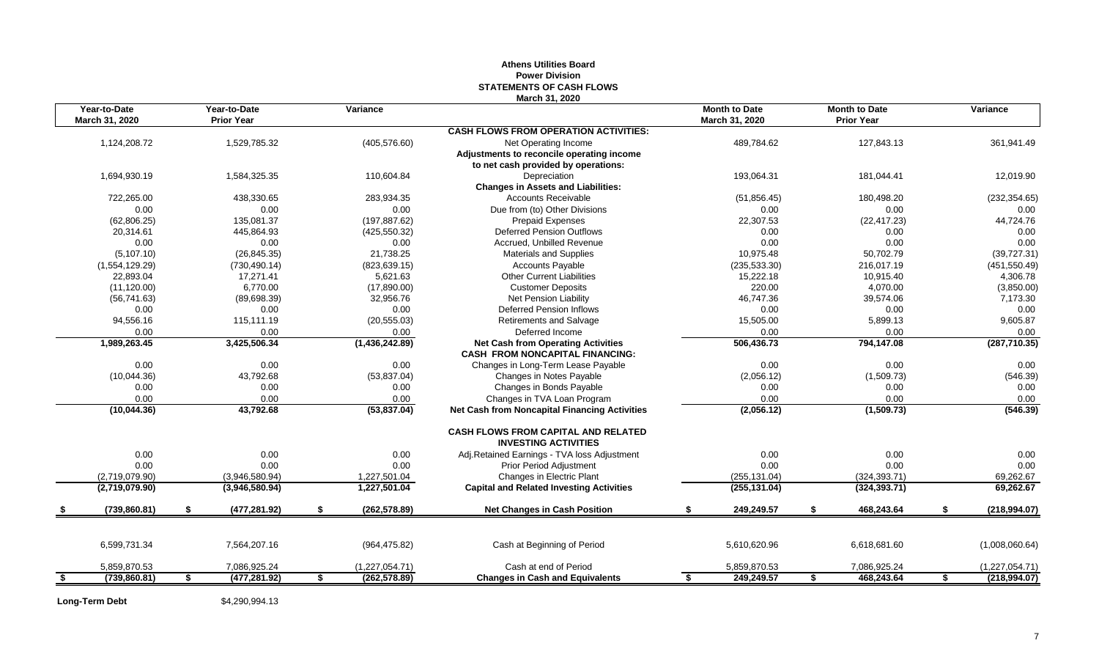|                                |                                   |    |                | March 31, 2020                                                            |                                        |               |                                           |                     |
|--------------------------------|-----------------------------------|----|----------------|---------------------------------------------------------------------------|----------------------------------------|---------------|-------------------------------------------|---------------------|
| Year-to-Date<br>March 31, 2020 | Year-to-Date<br><b>Prior Year</b> |    | Variance       |                                                                           | <b>Month to Date</b><br>March 31, 2020 |               | <b>Month to Date</b><br><b>Prior Year</b> | Variance            |
|                                |                                   |    |                | <b>CASH FLOWS FROM OPERATION ACTIVITIES:</b>                              |                                        |               |                                           |                     |
| 1,124,208.72                   | 1,529,785.32                      |    | (405, 576.60)  | Net Operating Income                                                      |                                        | 489,784.62    | 127,843.13                                | 361,941.49          |
|                                |                                   |    |                | Adjustments to reconcile operating income                                 |                                        |               |                                           |                     |
|                                |                                   |    |                | to net cash provided by operations:                                       |                                        |               |                                           |                     |
| 1,694,930.19                   | 1,584,325.35                      |    | 110,604.84     | Depreciation                                                              |                                        | 193,064.31    | 181,044.41                                | 12,019.90           |
|                                |                                   |    |                | <b>Changes in Assets and Liabilities:</b>                                 |                                        |               |                                           |                     |
| 722,265.00                     | 438,330.65                        |    | 283,934.35     | <b>Accounts Receivable</b>                                                |                                        | (51, 856.45)  | 180,498.20                                | (232, 354.65)       |
| 0.00                           | 0.00                              |    | 0.00           | Due from (to) Other Divisions                                             |                                        | 0.00          | 0.00                                      | 0.00                |
| (62, 806.25)                   | 135,081.37                        |    | (197, 887.62)  | <b>Prepaid Expenses</b>                                                   |                                        | 22,307.53     | (22, 417.23)                              | 44,724.76           |
| 20,314.61                      | 445,864.93                        |    | (425, 550.32)  | <b>Deferred Pension Outflows</b>                                          |                                        | 0.00          | 0.00                                      | 0.00                |
| 0.00                           | 0.00                              |    | 0.00           | Accrued, Unbilled Revenue                                                 |                                        | 0.00          | 0.00                                      | 0.00                |
| (5, 107.10)                    | (26, 845.35)                      |    | 21,738.25      | Materials and Supplies                                                    |                                        | 10,975.48     | 50,702.79                                 | (39, 727.31)        |
| (1,554,129.29)                 | (730, 490.14)                     |    | (823, 639.15)  | Accounts Payable                                                          |                                        | (235, 533.30) | 216,017.19                                | (451, 550.49)       |
| 22,893.04                      | 17,271.41                         |    | 5,621.63       | <b>Other Current Liabilities</b>                                          |                                        | 15,222.18     | 10,915.40                                 | 4,306.78            |
| (11, 120.00)                   | 6,770.00                          |    | (17,890.00)    | <b>Customer Deposits</b>                                                  |                                        | 220.00        | 4,070.00                                  | (3,850.00)          |
| (56, 741.63)                   | (89, 698.39)                      |    | 32,956.76      | Net Pension Liability                                                     |                                        | 46,747.36     | 39,574.06                                 | 7,173.30            |
| 0.00                           | 0.00                              |    | 0.00           | <b>Deferred Pension Inflows</b>                                           |                                        | 0.00          | 0.00                                      | 0.00                |
| 94,556.16                      | 115,111.19                        |    | (20, 555.03)   | <b>Retirements and Salvage</b>                                            |                                        | 15,505.00     | 5,899.13                                  | 9,605.87            |
| 0.00                           | 0.00                              |    | 0.00           | Deferred Income                                                           |                                        | 0.00          | 0.00                                      | 0.00                |
| 1,989,263.45                   | 3,425,506.34                      |    | (1,436,242.89) | <b>Net Cash from Operating Activities</b>                                 |                                        | 506,436.73    | 794,147.08                                | (287, 710.35)       |
|                                |                                   |    |                | <b>CASH FROM NONCAPITAL FINANCING:</b>                                    |                                        |               |                                           |                     |
| 0.00                           | 0.00                              |    | 0.00           | Changes in Long-Term Lease Payable                                        |                                        | 0.00          | 0.00                                      | 0.00                |
| (10,044.36)                    | 43,792.68                         |    | (53, 837.04)   | Changes in Notes Payable                                                  |                                        | (2,056.12)    | (1,509.73)                                | (546.39)            |
| 0.00                           | 0.00                              |    | 0.00           | Changes in Bonds Payable                                                  |                                        | 0.00          | 0.00                                      | 0.00                |
| 0.00                           | 0.00                              |    | 0.00           | Changes in TVA Loan Program                                               |                                        | 0.00          | 0.00                                      | 0.00                |
| (10,044.36)                    | 43,792.68                         |    | (53,837.04)    | <b>Net Cash from Noncapital Financing Activities</b>                      |                                        | (2,056.12)    | (1,509.73)                                | (546.39)            |
|                                |                                   |    |                | <b>CASH FLOWS FROM CAPITAL AND RELATED</b><br><b>INVESTING ACTIVITIES</b> |                                        |               |                                           |                     |
| 0.00                           | 0.00                              |    | 0.00           | Adj.Retained Earnings - TVA loss Adjustment                               |                                        | 0.00          | 0.00                                      | 0.00                |
| 0.00                           | 0.00                              |    | 0.00           | <b>Prior Period Adjustment</b>                                            |                                        | 0.00          | 0.00                                      | 0.00                |
| (2,719,079.90)                 | (3,946,580.94)                    |    | 1,227,501.04   | Changes in Electric Plant                                                 |                                        | (255, 131.04) | (324, 393.71)                             | 69,262.67           |
| (2,719,079.90)                 | (3,946,580.94)                    |    | 1,227,501.04   | <b>Capital and Related Investing Activities</b>                           |                                        | (255, 131.04) | (324, 393.71)                             | 69,262.67           |
| \$<br>(739,860.81)             | \$<br>(477, 281.92)               | S. | (262, 578.89)  | <b>Net Changes in Cash Position</b>                                       |                                        | 249,249.57    | \$<br>468,243.64                          | \$<br>(218, 994.07) |
|                                |                                   |    |                |                                                                           |                                        |               |                                           |                     |
| 6,599,731.34                   | 7,564,207.16                      |    | (964, 475.82)  | Cash at Beginning of Period                                               |                                        | 5,610,620.96  | 6,618,681.60                              | (1,008,060.64)      |
| 5,859,870.53                   | 7,086,925.24                      |    | (1,227,054.71) | Cash at end of Period                                                     |                                        | 5,859,870.53  | 7,086,925.24                              | (1,227,054.71)      |
| \$<br>(739, 860.81)            | \$<br>(477, 281.92)               | \$ | (262, 578.89)  | <b>Changes in Cash and Equivalents</b>                                    | \$                                     | 249,249.57    | \$<br>468,243.64                          | \$<br>(218, 994.07) |
|                                |                                   |    |                |                                                                           |                                        |               |                                           |                     |

#### **Athens Utilities Board Power Division STATEMENTS OF CASH FLOWS**

**Long-Term Debt** \$4,290,994.13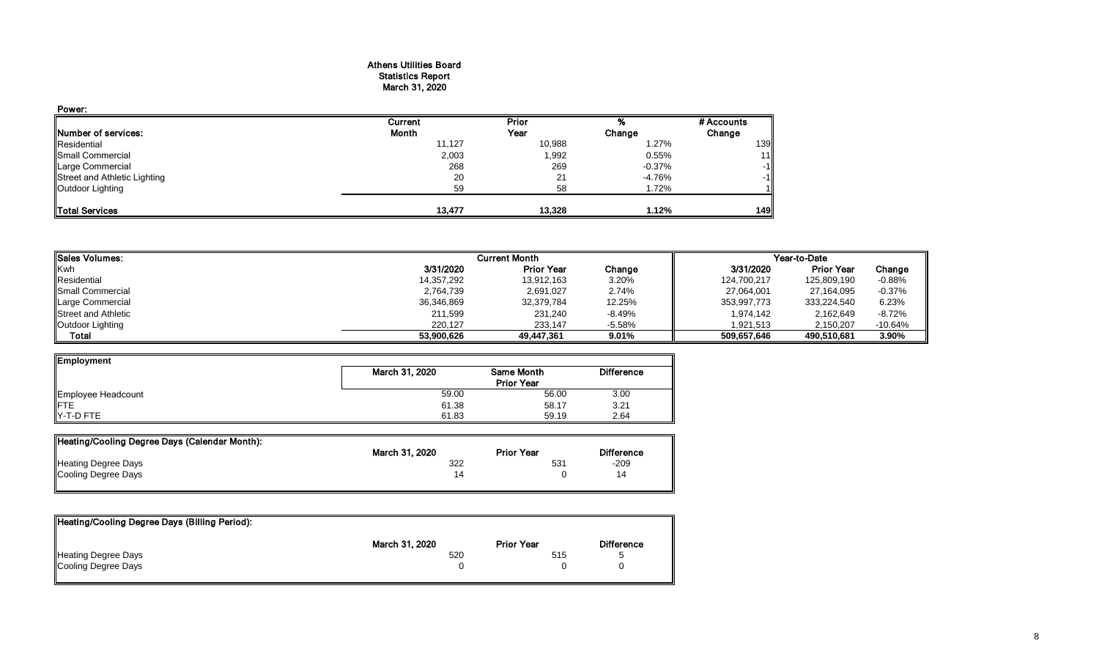#### Athens Utilities Board Statistics Report March 31, 2020

| Power:                       |              |        |           |            |
|------------------------------|--------------|--------|-----------|------------|
|                              | Current      | Prior  |           | # Accounts |
| <b>INumber of services:</b>  | <b>Month</b> | Year   | Change    | Change     |
| Residential                  | 11,127       | 10,988 | 1.27%     | 139        |
| Small Commercial             | 2,003        | 1,992  | 0.55%     | 11         |
| <b>Large Commercial</b>      | 268          | 269    | $-0.37\%$ | $-1$       |
| Street and Athletic Lighting | 20           | 21     | $-4.76%$  | -1         |
| Outdoor Lighting             | 59           | 58     | 1.72%     |            |
| <b>ITotal Services</b>       | 13.477       | 13,328 | 1.12%     | 149        |

| <b>I</b> Sales Volumes:    |            | <b>Current Month</b> |           |             | Year-to-Date      |           |  |  |
|----------------------------|------------|----------------------|-----------|-------------|-------------------|-----------|--|--|
| Kwh                        | 3/31/2020  | <b>Prior Year</b>    | Change    | 3/31/2020   | <b>Prior Year</b> | Change    |  |  |
| Residential                | 14,357,292 | 13,912,163           | 3.20%     | 124,700,217 | 125,809,190       | $-0.88%$  |  |  |
| <b>Small Commercial</b>    | 2,764,739  | 2,691,027            | 2.74%     | 27,064,001  | 27,164,095        | $-0.37%$  |  |  |
| Large Commercial           | 36,346,869 | 32,379,784           | 12.25%    | 353,997,773 | 333,224,540       | 6.23%     |  |  |
| <b>Street and Athletic</b> | 211,599    | 231,240              | -8.49%    | 1,974,142   | 2,162,649         | $-8.72%$  |  |  |
| Outdoor Lighting           | 220.127    | 233.147              | $-5.58\%$ | 1.921.513   | 2.150.207         | $-10.64%$ |  |  |
| Total                      | 53.900.626 | 49.447.361           | 9.01%     | 509.657.646 | 490,510,681       | 3.90%     |  |  |

| Employment         |                |                   |                   |
|--------------------|----------------|-------------------|-------------------|
|                    | March 31, 2020 | <b>Same Month</b> | <b>Difference</b> |
|                    |                | <b>Prior Year</b> |                   |
| Employee Headcount | 59.00          | 56.00             | 3.00              |
| <b>IFTE</b>        | 61.38          | 58.17             | 3.21              |
| $Y-T-D$ FTE        | 61.83          | 59.19             | 2.64              |

| Heating/Cooling Degree Days (Calendar Month): |                |                   |                   |
|-----------------------------------------------|----------------|-------------------|-------------------|
|                                               | March 31, 2020 | <b>Prior Year</b> | <b>Difference</b> |
| <b>Heating Degree Days</b>                    | 322            | 531               | -209              |
| Cooling Degree Days                           | 14             |                   | 14                |
|                                               |                |                   |                   |

| Heating/Cooling Degree Days (Billing Period): |                |                   |                   |
|-----------------------------------------------|----------------|-------------------|-------------------|
|                                               | March 31, 2020 | <b>Prior Year</b> | <b>Difference</b> |
| Heating Degree Days                           | 520            | 515               |                   |
| Cooling Degree Days                           |                |                   |                   |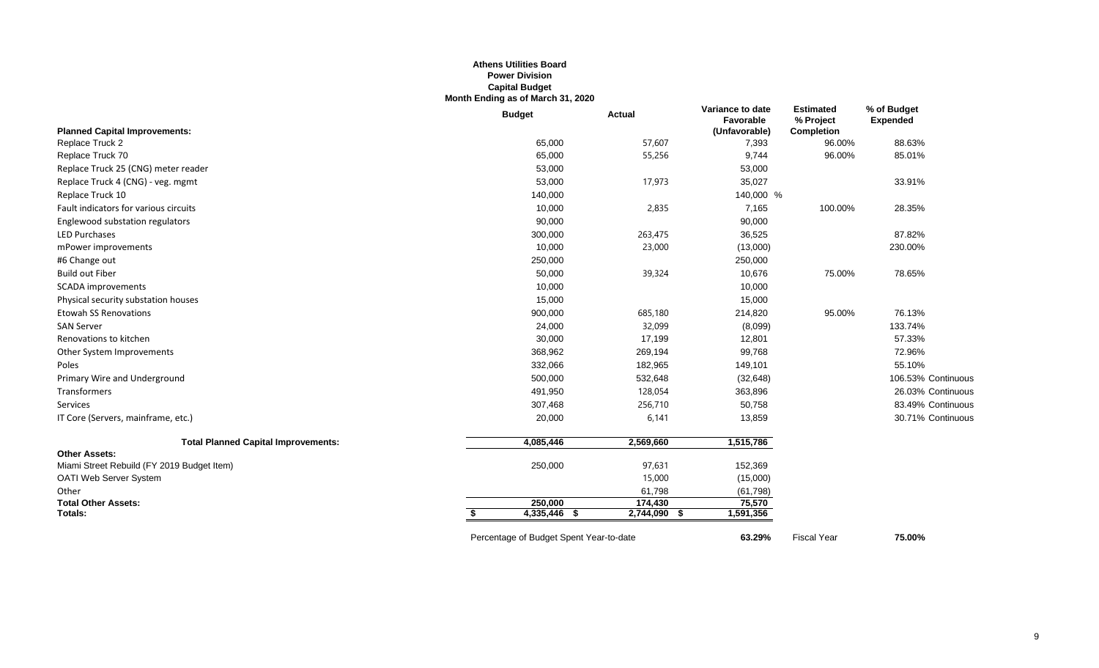#### **Athens Utilities Board Power Division Capital Budget Month Ending as of March 31, 2020**

|                                            | <b>Budget</b>                           | <b>Actual</b> | Variance to date<br>Favorable | <b>Estimated</b><br>% Project | % of Budget<br><b>Expended</b> |
|--------------------------------------------|-----------------------------------------|---------------|-------------------------------|-------------------------------|--------------------------------|
| <b>Planned Capital Improvements:</b>       |                                         |               | (Unfavorable)                 | <b>Completion</b>             |                                |
| Replace Truck 2                            | 65,000                                  | 57,607        | 7,393                         | 96.00%                        | 88.63%                         |
| Replace Truck 70                           | 65,000                                  | 55,256        | 9,744                         | 96.00%                        | 85.01%                         |
| Replace Truck 25 (CNG) meter reader        | 53,000                                  |               | 53,000                        |                               |                                |
| Replace Truck 4 (CNG) - veg. mgmt          | 53,000                                  | 17,973        | 35,027                        |                               | 33.91%                         |
| Replace Truck 10                           | 140,000                                 |               | 140,000 %                     |                               |                                |
| Fault indicators for various circuits      | 10,000                                  | 2,835         | 7,165                         | 100.00%                       | 28.35%                         |
| Englewood substation regulators            | 90,000                                  |               | 90,000                        |                               |                                |
| <b>LED Purchases</b>                       | 300,000                                 | 263,475       | 36,525                        |                               | 87.82%                         |
| mPower improvements                        | 10,000                                  | 23,000        | (13,000)                      |                               | 230.00%                        |
| #6 Change out                              | 250,000                                 |               | 250,000                       |                               |                                |
| <b>Build out Fiber</b>                     | 50,000                                  | 39,324        | 10,676                        | 75.00%                        | 78.65%                         |
| <b>SCADA</b> improvements                  | 10,000                                  |               | 10,000                        |                               |                                |
| Physical security substation houses        | 15,000                                  |               | 15,000                        |                               |                                |
| <b>Etowah SS Renovations</b>               | 900,000                                 | 685,180       | 214,820                       | 95.00%                        | 76.13%                         |
| <b>SAN Server</b>                          | 24,000                                  | 32,099        | (8,099)                       |                               | 133.74%                        |
| Renovations to kitchen                     | 30,000                                  | 17,199        | 12,801                        |                               | 57.33%                         |
| Other System Improvements                  | 368,962                                 | 269,194       | 99,768                        |                               | 72.96%                         |
| Poles                                      | 332,066                                 | 182,965       | 149,101                       |                               | 55.10%                         |
| Primary Wire and Underground               | 500,000                                 | 532,648       | (32, 648)                     |                               | 106.53% Continuous             |
| Transformers                               | 491,950                                 | 128,054       | 363,896                       |                               | 26.03% Continuous              |
| Services                                   | 307,468                                 | 256,710       | 50,758                        |                               | 83.49% Continuous              |
| IT Core (Servers, mainframe, etc.)         | 20,000                                  | 6,141         | 13,859                        |                               | 30.71% Continuous              |
| <b>Total Planned Capital Improvements:</b> | 4,085,446                               | 2,569,660     | 1,515,786                     |                               |                                |
| <b>Other Assets:</b>                       |                                         |               |                               |                               |                                |
| Miami Street Rebuild (FY 2019 Budget Item) | 250,000                                 | 97,631        | 152,369                       |                               |                                |
| OATI Web Server System                     |                                         | 15,000        | (15,000)                      |                               |                                |
| Other                                      |                                         | 61,798        | (61,798)                      |                               |                                |
| <b>Total Other Assets:</b>                 | 250.000                                 | 174.430       | 75,570                        |                               |                                |
| Totals:                                    | 4,335,446 \$                            | 2,744,090 \$  | 1,591,356                     |                               |                                |
|                                            | Percentage of Budget Spent Year-to-date |               | 63.29%                        | <b>Fiscal Year</b>            | 75.00%                         |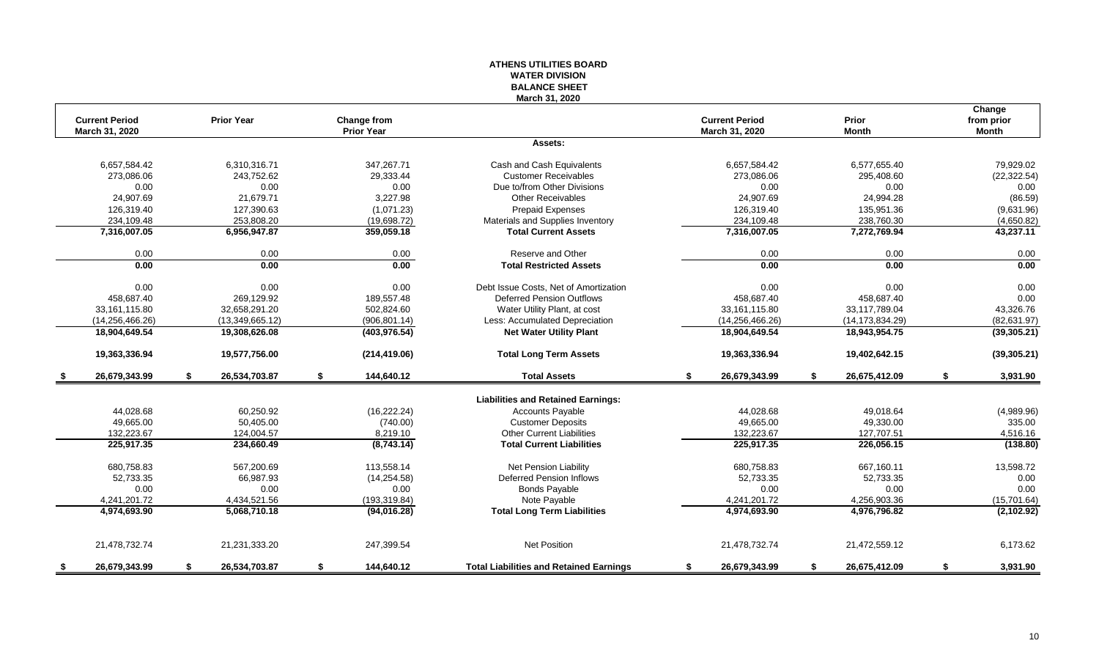#### **ATHENS UTILITIES BOARD WATER DIVISION BALANCE SHEET March 31, 2020**

| <b>Current Period</b><br><b>Prior Year</b><br><b>Current Period</b><br>Prior<br><b>Change from</b><br><b>Prior Year</b><br>March 31, 2020<br><b>Month</b><br>March 31, 2020 | from prior<br><b>Month</b>        |
|-----------------------------------------------------------------------------------------------------------------------------------------------------------------------------|-----------------------------------|
|                                                                                                                                                                             |                                   |
|                                                                                                                                                                             |                                   |
| Assets:                                                                                                                                                                     |                                   |
| 347,267.71<br>6,657,584.42<br>6,657,584.42<br>6,310,316.71<br>Cash and Cash Equivalents                                                                                     | 6,577,655.40<br>79,929.02         |
| 273,086.06<br>243,752.62<br>29,333.44<br><b>Customer Receivables</b><br>273,086.06                                                                                          | 295,408.60<br>(22, 322.54)        |
| 0.00<br>0.00<br>0.00<br>Due to/from Other Divisions<br>0.00                                                                                                                 | 0.00<br>0.00                      |
| 24,907.69<br>24,907.69<br>21,679.71<br>3,227.98<br><b>Other Receivables</b>                                                                                                 | 24,994.28<br>(86.59)              |
| 126,319.40<br>127,390.63<br>(1,071.23)<br>Prepaid Expenses<br>126,319.40                                                                                                    | 135,951.36<br>(9,631.96)          |
| 234,109.48<br>253,808.20<br>(19,698.72)<br>Materials and Supplies Inventory<br>234,109.48                                                                                   | 238,760.30<br>(4,650.82)          |
| 7,316,007.05<br>6,956,947.87<br>359,059.18<br><b>Total Current Assets</b><br>7,316,007.05                                                                                   | 43,237.11<br>7,272,769.94         |
| Reserve and Other<br>0.00<br>0.00<br>0.00<br>0.00                                                                                                                           | 0.00<br>0.00                      |
| 0.00<br>0.00<br>0.00<br>0.00<br><b>Total Restricted Assets</b>                                                                                                              | 0.00<br>0.00                      |
| Debt Issue Costs. Net of Amortization                                                                                                                                       |                                   |
| 0.00<br>0.00<br>0.00<br>0.00                                                                                                                                                | 0.00<br>0.00                      |
| 458,687.40<br>269,129.92<br>189,557.48<br><b>Deferred Pension Outflows</b><br>458,687.40                                                                                    | 0.00<br>458,687.40                |
| 32,658,291.20<br>502,824.60<br>Water Utility Plant, at cost<br>33,161,115.80<br>33,161,115.80                                                                               | 43,326.76<br>33,117,789.04        |
| (14, 256, 466.26)<br>(906, 801.14)<br>Less: Accumulated Depreciation<br>(14, 256, 466.26)<br>(13,349,665.12)                                                                | (82, 631.97)<br>(14, 173, 834.29) |
| <b>Net Water Utility Plant</b><br>18,904,649.54<br>19,308,626.08<br>(403, 976.54)<br>18,904,649.54                                                                          | 18,943,954.75<br>(39, 305.21)     |
| 19,577,756.00<br><b>Total Long Term Assets</b><br>19,363,336.94<br>19,363,336.94<br>(214, 419.06)                                                                           | 19,402,642.15<br>(39, 305.21)     |
| 26,679,343.99<br>S.<br>26,534,703.87<br>S.<br>144,640.12<br><b>Total Assets</b><br>S.<br>26,679,343.99<br>\$                                                                | 26,675,412.09<br>\$<br>3,931.90   |
| <b>Liabilities and Retained Earnings:</b>                                                                                                                                   |                                   |
| 44,028.68<br>60,250.92<br>(16, 222.24)<br><b>Accounts Payable</b><br>44,028.68                                                                                              | 49,018.64<br>(4,989.96)           |
| 49.665.00<br>(740.00)<br><b>Customer Deposits</b><br>49.665.00<br>50.405.00                                                                                                 | 49.330.00<br>335.00               |
| Other Current Liabilities<br>132,223.67<br>132.223.67<br>124,004.57<br>8,219.10                                                                                             | 127,707.51<br>4,516.16            |
| <b>Total Current Liabilities</b><br>225,917.35<br>225,917.35                                                                                                                | 226,056.15                        |
| (8,743.14)<br>234,660.49                                                                                                                                                    | (138.80)                          |
| 567,200.69<br>680,758.83<br>113,558.14<br>Net Pension Liability<br>680,758.83                                                                                               | 667,160.11<br>13,598.72           |
| 52,733.35<br>66,987.93<br>(14, 254.58)<br>Deferred Pension Inflows<br>52,733.35                                                                                             | 52,733.35<br>0.00                 |
| 0.00<br>0.00<br>0.00<br>0.00<br><b>Bonds Payable</b>                                                                                                                        | 0.00<br>0.00                      |
| 4,241,201.72<br>4,434,521.56<br>(193, 319.84)<br>Note Payable<br>4,241,201.72                                                                                               | 4,256,903.36<br>(15,701.64)       |
| 4,974,693.90<br>5,068,710.18<br>(94,016.28)<br><b>Total Long Term Liabilities</b><br>4,974,693.90                                                                           | (2,102.92)<br>4,976,796.82        |
|                                                                                                                                                                             |                                   |
| <b>Net Position</b><br>21,478,732.74<br>21,231,333.20<br>247,399.54<br>21,478,732.74                                                                                        | 21,472,559.12<br>6,173.62         |
| 26,679,343.99<br>26,534,703.87<br>144,640.12<br><b>Total Liabilities and Retained Earnings</b><br>26,679,343.99<br>\$<br>\$<br>\$<br>- \$<br>- \$                           | 26,675,412.09<br>3,931.90<br>\$   |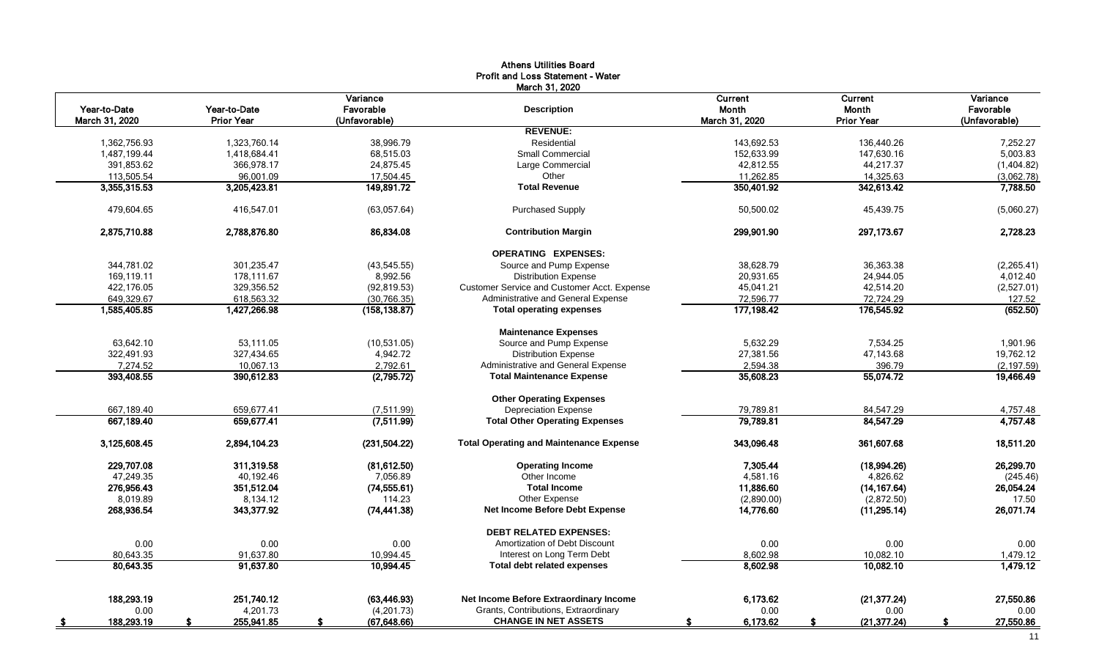|                |                   |               | <b>Athens Utilities Board</b>                      |                |                   |               |
|----------------|-------------------|---------------|----------------------------------------------------|----------------|-------------------|---------------|
|                |                   |               | <b>Profit and Loss Statement - Water</b>           |                |                   |               |
|                |                   | Variance      | March 31, 2020                                     | <b>Current</b> | Current           | Variance      |
| Year-to-Date   | Year-to-Date      | Favorable     | <b>Description</b>                                 | Month          | Month             | Favorable     |
| March 31, 2020 | <b>Prior Year</b> | (Unfavorable) |                                                    | March 31, 2020 | <b>Prior Year</b> | (Unfavorable) |
|                |                   |               | <b>REVENUE:</b>                                    |                |                   |               |
| 1,362,756.93   | 1,323,760.14      | 38,996.79     | Residential                                        | 143,692.53     | 136,440.26        | 7,252.27      |
| 1,487,199.44   | 1,418,684.41      | 68,515.03     | <b>Small Commercial</b>                            | 152,633.99     | 147,630.16        | 5,003.83      |
| 391,853.62     | 366,978.17        | 24,875.45     | Large Commercial                                   | 42,812.55      | 44,217.37         | (1,404.82)    |
| 113,505.54     | 96,001.09         | 17,504.45     | Other                                              | 11,262.85      | 14,325.63         | (3,062.78)    |
| 3,355,315.53   | 3,205,423.81      | 149,891.72    | <b>Total Revenue</b>                               | 350,401.92     | 342,613.42        | 7,788.50      |
| 479.604.65     | 416,547.01        | (63,057.64)   | <b>Purchased Supply</b>                            | 50,500.02      | 45,439.75         | (5,060.27)    |
| 2,875,710.88   | 2,788,876.80      | 86,834.08     | <b>Contribution Margin</b>                         | 299,901.90     | 297,173.67        | 2,728.23      |
|                |                   |               | <b>OPERATING EXPENSES:</b>                         |                |                   |               |
| 344,781.02     | 301,235.47        | (43, 545.55)  | Source and Pump Expense                            | 38,628.79      | 36,363.38         | (2, 265.41)   |
| 169,119.11     | 178,111.67        | 8,992.56      | <b>Distribution Expense</b>                        | 20,931.65      | 24,944.05         | 4,012.40      |
| 422,176.05     | 329,356.52        | (92, 819.53)  | <b>Customer Service and Customer Acct. Expense</b> | 45,041.21      | 42,514.20         | (2,527.01)    |
| 649,329.67     | 618,563.32        | (30, 766.35)  | Administrative and General Expense                 | 72,596.77      | 72,724.29         | 127.52        |
| 1,585,405.85   | 1,427,266.98      | (158, 138.87) | <b>Total operating expenses</b>                    | 177,198.42     | 176,545.92        | (652.50)      |
|                |                   |               | <b>Maintenance Expenses</b>                        |                |                   |               |
| 63,642.10      | 53,111.05         | (10,531.05)   | Source and Pump Expense                            | 5,632.29       | 7,534.25          | 1,901.96      |
| 322,491.93     | 327,434.65        | 4,942.72      | <b>Distribution Expense</b>                        | 27,381.56      | 47,143.68         | 19,762.12     |
| 7,274.52       | 10,067.13         | 2,792.61      | Administrative and General Expense                 | 2,594.38       | 396.79            | (2, 197.59)   |
| 393,408.55     | 390,612.83        | (2,795.72)    | <b>Total Maintenance Expense</b>                   | 35,608.23      | 55,074.72         | 19,466.49     |
|                |                   |               | <b>Other Operating Expenses</b>                    |                |                   |               |
| 667,189.40     | 659,677.41        | (7,511.99)    | <b>Depreciation Expense</b>                        | 79,789.81      | 84,547.29         | 4,757.48      |
| 667,189.40     | 659,677.41        | (7,511.99)    | <b>Total Other Operating Expenses</b>              | 79,789.81      | 84,547.29         | 4,757.48      |
| 3,125,608.45   | 2,894,104.23      | (231, 504.22) | <b>Total Operating and Maintenance Expense</b>     | 343,096.48     | 361,607.68        | 18,511.20     |
| 229.707.08     | 311,319.58        | (81, 612.50)  | <b>Operating Income</b>                            | 7,305.44       | (18,994.26)       | 26,299.70     |
| 47.249.35      | 40.192.46         | 7.056.89      | Other Income                                       | 4,581.16       | 4.826.62          | (245.46)      |
| 276,956.43     | 351,512.04        | (74, 555.61)  | <b>Total Income</b>                                | 11,886.60      | (14, 167.64)      | 26,054.24     |
| 8,019.89       | 8,134.12          | 114.23        | Other Expense                                      | (2,890.00)     | (2,872.50)        | 17.50         |
| 268,936.54     | 343,377.92        | (74, 441.38)  | <b>Net Income Before Debt Expense</b>              | 14,776.60      | (11, 295.14)      | 26,071.74     |
|                |                   |               | <b>DEBT RELATED EXPENSES:</b>                      |                |                   |               |
| 0.00           | 0.00              | 0.00          | Amortization of Debt Discount                      | 0.00           | 0.00              | 0.00          |
| 80,643.35      | 91,637.80         | 10,994.45     | Interest on Long Term Debt                         | 8,602.98       | 10,082.10         | 1,479.12      |
| 80,643.35      | 91,637.80         | 10,994.45     | <b>Total debt related expenses</b>                 | 8,602.98       | 10,082.10         | 1,479.12      |
| 188,293.19     | 251,740.12        | (63, 446.93)  | Net Income Before Extraordinary Income             | 6,173.62       | (21, 377.24)      | 27,550.86     |
| 0.00           | 4,201.73          | (4,201.73)    | Grants, Contributions, Extraordinary               | 0.00           | 0.00              | 0.00          |
| 188,293.19     | 255,941.85        | (67, 648.66)  | <b>CHANGE IN NET ASSETS</b>                        | 6,173.62       | (21, 377.24)      | 27,550.86     |
|                |                   |               |                                                    |                |                   |               |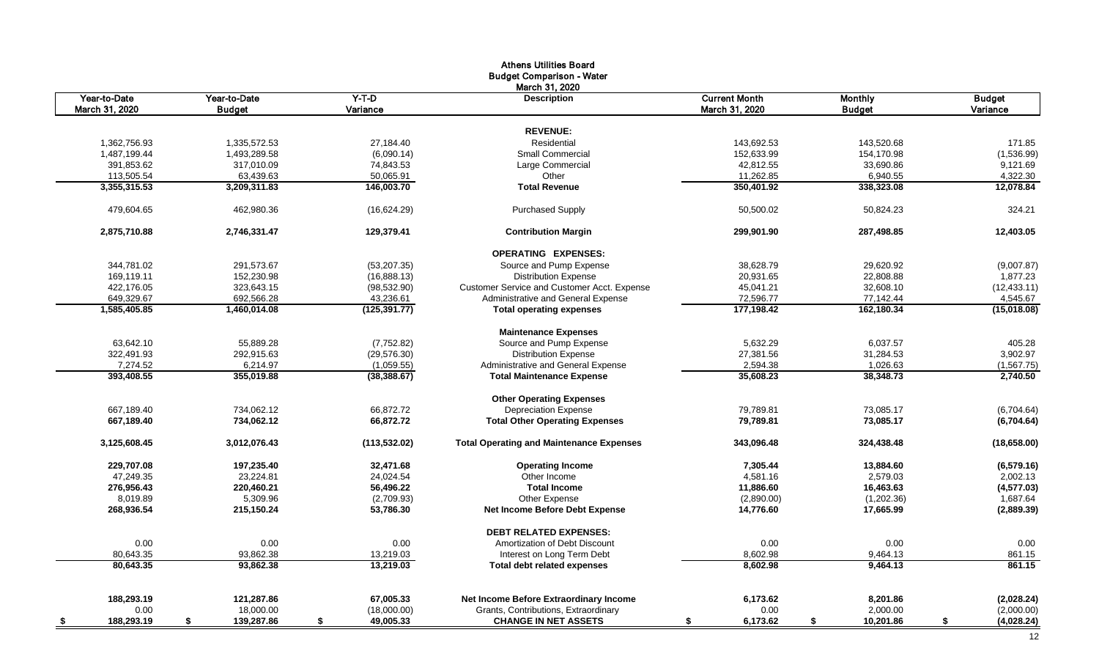|                          |                  |                 | <b>Athens Utilities Board</b>                   |                      |                      |                          |
|--------------------------|------------------|-----------------|-------------------------------------------------|----------------------|----------------------|--------------------------|
|                          |                  |                 | <b>Budget Comparison - Water</b>                |                      |                      |                          |
|                          |                  |                 | March 31, 2020                                  |                      |                      |                          |
| Year-to-Date             | Year-to-Date     | $Y-T-D$         | <b>Description</b>                              | <b>Current Month</b> | <b>Monthly</b>       | <b>Budget</b>            |
| March 31, 2020           | <b>Budget</b>    | Variance        |                                                 | March 31, 2020       | <b>Budget</b>        | Variance                 |
|                          |                  |                 |                                                 |                      |                      |                          |
|                          |                  |                 | <b>REVENUE:</b>                                 |                      |                      |                          |
| 1.362.756.93             | 1.335.572.53     | 27.184.40       | Residential                                     | 143.692.53           | 143.520.68           | 171.85                   |
| 1,487,199.44             | 1,493,289.58     | (6,090.14)      | <b>Small Commercial</b>                         | 152,633.99           | 154,170.98           | (1,536.99)               |
| 391,853.62               | 317,010.09       | 74,843.53       | Large Commercial                                | 42,812.55            | 33,690.86            | 9,121.69                 |
| 113,505.54               | 63,439.63        | 50,065.91       | Other<br><b>Total Revenue</b>                   | 11,262.85            | 6,940.55             | 4,322.30<br>12,078.84    |
| 3,355,315.53             | 3,209,311.83     | 146,003.70      |                                                 | 350,401.92           | 338,323.08           |                          |
| 479,604.65               | 462,980.36       | (16,624.29)     | <b>Purchased Supply</b>                         | 50,500.02            | 50,824.23            | 324.21                   |
| 2,875,710.88             | 2,746,331.47     | 129,379.41      | <b>Contribution Margin</b>                      | 299,901.90           | 287,498.85           | 12,403.05                |
|                          |                  |                 | <b>OPERATING EXPENSES:</b>                      |                      |                      |                          |
| 344,781.02               | 291.573.67       | (53, 207.35)    | Source and Pump Expense                         | 38.628.79            | 29,620.92            | (9,007.87)               |
| 169,119.11               | 152,230.98       | (16,888.13)     | <b>Distribution Expense</b>                     | 20,931.65            | 22,808.88            | 1,877.23                 |
| 422,176.05               | 323,643.15       | (98, 532.90)    | Customer Service and Customer Acct. Expense     | 45,041.21            | 32,608.10            | (12, 433.11)             |
| 649,329.67               | 692,566.28       | 43,236.61       | Administrative and General Expense              | 72,596.77            | 77,142.44            | 4,545.67                 |
| 1,585,405.85             | 1,460,014.08     | (125,391.77)    | <b>Total operating expenses</b>                 | 177,198.42           | 162,180.34           | (15,018.08)              |
|                          |                  |                 | <b>Maintenance Expenses</b>                     |                      |                      |                          |
| 63,642.10                | 55,889.28        | (7,752.82)      | Source and Pump Expense                         | 5,632.29             | 6,037.57             | 405.28                   |
| 322,491.93               | 292,915.63       | (29, 576.30)    | <b>Distribution Expense</b>                     | 27,381.56            | 31,284.53            | 3,902.97                 |
| 7,274.52                 | 6,214.97         | (1,059.55)      | Administrative and General Expense              | 2,594.38             | 1,026.63             | (1, 567.75)              |
| 393,408.55               | 355,019.88       | (38, 388.67)    | <b>Total Maintenance Expense</b>                | 35,608.23            | 38,348.73            | 2,740.50                 |
|                          |                  |                 | <b>Other Operating Expenses</b>                 |                      |                      |                          |
| 667,189.40               | 734.062.12       | 66,872.72       | <b>Depreciation Expense</b>                     | 79,789.81            | 73,085.17            | (6,704.64)               |
| 667,189.40               | 734,062.12       | 66,872.72       | <b>Total Other Operating Expenses</b>           | 79,789.81            | 73,085.17            | (6,704.64)               |
| 3,125,608.45             | 3,012,076.43     | (113, 532.02)   | <b>Total Operating and Maintenance Expenses</b> | 343,096.48           | 324,438.48           | (18,658.00)              |
| 229.707.08               | 197,235.40       | 32,471.68       | <b>Operating Income</b>                         | 7,305.44             | 13,884.60            | (6,579.16)               |
| 47.249.35                | 23,224.81        | 24,024.54       | Other Income                                    | 4,581.16             | 2.579.03             | 2,002.13                 |
| 276,956.43               | 220,460.21       | 56,496.22       | <b>Total Income</b>                             | 11,886.60            | 16,463.63            | (4, 577.03)              |
| 8,019.89                 | 5,309.96         | (2,709.93)      | Other Expense                                   | (2,890.00)           | (1,202.36)           | 1,687.64                 |
| 268,936.54               | 215,150.24       | 53,786.30       | Net Income Before Debt Expense                  | 14,776.60            | 17,665.99            | (2,889.39)               |
|                          |                  |                 | <b>DEBT RELATED EXPENSES:</b>                   |                      |                      |                          |
| 0.00                     | 0.00             | 0.00            | Amortization of Debt Discount                   | 0.00                 | 0.00                 | 0.00                     |
| 80,643.35                | 93,862.38        | 13,219.03       | Interest on Long Term Debt                      | 8,602.98             | 9,464.13             | 861.15                   |
| 80,643.35                | 93,862.38        | 13.219.03       | <b>Total debt related expenses</b>              | 8,602.98             | 9,464.13             | 861.15                   |
| 188,293.19               | 121,287.86       | 67,005.33       | Net Income Before Extraordinary Income          | 6,173.62             |                      |                          |
| 0.00                     | 18,000.00        | (18,000.00)     | Grants, Contributions, Extraordinary            | 0.00                 | 8,201.86<br>2,000.00 | (2,028.24)<br>(2,000.00) |
|                          |                  |                 |                                                 | \$                   | \$                   | \$                       |
| 188,293.19<br><u>_\$</u> | 139,287.86<br>\$ | 49,005.33<br>\$ | <b>CHANGE IN NET ASSETS</b>                     | 6,173.62             | 10,201.86            | (4,028.24)               |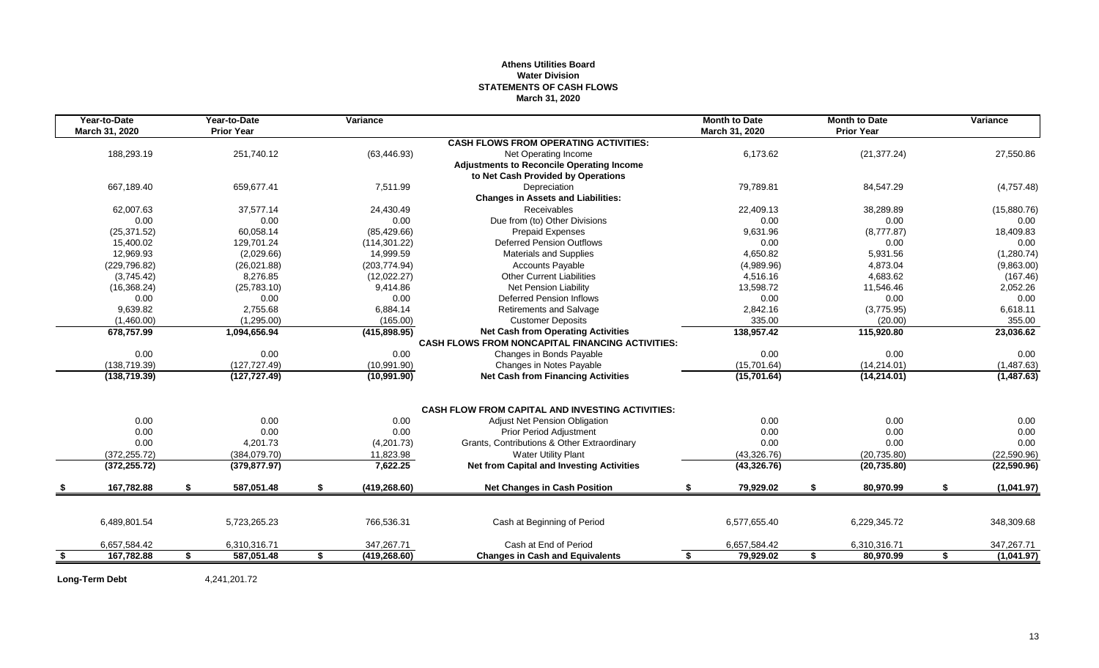#### **Athens Utilities Board Water Division STATEMENTS OF CASH FLOWS March 31, 2020**

|           | Year-to-Date<br>March 31, 2020 |    | Year-to-Date<br><b>Prior Year</b> | Variance            |                                                         |    | <b>Month to Date</b><br>March 31, 2020 | <b>Month to Date</b><br><b>Prior Year</b> |    | Variance     |
|-----------|--------------------------------|----|-----------------------------------|---------------------|---------------------------------------------------------|----|----------------------------------------|-------------------------------------------|----|--------------|
|           |                                |    |                                   |                     | <b>CASH FLOWS FROM OPERATING ACTIVITIES:</b>            |    |                                        |                                           |    |              |
|           | 188.293.19                     |    | 251.740.12                        | (63, 446.93)        | Net Operating Income                                    |    | 6.173.62                               | (21, 377.24)                              |    | 27,550.86    |
|           |                                |    |                                   |                     | <b>Adjustments to Reconcile Operating Income</b>        |    |                                        |                                           |    |              |
|           |                                |    |                                   |                     | to Net Cash Provided by Operations                      |    |                                        |                                           |    |              |
|           | 667,189.40                     |    | 659,677.41                        | 7,511.99            | Depreciation                                            |    | 79,789.81                              | 84,547.29                                 |    | (4,757.48)   |
|           |                                |    |                                   |                     | <b>Changes in Assets and Liabilities:</b>               |    |                                        |                                           |    |              |
|           | 62.007.63                      |    | 37.577.14                         | 24,430.49           | <b>Receivables</b>                                      |    | 22.409.13                              | 38,289.89                                 |    | (15,880.76)  |
|           | 0.00                           |    | 0.00                              | 0.00                | Due from (to) Other Divisions                           |    | 0.00                                   | 0.00                                      |    | 0.00         |
|           | (25, 371.52)                   |    | 60,058.14                         | (85, 429.66)        | Prepaid Expenses                                        |    | 9,631.96                               | (8,777.87)                                |    | 18,409.83    |
|           | 15,400.02                      |    | 129,701.24                        | (114, 301.22)       | <b>Deferred Pension Outflows</b>                        |    | 0.00                                   | 0.00                                      |    | 0.00         |
|           | 12.969.93                      |    | (2,029.66)                        | 14,999.59           | <b>Materials and Supplies</b>                           |    | 4.650.82                               | 5,931.56                                  |    | (1,280.74)   |
|           | (229, 796.82)                  |    | (26,021.88)                       | (203, 774.94)       | <b>Accounts Payable</b>                                 |    | (4,989.96)                             | 4,873.04                                  |    | (9,863.00)   |
|           | (3,745.42)                     |    | 8,276.85                          | (12,022.27)         | <b>Other Current Liabilities</b>                        |    | 4,516.16                               | 4,683.62                                  |    | (167.46)     |
|           | (16, 368.24)                   |    | (25,783.10)                       | 9,414.86            | <b>Net Pension Liability</b>                            |    | 13,598.72                              | 11,546.46                                 |    | 2,052.26     |
|           | 0.00                           |    | 0.00                              | 0.00                | <b>Deferred Pension Inflows</b>                         |    | 0.00                                   | 0.00                                      |    | 0.00         |
|           | 9.639.82                       |    | 2.755.68                          | 6,884.14            | <b>Retirements and Salvage</b>                          |    | 2,842.16                               | (3,775.95)                                |    | 6,618.11     |
|           | (1,460.00)                     |    | (1,295.00)                        | (165.00)            | <b>Customer Deposits</b>                                |    | 335.00                                 | (20.00)                                   |    | 355.00       |
|           | 678,757.99                     |    | 1,094,656.94                      | (415,898.95)        | <b>Net Cash from Operating Activities</b>               |    | 138,957.42                             | 115,920.80                                |    | 23,036.62    |
|           |                                |    |                                   |                     | <b>CASH FLOWS FROM NONCAPITAL FINANCING ACTIVITIES:</b> |    |                                        |                                           |    |              |
|           | 0.00                           |    | 0.00                              | 0.00                | Changes in Bonds Payable                                |    | 0.00                                   | 0.00                                      |    | 0.00         |
|           | (138, 719.39)                  |    | (127, 727.49)                     | (10,991.90)         | Changes in Notes Payable                                |    | (15,701.64)                            | (14, 214.01)                              |    | (1,487.63)   |
|           | (138, 719.39)                  |    | (127, 727.49)                     | (10,991.90)         | <b>Net Cash from Financing Activities</b>               |    | (15,701.64)                            | (14, 214.01)                              |    | (1, 487.63)  |
|           |                                |    |                                   |                     | <b>CASH FLOW FROM CAPITAL AND INVESTING ACTIVITIES:</b> |    |                                        |                                           |    |              |
|           | 0.00                           |    | 0.00                              | 0.00                | <b>Adjust Net Pension Obligation</b>                    |    | 0.00                                   | 0.00                                      |    | 0.00         |
|           | 0.00                           |    | 0.00                              | 0.00                | Prior Period Adjustment                                 |    | 0.00                                   | 0.00                                      |    | 0.00         |
|           | 0.00                           |    | 4,201.73                          | (4,201.73)          | Grants, Contributions & Other Extraordinary             |    | 0.00                                   | 0.00                                      |    | 0.00         |
|           | (372, 255.72)                  |    | (384,079.70)                      | 11,823.98           | <b>Water Utility Plant</b>                              |    | (43,326.76)                            | (20, 735.80)                              |    | (22,590.96)  |
|           | (372, 255.72)                  |    | (379, 877.97)                     | 7,622.25            | <b>Net from Capital and Investing Activities</b>        |    | (43,326.76)                            | (20, 735.80)                              |    | (22, 590.96) |
|           | 167,782.88                     | S. | 587,051.48                        | \$<br>(419, 268.60) | <b>Net Changes in Cash Position</b>                     | S  | 79,929.02                              | \$<br>80,970.99                           | £. | (1,041.97)   |
|           |                                |    |                                   |                     |                                                         |    |                                        |                                           |    |              |
|           | 6,489,801.54                   |    | 5,723,265.23                      | 766,536.31          | Cash at Beginning of Period                             |    | 6,577,655.40                           | 6,229,345.72                              |    | 348,309.68   |
|           | 6,657,584.42                   |    | 6,310,316.71                      | 347,267.71          | Cash at End of Period                                   |    | 6,657,584.42                           | 6,310,316.71                              |    | 347,267.71   |
| <u>\$</u> | 167,782.88                     | s. | 587,051.48                        | \$<br>(419, 268.60) | <b>Changes in Cash and Equivalents</b>                  | \$ | 79,929.02                              | \$<br>80,970.99                           | \$ | (1,041.97)   |

**Long-Term Debt** 4,241,201.72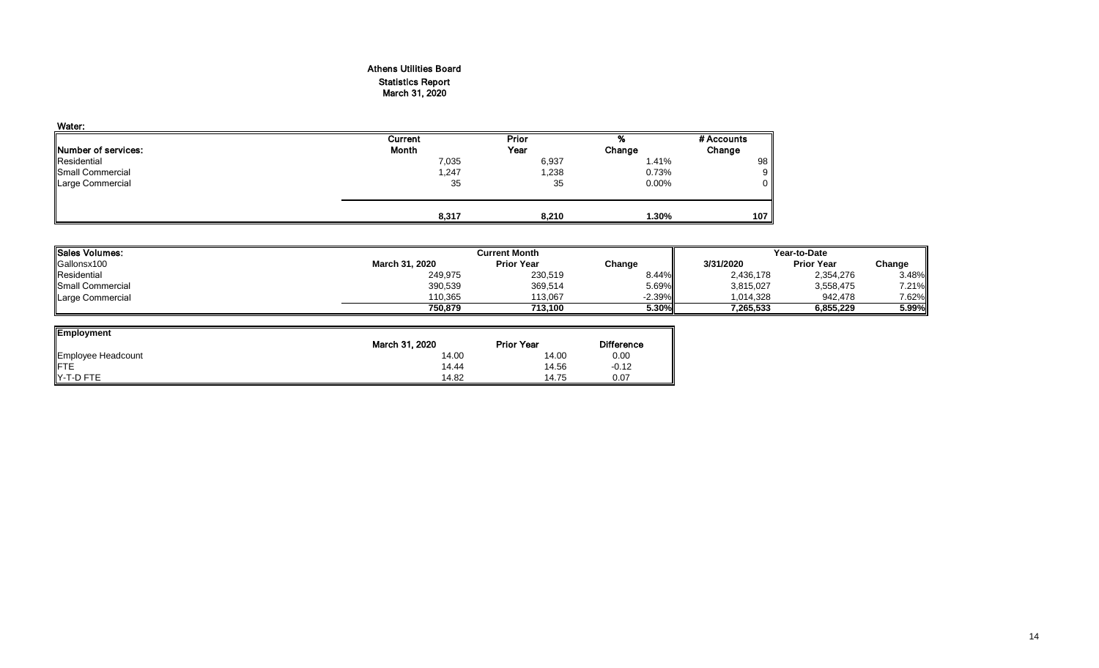#### Athens Utilities Board Statistics Report March 31, 2020

| Water:                      |         |       |          |            |
|-----------------------------|---------|-------|----------|------------|
|                             | Current | Prior | %        | # Accounts |
| <b>INumber of services:</b> | Month   | Year  | Change   | Change     |
| Residential                 | 7,035   | 6,937 | 1.41%    | 98         |
| <b>Small Commercial</b>     | 1,247   | 1,238 | 0.73%    | 9          |
| Large Commercial            | 35      | 35    | $0.00\%$ | 0          |
|                             | 8,317   | 8,210 | 1.30%    | 107        |

| <b>Sales Volumes:</b>   |                | Current Month     |           |           |                   | Year-to-Date |  |  |  |
|-------------------------|----------------|-------------------|-----------|-----------|-------------------|--------------|--|--|--|
| Gallonsx100             | March 31, 2020 | <b>Prior Year</b> | Change    | 3/31/2020 | <b>Prior Year</b> | Change       |  |  |  |
| Residential             | 249,975        | 230,519           | $8.44\%$  | 2,436,178 | 2,354,276         | 3.48%        |  |  |  |
| <b>Small Commercial</b> | 390,539        | 369,514           | 5.69%     | 3,815,027 | 3,558,475         | 7.21%        |  |  |  |
| Large Commercial        | 110.365        | 113.067           | $-2.39\%$ | 1.014.328 | 942.478           | 7.62%        |  |  |  |
|                         | 750.879        | 713.100           | 5.30%     | 7.265.533 | 6.855.229         | 5.99%        |  |  |  |

| <b>Employment</b>  |                |                   |                   |
|--------------------|----------------|-------------------|-------------------|
|                    | March 31, 2020 | <b>Prior Year</b> | <b>Difference</b> |
| Employee Headcount | 14.00          | 14.00             | 0.00              |
| <b>IFTE</b>        | 14.44          | 14.56             | $-0.12$           |
| Y-T-D FTE          | 14.82          | 14.75             | 0.07              |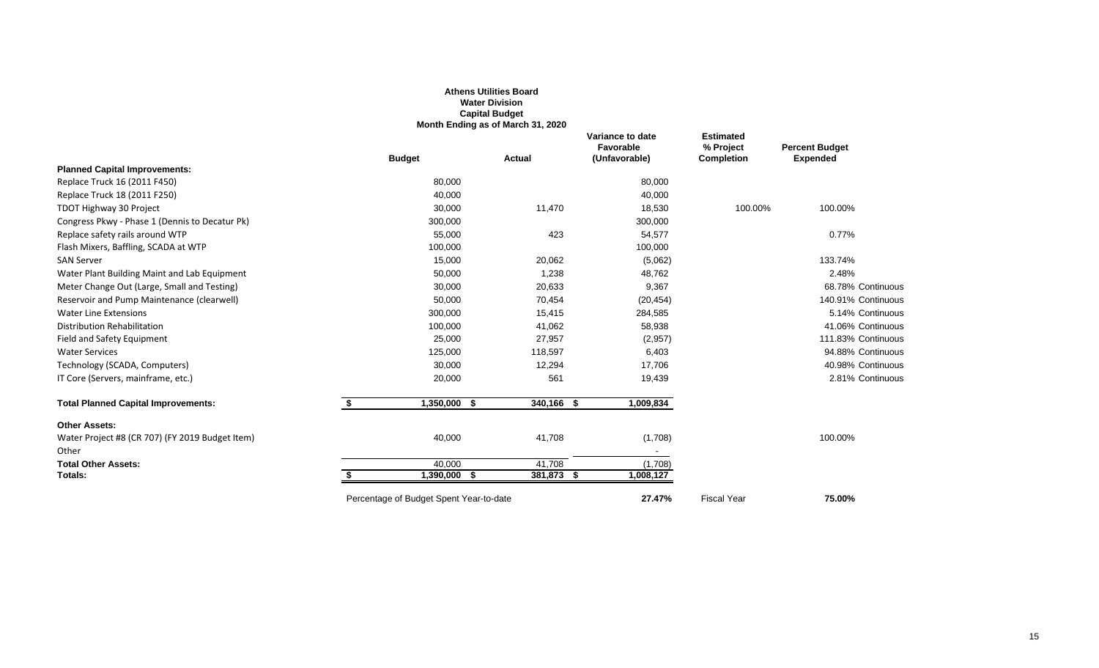|                                                          |                                         | <b>Athens Utilities Board</b><br><b>Water Division</b><br><b>Capital Budget</b><br>Month Ending as of March 31, 2020 |                                                |                                                    |                                          |
|----------------------------------------------------------|-----------------------------------------|----------------------------------------------------------------------------------------------------------------------|------------------------------------------------|----------------------------------------------------|------------------------------------------|
|                                                          | <b>Budget</b>                           | Actual                                                                                                               | Variance to date<br>Favorable<br>(Unfavorable) | <b>Estimated</b><br>% Project<br><b>Completion</b> | <b>Percent Budget</b><br><b>Expended</b> |
| <b>Planned Capital Improvements:</b>                     |                                         |                                                                                                                      |                                                |                                                    |                                          |
| Replace Truck 16 (2011 F450)                             | 80,000                                  |                                                                                                                      | 80,000                                         |                                                    |                                          |
| Replace Truck 18 (2011 F250)                             | 40,000                                  |                                                                                                                      | 40,000                                         |                                                    |                                          |
| TDOT Highway 30 Project                                  | 30,000                                  | 11,470                                                                                                               | 18,530                                         | 100.00%                                            | 100.00%                                  |
| Congress Pkwy - Phase 1 (Dennis to Decatur Pk)           | 300,000                                 |                                                                                                                      | 300,000                                        |                                                    |                                          |
| Replace safety rails around WTP                          | 55,000                                  | 423                                                                                                                  | 54,577                                         |                                                    | 0.77%                                    |
| Flash Mixers, Baffling, SCADA at WTP                     | 100,000                                 |                                                                                                                      | 100,000                                        |                                                    |                                          |
| <b>SAN Server</b>                                        | 15,000                                  | 20,062                                                                                                               | (5,062)                                        |                                                    | 133.74%                                  |
| Water Plant Building Maint and Lab Equipment             | 50,000                                  | 1,238                                                                                                                | 48,762                                         |                                                    | 2.48%                                    |
| Meter Change Out (Large, Small and Testing)              | 30,000                                  | 20,633                                                                                                               | 9,367                                          |                                                    | 68.78% Continuous                        |
| Reservoir and Pump Maintenance (clearwell)               | 50,000                                  | 70,454                                                                                                               | (20, 454)                                      |                                                    | 140.91% Continuous                       |
| <b>Water Line Extensions</b>                             | 300,000                                 | 15,415                                                                                                               | 284,585                                        |                                                    | 5.14% Continuous                         |
| <b>Distribution Rehabilitation</b>                       | 100,000                                 | 41,062                                                                                                               | 58,938                                         |                                                    | 41.06% Continuous                        |
| Field and Safety Equipment                               | 25,000                                  | 27,957                                                                                                               | (2,957)                                        |                                                    | 111.83% Continuous                       |
| <b>Water Services</b>                                    | 125,000                                 | 118,597                                                                                                              | 6,403                                          |                                                    | 94.88% Continuous                        |
| Technology (SCADA, Computers)                            | 30,000                                  | 12,294                                                                                                               | 17,706                                         |                                                    | 40.98% Continuous                        |
| IT Core (Servers, mainframe, etc.)                       | 20,000                                  | 561                                                                                                                  | 19,439                                         |                                                    | 2.81% Continuous                         |
| <b>Total Planned Capital Improvements:</b>               | \$<br>$1,350,000$ \$                    | $340,166$ \$                                                                                                         | 1,009,834                                      |                                                    |                                          |
| <b>Other Assets:</b>                                     |                                         |                                                                                                                      |                                                |                                                    |                                          |
| Water Project #8 (CR 707) (FY 2019 Budget Item)<br>Other | 40,000                                  | 41,708                                                                                                               | (1,708)                                        |                                                    | 100.00%                                  |
| <b>Total Other Assets:</b>                               | 40.000                                  | 41,708                                                                                                               | (1,708)                                        |                                                    |                                          |
| Totals:                                                  | 1,390,000                               | 381,873 \$<br>- \$                                                                                                   | 1,008,127                                      |                                                    |                                          |
|                                                          | Percentage of Budget Spent Year-to-date |                                                                                                                      | 27.47%                                         | <b>Fiscal Year</b>                                 | 75.00%                                   |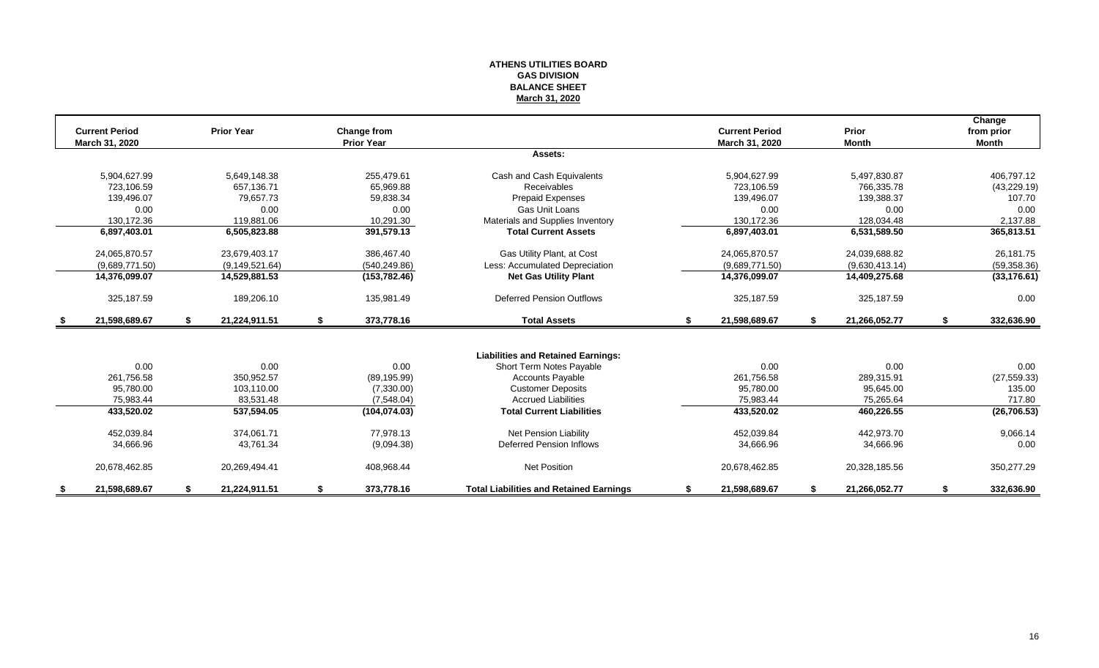#### **ATHENS UTILITIES BOARD GAS DIVISION BALANCE SHEET March 31, 2020**

|      | <b>Current Period</b> | <b>Prior Year</b>   | Change from       |                                                |    | <b>Current Period</b> |     | Prior          | Change<br>from prior |
|------|-----------------------|---------------------|-------------------|------------------------------------------------|----|-----------------------|-----|----------------|----------------------|
|      | March 31, 2020        |                     | <b>Prior Year</b> |                                                |    | March 31, 2020        |     | <b>Month</b>   | <b>Month</b>         |
|      |                       |                     |                   | Assets:                                        |    |                       |     |                |                      |
|      | 5,904,627.99          | 5,649,148.38        | 255.479.61        | Cash and Cash Equivalents                      |    | 5,904,627.99          |     | 5,497,830.87   | 406,797.12           |
|      | 723.106.59            | 657.136.71          | 65.969.88         | <b>Receivables</b>                             |    | 723.106.59            |     | 766.335.78     | (43, 229.19)         |
|      | 139,496.07            | 79,657.73           | 59,838.34         | <b>Prepaid Expenses</b>                        |    | 139,496.07            |     | 139,388.37     | 107.70               |
|      | 0.00                  | 0.00                | 0.00              | Gas Unit Loans                                 |    | 0.00                  |     | 0.00           | 0.00                 |
|      | 130,172.36            | 119.881.06          | 10,291.30         | Materials and Supplies Inventory               |    | 130,172.36            |     | 128,034.48     | 2,137.88             |
|      | 6,897,403.01          | 6,505,823.88        | 391,579.13        | <b>Total Current Assets</b>                    |    | 6,897,403.01          |     | 6,531,589.50   | 365,813.51           |
|      | 24,065,870.57         | 23,679,403.17       | 386,467.40        | Gas Utility Plant, at Cost                     |    | 24,065,870.57         |     | 24,039,688.82  | 26,181.75            |
|      | (9.689.771.50)        | (9, 149, 521.64)    | (540, 249.86)     | Less: Accumulated Depreciation                 |    | (9,689,771.50)        |     | (9,630,413.14) | (59, 358.36)         |
|      | 14,376,099.07         | 14,529,881.53       | (153, 782.46)     | <b>Net Gas Utility Plant</b>                   |    | 14,376,099.07         |     | 14,409,275.68  | (33, 176.61)         |
|      | 325,187.59            | 189,206.10          | 135,981.49        | <b>Deferred Pension Outflows</b>               |    | 325,187.59            |     | 325,187.59     | 0.00                 |
| - \$ | 21,598,689.67         | \$<br>21,224,911.51 | \$<br>373,778.16  | <b>Total Assets</b>                            | S. | 21,598,689.67         | \$  | 21,266,052.77  | \$<br>332,636.90     |
|      |                       |                     |                   |                                                |    |                       |     |                |                      |
|      |                       |                     |                   | <b>Liabilities and Retained Earnings:</b>      |    |                       |     |                |                      |
|      | 0.00                  | 0.00                | 0.00              | Short Term Notes Payable                       |    | 0.00                  |     | 0.00           | 0.00                 |
|      | 261.756.58            | 350.952.57          | (89, 195.99)      | <b>Accounts Payable</b>                        |    | 261.756.58            |     | 289,315.91     | (27, 559.33)         |
|      | 95,780.00             | 103,110.00          | (7,330.00)        | <b>Customer Deposits</b>                       |    | 95,780.00             |     | 95,645.00      | 135.00               |
|      | 75,983.44             | 83,531.48           | (7,548.04)        | <b>Accrued Liabilities</b>                     |    | 75.983.44             |     | 75,265.64      | 717.80               |
|      | 433,520.02            | 537,594.05          | (104, 074.03)     | <b>Total Current Liabilities</b>               |    | 433,520.02            |     | 460,226.55     | (26, 706.53)         |
|      | 452,039.84            | 374.061.71          | 77.978.13         | <b>Net Pension Liability</b>                   |    | 452.039.84            |     | 442.973.70     | 9,066.14             |
|      | 34,666.96             | 43.761.34           | (9,094.38)        | Deferred Pension Inflows                       |    | 34,666.96             |     | 34,666.96      | 0.00                 |
|      | 20,678,462.85         | 20.269.494.41       | 408,968.44        | Net Position                                   |    | 20,678,462.85         |     | 20,328,185.56  | 350,277.29           |
| S.   | 21,598,689.67         | \$<br>21,224,911.51 | \$<br>373,778.16  | <b>Total Liabilities and Retained Earnings</b> | S. | 21,598,689.67         | -96 | 21,266,052.77  | \$<br>332,636.90     |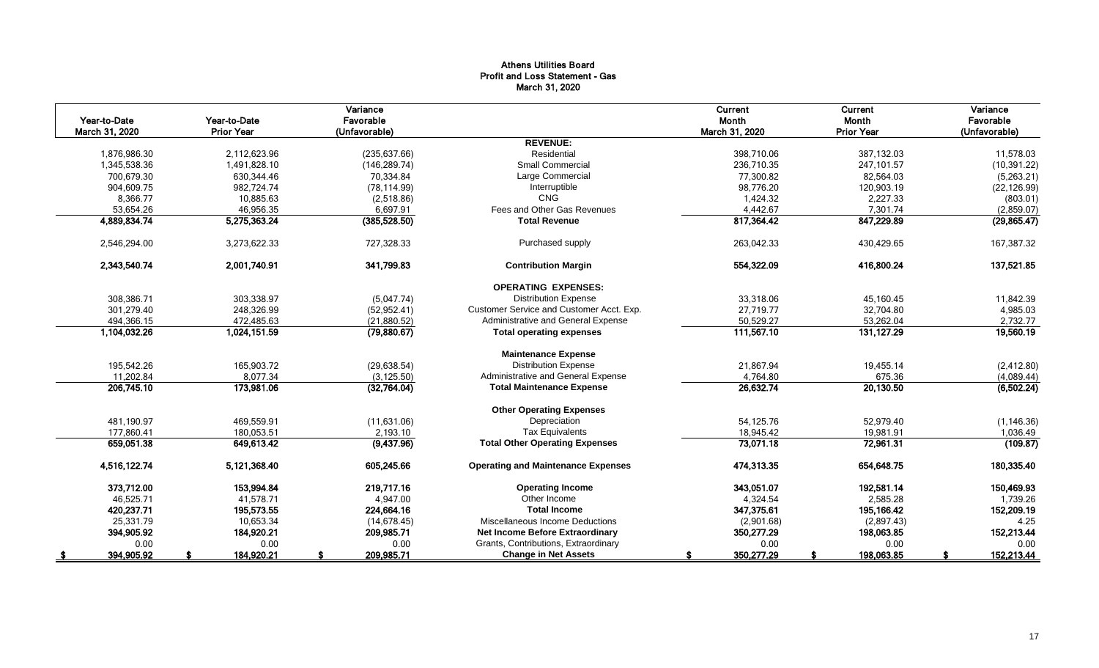#### Athens Utilities Board Profit and Loss Statement - Gas March 31, 2020

| Year-to-Date<br>March 31, 2020 | Year-to-Date<br><b>Prior Year</b> | Variance<br>Favorable<br>(Unfavorable) |                                           | Current<br>Month<br>March 31, 2020 | Current<br>Month<br><b>Prior Year</b> | Variance<br>Favorable<br>(Unfavorable) |
|--------------------------------|-----------------------------------|----------------------------------------|-------------------------------------------|------------------------------------|---------------------------------------|----------------------------------------|
|                                |                                   |                                        | <b>REVENUE:</b>                           |                                    |                                       |                                        |
| 1,876,986.30                   | 2,112,623.96                      | (235, 637.66)                          | Residential                               | 398,710.06                         | 387,132.03                            | 11,578.03                              |
| 1,345,538.36                   | 1,491,828.10                      | (146, 289.74)                          | <b>Small Commercial</b>                   | 236,710.35                         | 247,101.57                            | (10, 391.22)                           |
| 700,679.30                     | 630,344.46                        | 70,334.84                              | Large Commercial                          | 77,300.82                          | 82,564.03                             | (5,263.21)                             |
| 904,609.75                     | 982,724.74                        | (78, 114.99)                           | Interruptible                             | 98,776.20                          | 120,903.19                            | (22, 126.99)                           |
| 8,366.77                       | 10,885.63                         | (2,518.86)                             | <b>CNG</b>                                | 1,424.32                           | 2,227.33                              | (803.01)                               |
| 53,654.26                      | 46,956.35                         | 6,697.91                               | Fees and Other Gas Revenues               | 4,442.67                           | 7,301.74                              | (2,859.07)                             |
| 4,889,834.74                   | 5,275,363.24                      | (385, 528.50)                          | <b>Total Revenue</b>                      | 817,364.42                         | 847,229.89                            | (29, 865.47)                           |
| 2,546,294.00                   | 3,273,622.33                      | 727,328.33                             | Purchased supply                          | 263,042.33                         | 430,429.65                            | 167,387.32                             |
| 2,343,540.74                   | 2,001,740.91                      | 341,799.83                             | <b>Contribution Margin</b>                | 554,322.09                         | 416,800.24                            | 137,521.85                             |
|                                |                                   |                                        | <b>OPERATING EXPENSES:</b>                |                                    |                                       |                                        |
| 308,386.71                     | 303,338.97                        | (5,047.74)                             | <b>Distribution Expense</b>               | 33,318.06                          | 45,160.45                             | 11,842.39                              |
| 301.279.40                     | 248.326.99                        | (52, 952.41)                           | Customer Service and Customer Acct. Exp.  | 27.719.77                          | 32,704.80                             | 4,985.03                               |
| 494,366.15                     | 472,485.63                        | (21,880.52)                            | Administrative and General Expense        | 50,529.27                          | 53,262.04                             | 2,732.77                               |
| 1,104,032.26                   | 1,024,151.59                      | (79,880.67)                            | <b>Total operating expenses</b>           | 111,567.10                         | 131,127.29                            | 19,560.19                              |
|                                |                                   |                                        | <b>Maintenance Expense</b>                |                                    |                                       |                                        |
| 195,542.26                     | 165,903.72                        | (29, 638.54)                           | <b>Distribution Expense</b>               | 21,867.94                          | 19,455.14                             | (2,412.80)                             |
| 11,202.84                      | 8,077.34                          | (3, 125.50)                            | Administrative and General Expense        | 4,764.80                           | 675.36                                | (4,089.44)                             |
| 206,745.10                     | 173,981.06                        | (32,764.04)                            | <b>Total Maintenance Expense</b>          | 26,632.74                          | 20,130.50                             | (6, 502.24)                            |
|                                |                                   |                                        | <b>Other Operating Expenses</b>           |                                    |                                       |                                        |
| 481,190.97                     | 469,559.91                        | (11,631.06)                            | Depreciation                              | 54,125.76                          | 52,979.40                             | (1, 146.36)                            |
| 177,860.41                     | 180,053.51                        | 2,193.10                               | <b>Tax Equivalents</b>                    | 18,945.42                          | 19,981.91                             | 1,036.49                               |
| 659,051.38                     | 649.613.42                        | (9,437.96)                             | <b>Total Other Operating Expenses</b>     | 73,071.18                          | 72,961.31                             | (109.87)                               |
| 4,516,122.74                   | 5,121,368.40                      | 605,245.66                             | <b>Operating and Maintenance Expenses</b> | 474,313.35                         | 654,648.75                            | 180,335.40                             |
| 373,712.00                     | 153,994.84                        | 219.717.16                             | <b>Operating Income</b>                   | 343,051.07                         | 192,581.14                            | 150,469.93                             |
| 46,525.71                      | 41,578.71                         | 4,947.00                               | Other Income                              | 4,324.54                           | 2,585.28                              | 1,739.26                               |
| 420,237.71                     | 195,573.55                        | 224,664.16                             | <b>Total Income</b>                       | 347,375.61                         | 195,166.42                            | 152,209.19                             |
| 25,331.79                      | 10,653.34                         | (14, 678.45)                           | Miscellaneous Income Deductions           | (2,901.68)                         | (2,897.43)                            | 4.25                                   |
| 394,905.92                     | 184,920.21                        | 209,985.71                             | <b>Net Income Before Extraordinary</b>    | 350,277.29                         | 198,063.85                            | 152,213.44                             |
| 0.00                           | 0.00                              | 0.00                                   | Grants, Contributions, Extraordinary      | 0.00                               | 0.00                                  | 0.00                                   |
| 394,905.92                     | 184,920.21                        | 209,985.71                             | <b>Change in Net Assets</b>               | 350,277.29                         | 198,063.85                            | 152,213.44                             |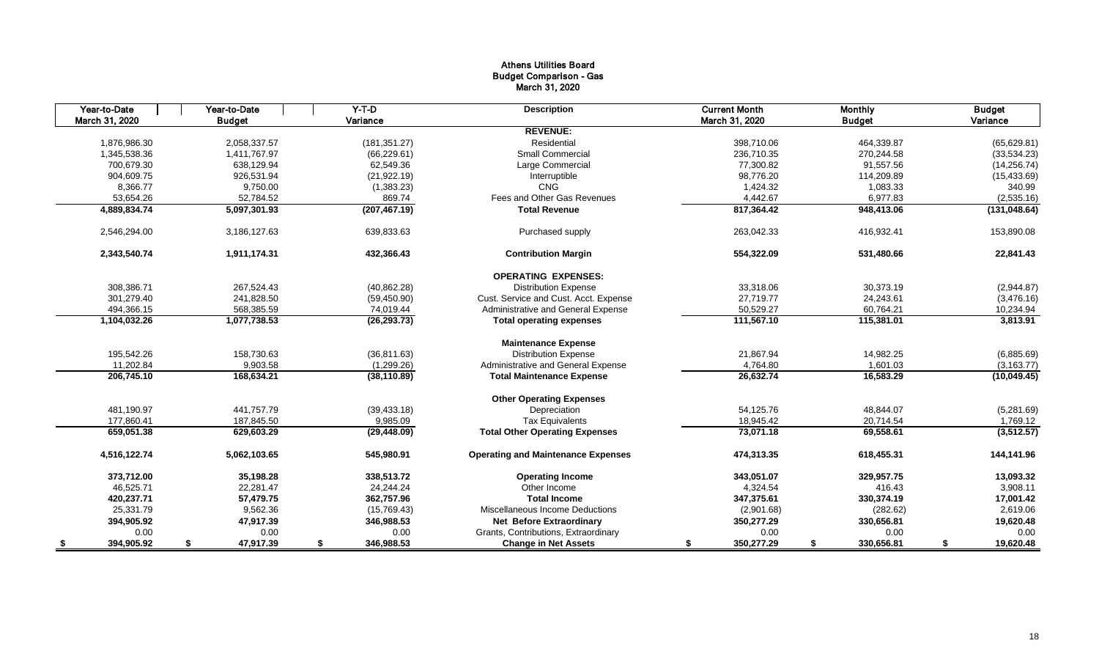#### Athens Utilities Board Budget Comparison - Gas March 31, 2020

| Year-to-Date   | Year-to-Date    | $Y-T-D$          | <b>Description</b>                        | <b>Current Month</b> | <b>Monthly</b>   | <b>Budget</b>   |
|----------------|-----------------|------------------|-------------------------------------------|----------------------|------------------|-----------------|
| March 31, 2020 | <b>Budget</b>   | Variance         |                                           | March 31, 2020       | <b>Budget</b>    | Variance        |
|                |                 |                  | <b>REVENUE:</b>                           |                      |                  |                 |
| 1.876.986.30   | 2,058,337.57    | (181, 351.27)    | Residential                               | 398.710.06           | 464.339.87       | (65, 629.81)    |
| 1,345,538.36   | 1,411,767.97    | (66, 229.61)     | <b>Small Commercial</b>                   | 236,710.35           | 270,244.58       | (33,534.23)     |
| 700.679.30     | 638.129.94      | 62.549.36        | Large Commercial                          | 77,300.82            | 91,557.56        | (14, 256.74)    |
| 904,609.75     | 926,531.94      | (21, 922.19)     | Interruptible                             | 98,776.20            | 114,209.89       | (15, 433.69)    |
| 8,366.77       | 9,750.00        | (1,383.23)       | CNG                                       | 1,424.32             | 1,083.33         | 340.99          |
| 53,654.26      | 52,784.52       | 869.74           | Fees and Other Gas Revenues               | 4,442.67             | 6,977.83         | (2,535.16)      |
| 4,889,834.74   | 5,097,301.93    | (207, 467.19)    | <b>Total Revenue</b>                      | 817,364.42           | 948,413.06       | (131, 048.64)   |
| 2,546,294.00   | 3,186,127.63    | 639,833.63       | Purchased supply                          | 263,042.33           | 416,932.41       | 153,890.08      |
| 2,343,540.74   | 1,911,174.31    | 432,366.43       | <b>Contribution Margin</b>                | 554,322.09           | 531,480.66       | 22,841.43       |
|                |                 |                  | <b>OPERATING EXPENSES:</b>                |                      |                  |                 |
| 308,386.71     | 267,524.43      | (40, 862.28)     | <b>Distribution Expense</b>               | 33,318.06            | 30,373.19        | (2,944.87)      |
| 301.279.40     | 241,828.50      | (59, 450.90)     | Cust. Service and Cust. Acct. Expense     | 27,719.77            | 24,243.61        | (3,476.16)      |
| 494,366.15     | 568,385.59      | 74,019.44        | Administrative and General Expense        | 50,529.27            | 60,764.21        | 10,234.94       |
| 1,104,032.26   | 1,077,738.53    | (26, 293.73)     | <b>Total operating expenses</b>           | 111,567.10           | 115,381.01       | 3,813.91        |
|                |                 |                  | <b>Maintenance Expense</b>                |                      |                  |                 |
| 195,542.26     | 158,730.63      | (36, 811.63)     | <b>Distribution Expense</b>               | 21,867.94            | 14,982.25        | (6,885.69)      |
| 11,202.84      | 9,903.58        | (1,299.26)       | Administrative and General Expense        | 4,764.80             | 1,601.03         | (3, 163.77)     |
| 206,745.10     | 168,634.21      | (38, 110.89)     | <b>Total Maintenance Expense</b>          | 26,632.74            | 16,583.29        | (10,049.45)     |
|                |                 |                  | <b>Other Operating Expenses</b>           |                      |                  |                 |
| 481,190.97     | 441.757.79      | (39, 433.18)     | Depreciation                              | 54,125.76            | 48,844.07        | (5,281.69)      |
| 177,860.41     | 187,845.50      | 9,985.09         | <b>Tax Equivalents</b>                    | 18,945.42            | 20,714.54        | 1,769.12        |
| 659,051.38     | 629,603.29      | (29, 448.09)     | <b>Total Other Operating Expenses</b>     | 73,071.18            | 69,558.61        | (3,512.57)      |
| 4,516,122.74   | 5.062.103.65    | 545.980.91       | <b>Operating and Maintenance Expenses</b> | 474,313.35           | 618,455.31       | 144,141.96      |
| 373.712.00     | 35,198.28       | 338.513.72       | <b>Operating Income</b>                   | 343,051.07           | 329.957.75       | 13,093.32       |
| 46,525.71      | 22,281.47       | 24,244.24        | Other Income                              | 4,324.54             | 416.43           | 3,908.11        |
| 420.237.71     | 57,479.75       | 362,757.96       | <b>Total Income</b>                       | 347,375.61           | 330,374.19       | 17,001.42       |
| 25,331.79      | 9,562.36        | (15,769.43)      | Miscellaneous Income Deductions           | (2,901.68)           | (282.62)         | 2,619.06        |
| 394,905.92     | 47,917.39       | 346,988.53       | <b>Net Before Extraordinary</b>           | 350,277.29           | 330,656.81       | 19,620.48       |
| 0.00           | 0.00            | 0.00             | Grants, Contributions, Extraordinary      | 0.00                 | 0.00             | 0.00            |
| 394,905.92     | 47,917.39<br>\$ | \$<br>346,988.53 | <b>Change in Net Assets</b>               | 350,277.29<br>S      | 330,656.81<br>\$ | 19,620.48<br>\$ |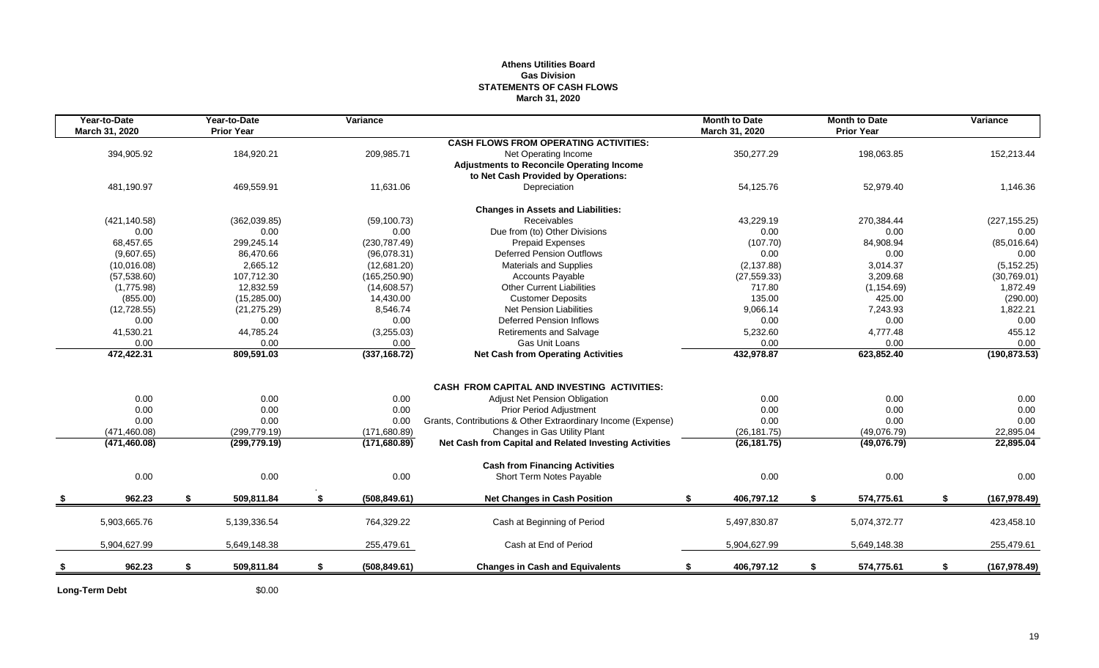#### **Athens Utilities Board Gas Division STATEMENTS OF CASH FLOWS March 31, 2020**

| Year-to-Date<br>March 31, 2020 | Year-to-Date<br><b>Prior Year</b> | Variance            |                                                              | <b>Month to Date</b><br>March 31, 2020 | <b>Month to Date</b><br><b>Prior Year</b> | Variance            |
|--------------------------------|-----------------------------------|---------------------|--------------------------------------------------------------|----------------------------------------|-------------------------------------------|---------------------|
|                                |                                   |                     | <b>CASH FLOWS FROM OPERATING ACTIVITIES:</b>                 |                                        |                                           |                     |
| 394,905.92                     | 184,920.21                        | 209,985.71          | Net Operating Income                                         | 350,277.29                             | 198,063.85                                | 152,213.44          |
|                                |                                   |                     | <b>Adjustments to Reconcile Operating Income</b>             |                                        |                                           |                     |
|                                |                                   |                     | to Net Cash Provided by Operations:                          |                                        |                                           |                     |
| 481,190.97                     | 469,559.91                        | 11,631.06           | Depreciation                                                 | 54,125.76                              | 52,979.40                                 | 1,146.36            |
|                                |                                   |                     | <b>Changes in Assets and Liabilities:</b>                    |                                        |                                           |                     |
| (421, 140.58)                  | (362,039.85)                      | (59, 100.73)        | Receivables                                                  | 43,229.19                              | 270,384.44                                | (227, 155.25)       |
| 0.00                           | 0.00                              | 0.00                | Due from (to) Other Divisions                                | 0.00                                   | 0.00                                      | 0.00                |
| 68,457.65                      | 299,245.14                        | (230, 787.49)       | <b>Prepaid Expenses</b>                                      | (107.70)                               | 84,908.94                                 | (85,016.64)         |
| (9,607.65)                     | 86,470.66                         | (96,078.31)         | <b>Deferred Pension Outflows</b>                             | 0.00                                   | 0.00                                      | 0.00                |
| (10,016.08)                    | 2,665.12                          | (12,681.20)         | <b>Materials and Supplies</b>                                | (2, 137.88)                            | 3,014.37                                  | (5, 152.25)         |
| (57, 538.60)                   | 107,712.30                        | (165, 250.90)       | <b>Accounts Payable</b>                                      | (27, 559.33)                           | 3,209.68                                  | (30,769.01)         |
| (1,775.98)                     | 12,832.59                         | (14,608.57)         | <b>Other Current Liabilities</b>                             | 717.80                                 | (1, 154.69)                               | 1,872.49            |
| (855.00)                       | (15, 285.00)                      | 14,430.00           | <b>Customer Deposits</b>                                     | 135.00                                 | 425.00                                    | (290.00)            |
| (12, 728.55)                   | (21, 275.29)                      | 8,546.74            | <b>Net Pension Liabilities</b>                               | 9,066.14                               | 7,243.93                                  | 1,822.21            |
| 0.00                           | 0.00                              | 0.00                | Deferred Pension Inflows                                     | 0.00                                   | 0.00                                      | 0.00                |
| 41,530.21                      | 44,785.24                         | (3,255.03)          | Retirements and Salvage                                      | 5,232.60                               | 4,777.48                                  | 455.12              |
| 0.00                           | 0.00                              | 0.00                | Gas Unit Loans                                               | 0.00                                   | 0.00                                      | 0.00                |
| 472,422.31                     | 809,591.03                        | (337, 168.72)       | <b>Net Cash from Operating Activities</b>                    | 432,978.87                             | 623,852.40                                | (190, 873.53)       |
|                                |                                   |                     |                                                              |                                        |                                           |                     |
|                                |                                   |                     | <b>CASH FROM CAPITAL AND INVESTING ACTIVITIES:</b>           |                                        |                                           |                     |
| 0.00                           | 0.00                              | 0.00                | Adjust Net Pension Obligation                                | 0.00                                   | 0.00                                      | 0.00                |
| 0.00                           | 0.00                              | 0.00                | Prior Period Adjustment                                      | 0.00                                   | 0.00                                      | 0.00                |
| 0.00                           | 0.00                              | 0.00                | Grants, Contributions & Other Extraordinary Income (Expense) | 0.00                                   | 0.00                                      | 0.00                |
| (471, 460.08)                  | (299, 779.19)                     | (171, 680.89)       | Changes in Gas Utility Plant                                 | (26, 181.75)                           | (49,076.79)                               | 22,895.04           |
| (471, 460.08)                  | (299, 779.19)                     | (171,680.89)        | Net Cash from Capital and Related Investing Activities       | (26, 181.75)                           | (49,076.79)                               | 22,895.04           |
|                                |                                   |                     | <b>Cash from Financing Activities</b>                        |                                        |                                           |                     |
| 0.00                           | 0.00                              | 0.00                | Short Term Notes Payable                                     | 0.00                                   | 0.00                                      | 0.00                |
| 962.23                         | \$<br>509,811.84                  | \$<br>(508, 849.61) | <b>Net Changes in Cash Position</b>                          | 406,797.12<br>\$                       | \$<br>574,775.61                          | \$<br>(167, 978.49) |
|                                |                                   |                     |                                                              |                                        |                                           |                     |
| 5,903,665.76                   | 5,139,336.54                      | 764,329.22          | Cash at Beginning of Period                                  | 5,497,830.87                           | 5,074,372.77                              | 423,458.10          |
| 5,904,627.99                   | 5,649,148.38                      | 255,479.61          | Cash at End of Period                                        | 5,904,627.99                           | 5,649,148.38                              | 255,479.61          |
| 962.23                         | \$<br>509,811.84                  | \$<br>(508, 849.61) | <b>Changes in Cash and Equivalents</b>                       | 406,797.12<br>S.                       | \$<br>574,775.61                          | \$<br>(167, 978.49) |
|                                |                                   |                     |                                                              |                                        |                                           |                     |

**Long-Term Debt** \$0.00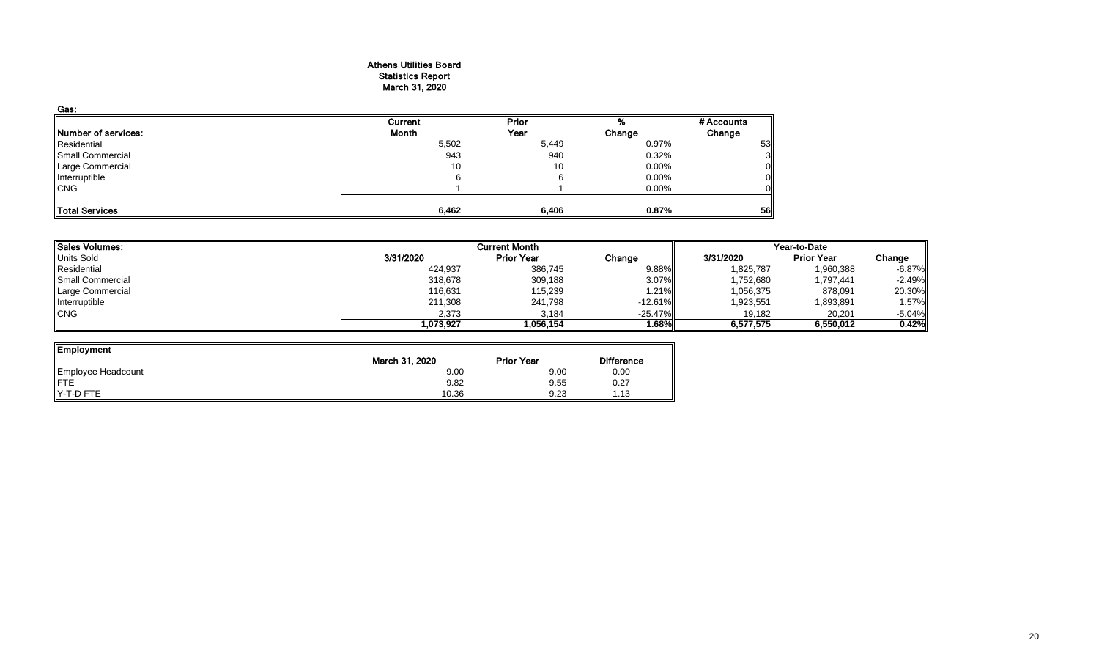#### Athens Utilities Board Statistics Report March 31, 2020

| Gas:                |         |              |          |            |
|---------------------|---------|--------------|----------|------------|
|                     | Current | <b>Prior</b> |          | # Accounts |
| Number of services: | Month   | Year         | Change   | Change     |
| Residential         | 5,502   | 5,449        | 0.97%    | 53         |
| Small Commercial    | 943     | 940          | 0.32%    |            |
| Large Commercial    | 10      | 10           | $0.00\%$ | 0          |
| Interruptible       | 6       |              | 0.00%    |            |
| <b>CNG</b>          |         |              | 0.00%    |            |
| Total Services      | 6,462   | 6,406        | 0.87%    | 56         |

| Sales Volumes:          |           | <b>Current Month</b> |            | Year-to-Date |                   |          |  |  |
|-------------------------|-----------|----------------------|------------|--------------|-------------------|----------|--|--|
| Units Sold              | 3/31/2020 | <b>Prior Year</b>    | Change     | 3/31/2020    | <b>Prior Year</b> | Change   |  |  |
| Residential             | 424,937   | 386,745              | $9.88\%$   | 1,825,787    | 1,960,388         | -6.87%   |  |  |
| <b>Small Commercial</b> | 318,678   | 309,188              | 3.07%      | 1,752,680    | 1,797,441         | $-2.49%$ |  |  |
| Large Commercial        | 116,631   | 115,239              | 1.21%      | 1,056,375    | 878,091           | 20.30%   |  |  |
| Interruptible           | 211,308   | 241,798              | $-12.61\%$ | 1,923,551    | 1,893,891         | 1.57%    |  |  |
| <b>CNG</b>              | 2,373     | 3,184                | $-25.47%$  | 19,182       | 20,201            | $-5.04%$ |  |  |
|                         | 1,073,927 | 1,056,154            | 1.68%      | 6.577.575    | 6,550,012         | 0.42%    |  |  |

ᆜ

| Employment                     |                |                   |                   |
|--------------------------------|----------------|-------------------|-------------------|
|                                | March 31, 2020 | <b>Prior Year</b> | <b>Difference</b> |
| Employee Headcount             | 9.00           | 9.00              | 0.00              |
| <b>IFTE</b>                    | 9.82           | 9.55              | 0.27              |
| $\blacktriangleright$ -T-D FTE | 10.36          | 9.23              | l.13              |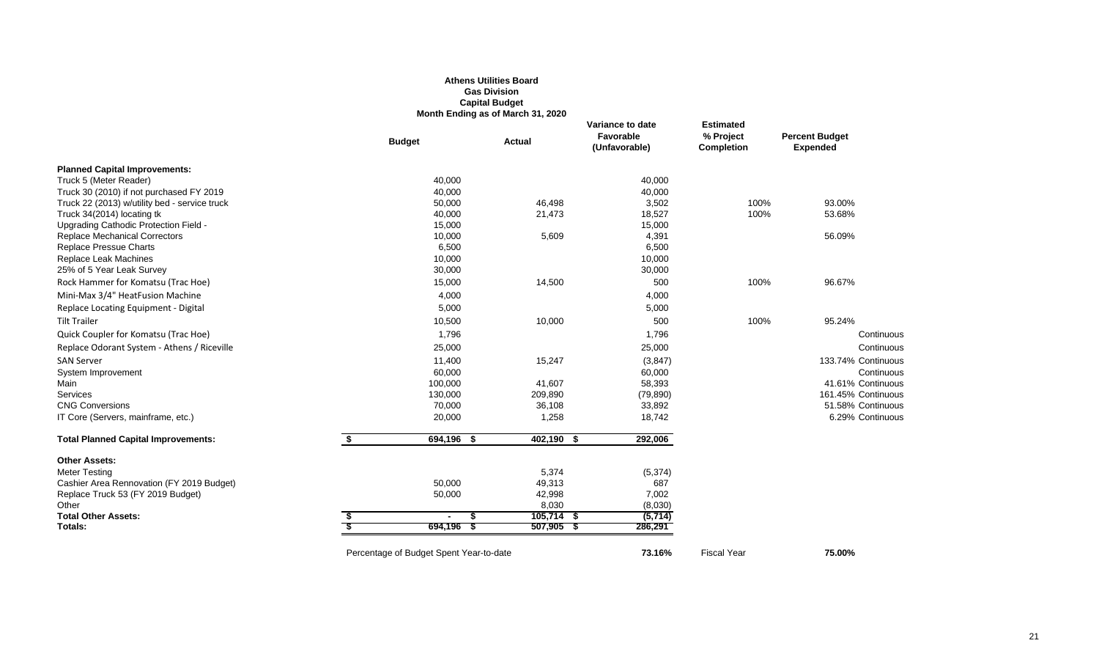#### **Athens Utilities Board Gas Division Capital Budget Month Ending as of March 31, 2020**

|                                               | <b>Budget</b>                           | <b>Actual</b> | Variance to date<br>Favorable<br>(Unfavorable) | <b>Estimated</b><br>% Project<br><b>Completion</b> | <b>Percent Budget</b><br><b>Expended</b> |
|-----------------------------------------------|-----------------------------------------|---------------|------------------------------------------------|----------------------------------------------------|------------------------------------------|
| <b>Planned Capital Improvements:</b>          |                                         |               |                                                |                                                    |                                          |
| Truck 5 (Meter Reader)                        | 40,000                                  |               | 40,000                                         |                                                    |                                          |
| Truck 30 (2010) if not purchased FY 2019      | 40,000                                  |               | 40,000                                         |                                                    |                                          |
| Truck 22 (2013) w/utility bed - service truck | 50,000                                  | 46,498        | 3,502                                          | 100%                                               | 93.00%                                   |
| Truck 34(2014) locating tk                    | 40,000                                  | 21,473        | 18,527                                         | 100%                                               | 53.68%                                   |
| Upgrading Cathodic Protection Field -         | 15,000                                  |               | 15,000                                         |                                                    |                                          |
| <b>Replace Mechanical Correctors</b>          | 10,000                                  | 5,609         | 4,391                                          |                                                    | 56.09%                                   |
| <b>Replace Pressue Charts</b>                 | 6,500                                   |               | 6,500                                          |                                                    |                                          |
| Replace Leak Machines                         | 10,000                                  |               | 10,000                                         |                                                    |                                          |
| 25% of 5 Year Leak Survey                     | 30,000                                  |               | 30,000                                         |                                                    |                                          |
| Rock Hammer for Komatsu (Trac Hoe)            | 15,000                                  | 14,500        | 500                                            | 100%                                               | 96.67%                                   |
| Mini-Max 3/4" HeatFusion Machine              | 4,000                                   |               | 4,000                                          |                                                    |                                          |
| Replace Locating Equipment - Digital          | 5,000                                   |               | 5,000                                          |                                                    |                                          |
| <b>Tilt Trailer</b>                           | 10,500                                  | 10,000        | 500                                            | 100%                                               | 95.24%                                   |
| Quick Coupler for Komatsu (Trac Hoe)          | 1,796                                   |               | 1,796                                          |                                                    | Continuous                               |
| Replace Odorant System - Athens / Riceville   | 25,000                                  |               | 25,000                                         |                                                    | Continuous                               |
| <b>SAN Server</b>                             | 11,400                                  | 15,247        | (3, 847)                                       |                                                    | 133.74% Continuous                       |
| System Improvement                            | 60,000                                  |               | 60,000                                         |                                                    | Continuous                               |
| Main                                          | 100,000                                 | 41,607        | 58,393                                         |                                                    | 41.61% Continuous                        |
| Services                                      | 130,000                                 | 209,890       | (79, 890)                                      |                                                    | 161.45% Continuous                       |
| <b>CNG Conversions</b>                        | 70,000                                  | 36,108        | 33,892                                         |                                                    | 51.58% Continuous                        |
| IT Core (Servers, mainframe, etc.)            | 20,000                                  | 1,258         | 18,742                                         |                                                    | 6.29% Continuous                         |
| <b>Total Planned Capital Improvements:</b>    | \$<br>694,196<br>- \$                   | $402,190$ \$  | 292,006                                        |                                                    |                                          |
| <b>Other Assets:</b>                          |                                         |               |                                                |                                                    |                                          |
| <b>Meter Testing</b>                          |                                         | 5,374         | (5, 374)                                       |                                                    |                                          |
| Cashier Area Rennovation (FY 2019 Budget)     | 50,000                                  | 49,313        | 687                                            |                                                    |                                          |
| Replace Truck 53 (FY 2019 Budget)             | 50,000                                  | 42,998        | 7,002                                          |                                                    |                                          |
| Other                                         |                                         | 8,030         | (8,030)                                        |                                                    |                                          |
| <b>Total Other Assets:</b>                    | $\blacksquare$                          | $105,714$ \$  | (5, 714)                                       |                                                    |                                          |
| Totals:                                       | 694,196                                 | $507,905$ \$  | 286,291                                        |                                                    |                                          |
|                                               | Percentage of Budget Spent Year-to-date |               | 73.16%                                         | <b>Fiscal Year</b>                                 | 75.00%                                   |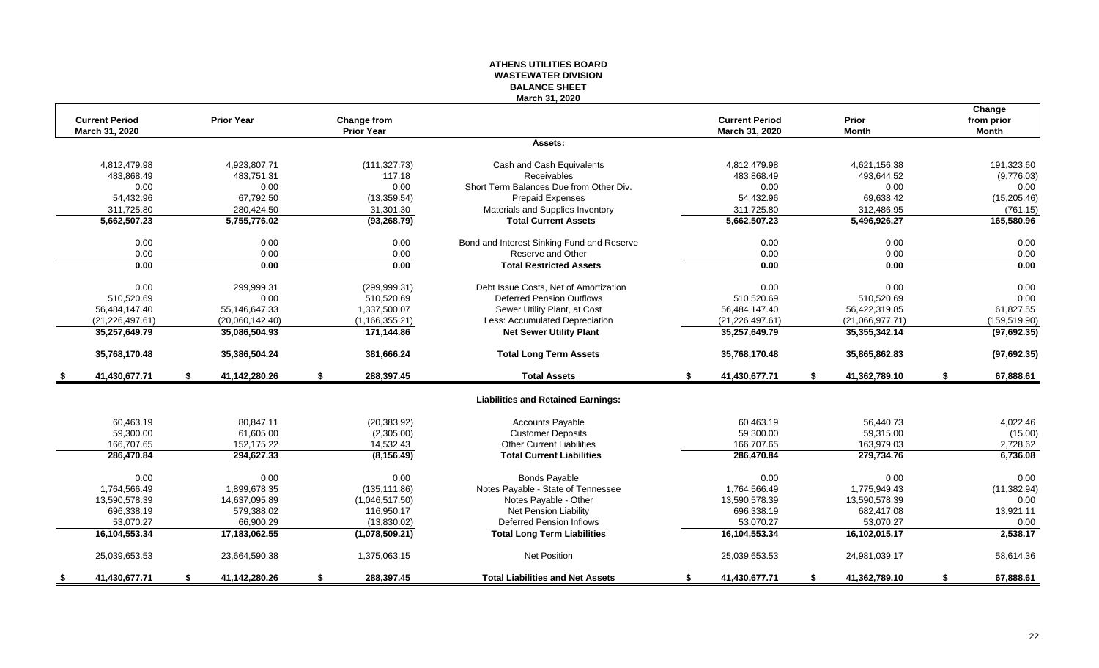#### **ATHENS UTILITIES BOARD WASTEWATER DIVISION BALANCE SHEET March 31, 2020**

|      |                                         |                     |                                  |                                            |    | <b>Current Period</b> | Prior               | Change                     |
|------|-----------------------------------------|---------------------|----------------------------------|--------------------------------------------|----|-----------------------|---------------------|----------------------------|
|      | <b>Current Period</b><br>March 31, 2020 | <b>Prior Year</b>   | Change from<br><b>Prior Year</b> |                                            |    | March 31, 2020        | <b>Month</b>        | from prior<br><b>Month</b> |
|      |                                         |                     |                                  | Assets:                                    |    |                       |                     |                            |
|      | 4.812.479.98                            | 4,923,807.71        | (111, 327.73)                    | Cash and Cash Equivalents                  |    | 4.812.479.98          | 4.621.156.38        | 191,323.60                 |
|      | 483,868.49                              | 483,751.31          | 117.18                           | Receivables                                |    | 483,868.49            | 493,644.52          | (9,776.03)                 |
|      | 0.00                                    | 0.00                | 0.00                             | Short Term Balances Due from Other Div.    |    | 0.00                  | 0.00                | 0.00                       |
|      | 54,432.96                               | 67,792.50           | (13, 359.54)                     | Prepaid Expenses                           |    | 54,432.96             | 69,638.42           | (15, 205.46)               |
|      | 311,725.80                              | 280,424.50          | 31,301.30                        | Materials and Supplies Inventory           |    | 311,725.80            | 312,486.95          | (761.15)                   |
|      | 5,662,507.23                            | 5,755,776.02        | (93, 268.79)                     | <b>Total Current Assets</b>                |    | 5,662,507.23          | 5,496,926.27        | 165,580.96                 |
|      | 0.00                                    | 0.00                | 0.00                             | Bond and Interest Sinking Fund and Reserve |    | 0.00                  | 0.00                | 0.00                       |
|      | 0.00                                    | 0.00                | 0.00                             | Reserve and Other                          |    | 0.00                  | 0.00                | 0.00                       |
|      | 0.00                                    | 0.00                | 0.00                             | <b>Total Restricted Assets</b>             |    | 0.00                  | 0.00                | 0.00                       |
|      | 0.00                                    | 299.999.31          | (299, 999.31)                    | Debt Issue Costs, Net of Amortization      |    | 0.00                  | 0.00                | 0.00                       |
|      | 510,520.69                              | 0.00                | 510,520.69                       | <b>Deferred Pension Outflows</b>           |    | 510,520.69            | 510,520.69          | 0.00                       |
|      | 56,484,147.40                           | 55,146,647.33       | 1,337,500.07                     | Sewer Utility Plant, at Cost               |    | 56,484,147.40         | 56,422,319.85       | 61,827.55                  |
|      | (21, 226, 497.61)                       | (20,060,142.40)     | (1, 166, 355.21)                 | Less: Accumulated Depreciation             |    | (21, 226, 497.61)     | (21,066,977.71)     | (159, 519.90)              |
|      | 35,257,649.79                           | 35,086,504.93       | 171,144.86                       | <b>Net Sewer Utility Plant</b>             |    | 35,257,649.79         | 35,355,342.14       | (97,692.35)                |
|      | 35,768,170.48                           | 35,386,504.24       | 381,666.24                       | <b>Total Long Term Assets</b>              |    | 35,768,170.48         | 35,865,862.83       | (97, 692.35)               |
| - \$ | 41,430,677.71                           | \$<br>41,142,280.26 | \$<br>288,397.45                 | <b>Total Assets</b>                        | \$ | 41,430,677.71         | \$<br>41,362,789.10 | \$<br>67,888.61            |
|      |                                         |                     |                                  | <b>Liabilities and Retained Earnings:</b>  |    |                       |                     |                            |
|      | 60.463.19                               | 80.847.11           | (20, 383.92)                     | <b>Accounts Payable</b>                    |    | 60.463.19             | 56.440.73           | 4,022.46                   |
|      | 59,300.00                               | 61,605.00           | (2,305.00)                       | <b>Customer Deposits</b>                   |    | 59,300.00             | 59,315.00           | (15.00)                    |
|      | 166,707.65                              | 152,175.22          | 14,532.43                        | <b>Other Current Liabilities</b>           |    | 166,707.65            | 163,979.03          | 2,728.62                   |
|      | 286,470.84                              | 294,627.33          | (8, 156.49)                      | <b>Total Current Liabilities</b>           |    | 286,470.84            | 279,734.76          | 6,736.08                   |
|      | 0.00                                    | 0.00                | 0.00                             | <b>Bonds Payable</b>                       |    | 0.00                  | 0.00                | 0.00                       |
|      | 1,764,566.49                            | 1,899,678.35        | (135, 111.86)                    | Notes Payable - State of Tennessee         |    | 1,764,566.49          | 1,775,949.43        | (11, 382.94)               |
|      | 13,590,578.39                           | 14,637,095.89       | (1,046,517.50)                   | Notes Payable - Other                      |    | 13,590,578.39         | 13,590,578.39       | 0.00                       |
|      | 696,338.19                              | 579,388.02          | 116,950.17                       | Net Pension Liability                      |    | 696,338.19            | 682,417.08          | 13,921.11                  |
|      | 53,070.27                               | 66,900.29           | (13,830.02)                      | <b>Deferred Pension Inflows</b>            |    | 53,070.27             | 53,070.27           | 0.00                       |
|      | 16,104,553.34                           | 17,183,062.55       | (1,078,509.21)                   | <b>Total Long Term Liabilities</b>         |    | 16,104,553.34         | 16,102,015.17       | 2,538.17                   |
|      | 25,039,653.53                           | 23,664,590.38       | 1,375,063.15                     | <b>Net Position</b>                        |    | 25,039,653.53         | 24,981,039.17       | 58,614.36                  |
| - 5  | 41,430,677.71                           | \$<br>41,142,280.26 | \$<br>288,397.45                 | <b>Total Liabilities and Net Assets</b>    | s. | 41,430,677.71         | \$<br>41,362,789.10 | \$<br>67,888.61            |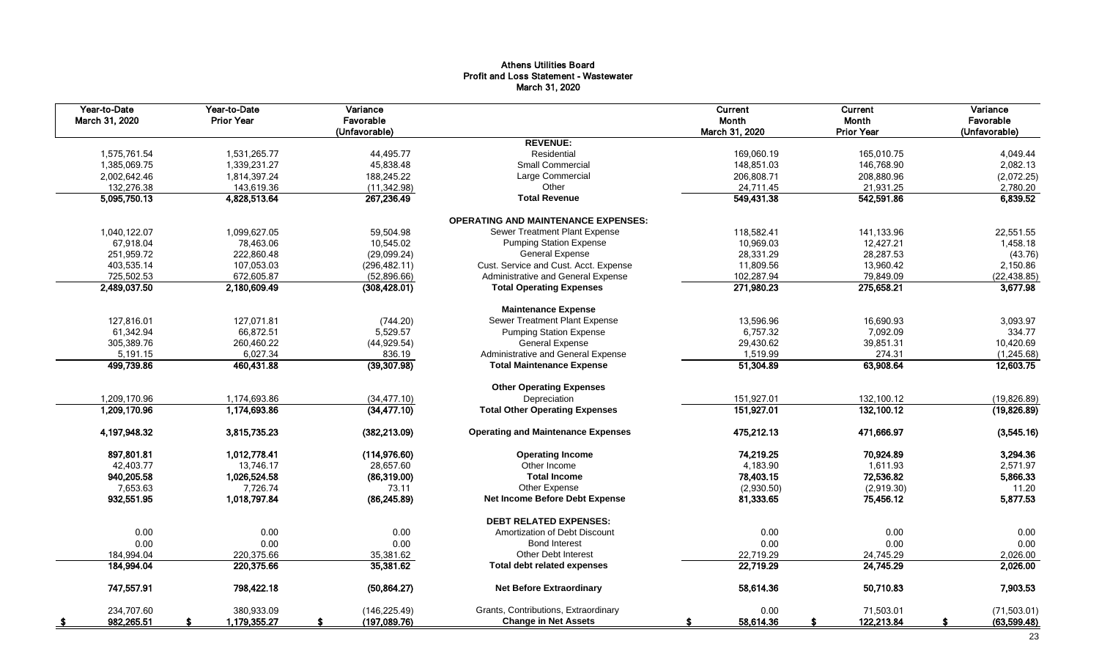#### Athens Utilities Board Profit and Loss Statement - Wastewater March 31, 2020

| Year-to-Date<br>March 31, 2020 | Year-to-Date<br><b>Prior Year</b> | Variance<br>Favorable<br>(Unfavorable) |                                            | Current<br>Month<br>March 31, 2020 | Current<br>Month<br><b>Prior Year</b> | Variance<br>Favorable<br>(Unfavorable) |
|--------------------------------|-----------------------------------|----------------------------------------|--------------------------------------------|------------------------------------|---------------------------------------|----------------------------------------|
|                                |                                   |                                        | <b>REVENUE:</b>                            |                                    |                                       |                                        |
| 1,575,761.54                   | 1,531,265.77                      | 44,495.77                              | Residential                                | 169,060.19                         | 165,010.75                            | 4,049.44                               |
| 1,385,069.75                   | 1,339,231.27                      | 45,838.48                              | <b>Small Commercial</b>                    | 148,851.03                         | 146,768.90                            | 2,082.13                               |
| 2,002,642.46                   | 1,814,397.24                      | 188,245.22                             | Large Commercial                           | 206,808.71                         | 208,880.96                            | (2,072.25)                             |
| 132,276.38                     | 143,619.36                        | (11, 342.98)                           | Other                                      | 24,711.45                          | 21,931.25                             | 2,780.20                               |
| 5,095,750.13                   | 4,828,513.64                      | 267,236.49                             | <b>Total Revenue</b>                       | 549,431.38                         | 542,591.86                            | 6,839.52                               |
|                                |                                   |                                        | <b>OPERATING AND MAINTENANCE EXPENSES:</b> |                                    |                                       |                                        |
| 1,040,122.07                   | 1,099,627.05                      | 59,504.98                              | Sewer Treatment Plant Expense              | 118,582.41                         | 141.133.96                            | 22,551.55                              |
| 67,918.04                      | 78,463.06                         | 10,545.02                              | <b>Pumping Station Expense</b>             | 10,969.03                          | 12,427.21                             | 1,458.18                               |
| 251.959.72                     | 222,860.48                        | (29,099.24)                            | <b>General Expense</b>                     | 28.331.29                          | 28.287.53                             | (43.76)                                |
| 403,535.14                     | 107.053.03                        | (296, 482.11)                          | Cust. Service and Cust. Acct. Expense      | 11,809.56                          | 13,960.42                             | 2,150.86                               |
| 725,502.53                     | 672,605.87                        | (52,896.66)                            | Administrative and General Expense         | 102,287.94                         | 79,849.09                             | (22, 438.85)                           |
| 2,489,037.50                   | 2,180,609.49                      | (308, 428.01)                          | <b>Total Operating Expenses</b>            | 271,980.23                         | 275,658.21                            | 3,677.98                               |
|                                |                                   |                                        | <b>Maintenance Expense</b>                 |                                    |                                       |                                        |
| 127,816.01                     | 127,071.81                        | (744.20)                               | Sewer Treatment Plant Expense              | 13,596.96                          | 16,690.93                             | 3,093.97                               |
| 61,342.94                      | 66,872.51                         | 5,529.57                               | <b>Pumping Station Expense</b>             | 6,757.32                           | 7,092.09                              | 334.77                                 |
| 305,389.76                     | 260,460.22                        | (44, 929.54)                           | <b>General Expense</b>                     | 29,430.62                          | 39,851.31                             | 10,420.69                              |
| 5,191.15                       | 6,027.34                          | 836.19                                 | Administrative and General Expense         | 1,519.99                           | 274.31                                | (1,245.68)                             |
| 499,739.86                     | 460,431.88                        | (39, 307.98)                           | <b>Total Maintenance Expense</b>           | 51,304.89                          | 63,908.64                             | 12,603.75                              |
|                                |                                   |                                        | <b>Other Operating Expenses</b>            |                                    |                                       |                                        |
| 1,209,170.96                   | 1,174,693.86                      | (34, 477.10)                           | Depreciation                               | 151,927.01                         | 132,100.12                            | (19, 826.89)                           |
| 1,209,170.96                   | 1,174,693.86                      | (34, 477.10)                           | <b>Total Other Operating Expenses</b>      | 151,927.01                         | 132,100.12                            | (19, 826.89)                           |
| 4,197,948.32                   | 3,815,735.23                      | (382, 213.09)                          | <b>Operating and Maintenance Expenses</b>  | 475,212.13                         | 471,666.97                            | (3,545.16)                             |
| 897,801.81                     | 1,012,778.41                      | (114, 976.60)                          | <b>Operating Income</b>                    | 74,219.25                          | 70,924.89                             | 3,294.36                               |
| 42,403.77                      | 13,746.17                         | 28,657.60                              | Other Income                               | 4,183.90                           | 1,611.93                              | 2,571.97                               |
| 940,205.58                     | 1,026,524.58                      | (86,319.00)                            | <b>Total Income</b>                        | 78,403.15                          | 72,536.82                             | 5,866.33                               |
| 7,653.63                       | 7,726.74                          | 73.11                                  | Other Expense                              | (2,930.50)                         | (2,919.30)                            | 11.20                                  |
| 932,551.95                     | 1,018,797.84                      | (86, 245.89)                           | Net Income Before Debt Expense             | 81,333.65                          | 75,456.12                             | 5,877.53                               |
|                                |                                   |                                        | <b>DEBT RELATED EXPENSES:</b>              |                                    |                                       |                                        |
| 0.00                           | 0.00                              | 0.00                                   | Amortization of Debt Discount              | 0.00                               | 0.00                                  | 0.00                                   |
| 0.00                           | 0.00                              | 0.00                                   | <b>Bond Interest</b>                       | 0.00                               | 0.00                                  | 0.00                                   |
| 184,994.04                     | 220,375.66                        | 35,381.62                              | <b>Other Debt Interest</b>                 | 22,719.29                          | 24,745.29                             | 2,026.00                               |
| 184,994.04                     | 220,375.66                        | 35,381.62                              | <b>Total debt related expenses</b>         | 22,719.29                          | 24,745.29                             | 2,026.00                               |
| 747,557.91                     | 798,422.18                        | (50, 864.27)                           | <b>Net Before Extraordinary</b>            | 58,614.36                          | 50,710.83                             | 7,903.53                               |
| 234,707.60                     | 380.933.09                        | (146, 225.49)                          | Grants, Contributions, Extraordinary       | 0.00                               | 71,503.01                             | (71,503.01)                            |
| 982,265.51                     | 1,179,355.27                      | (197,089.76)                           | <b>Change in Net Assets</b>                | 58,614.36                          | 122,213.84                            | (63, 599.48)                           |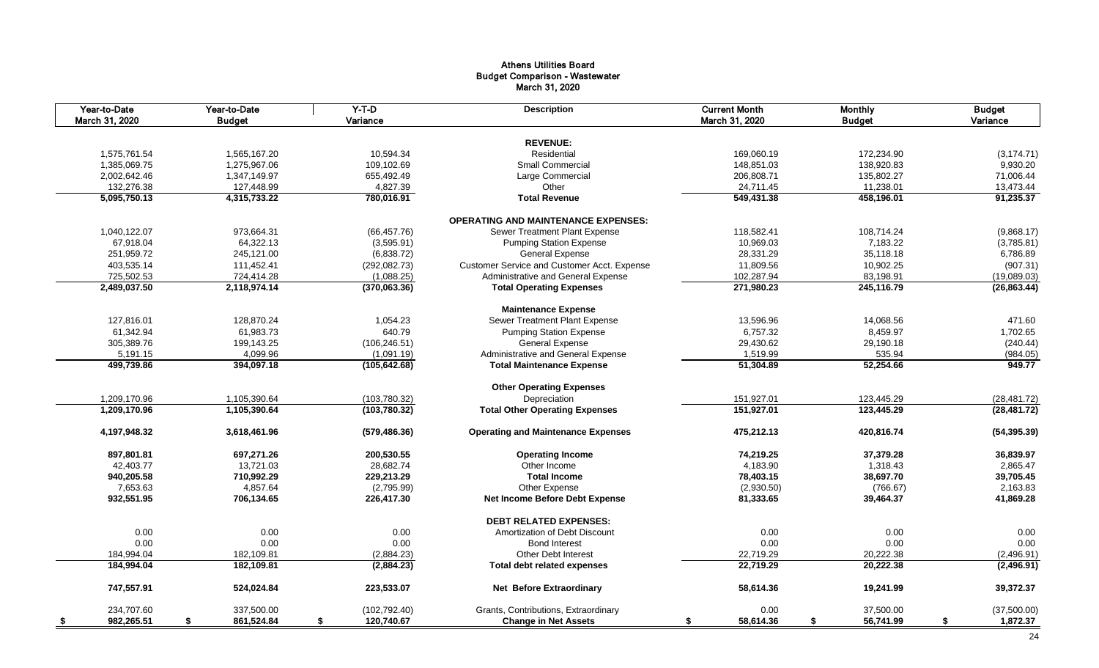#### Athens Utilities Board Budget Comparison - Wastewater March 31, 2020

| Year-to-Date<br>March 31, 2020 | Year-to-Date<br><b>Budget</b> | $Y-T-D$<br>Variance | <b>Description</b>                          | <b>Current Month</b><br>March 31, 2020 | <b>Monthly</b><br><b>Budget</b> | <b>Budget</b><br>Variance |
|--------------------------------|-------------------------------|---------------------|---------------------------------------------|----------------------------------------|---------------------------------|---------------------------|
|                                |                               |                     |                                             |                                        |                                 |                           |
|                                |                               |                     | <b>REVENUE:</b>                             |                                        |                                 |                           |
| 1,575,761.54                   | 1,565,167.20                  | 10,594.34           | Residential                                 | 169,060.19                             | 172,234.90                      | (3, 174.71)               |
| 1,385,069.75                   | 1,275,967.06                  | 109,102.69          | Small Commercial                            | 148,851.03                             | 138,920.83                      | 9,930.20                  |
| 2,002,642.46                   | 1,347,149.97                  | 655,492.49          | Large Commercial                            | 206,808.71                             | 135,802.27                      | 71,006.44                 |
| 132,276.38                     | 127,448.99                    | 4,827.39            | Other                                       | 24,711.45                              | 11,238.01                       | 13,473.44                 |
| 5,095,750.13                   | 4,315,733.22                  | 780,016.91          | <b>Total Revenue</b>                        | 549,431.38                             | 458,196.01                      | 91,235.37                 |
|                                |                               |                     | <b>OPERATING AND MAINTENANCE EXPENSES:</b>  |                                        |                                 |                           |
| 1,040,122.07                   | 973,664.31                    | (66, 457.76)        | Sewer Treatment Plant Expense               | 118,582.41                             | 108,714.24                      | (9,868.17)                |
| 67,918.04                      | 64,322.13                     | (3,595.91)          | <b>Pumping Station Expense</b>              | 10,969.03                              | 7,183.22                        | (3,785.81)                |
| 251,959.72                     | 245,121.00                    | (6,838.72)          | <b>General Expense</b>                      | 28,331.29                              | 35,118.18                       | 6,786.89                  |
| 403,535.14                     | 111,452.41                    | (292, 082.73)       | Customer Service and Customer Acct. Expense | 11,809.56                              | 10,902.25                       | (907.31)                  |
| 725,502.53                     | 724,414.28                    | (1,088.25)          | Administrative and General Expense          | 102,287.94                             | 83,198.91                       | (19,089.03)               |
| 2,489,037.50                   | 2,118,974.14                  | (370,063.36)        | <b>Total Operating Expenses</b>             | 271,980.23                             | 245,116.79                      | (26, 863.44)              |
|                                |                               |                     | <b>Maintenance Expense</b>                  |                                        |                                 |                           |
| 127.816.01                     | 128,870.24                    | 1.054.23            | Sewer Treatment Plant Expense               | 13,596.96                              | 14,068.56                       | 471.60                    |
| 61,342.94                      | 61,983.73                     | 640.79              | <b>Pumping Station Expense</b>              | 6,757.32                               | 8,459.97                        | 1,702.65                  |
| 305,389.76                     | 199,143.25                    | (106, 246.51)       | <b>General Expense</b>                      | 29,430.62                              | 29,190.18                       | (240.44)                  |
| 5,191.15                       | 4,099.96                      | (1,091.19)          | Administrative and General Expense          | 1,519.99                               | 535.94                          | (984.05)                  |
| 499,739.86                     | 394,097.18                    | (105, 642.68)       | <b>Total Maintenance Expense</b>            | 51,304.89                              | 52,254.66                       | 949.77                    |
|                                |                               |                     | <b>Other Operating Expenses</b>             |                                        |                                 |                           |
|                                |                               |                     |                                             |                                        |                                 |                           |
| 1,209,170.96                   | 1,105,390.64                  | (103,780.32)        | Depreciation                                | 151,927.01                             | 123,445.29                      | (28, 481.72)              |
| 1,209,170.96                   | 1,105,390.64                  | (103,780.32)        | <b>Total Other Operating Expenses</b>       | 151,927.01                             | 123,445.29                      | (28, 481.72)              |
| 4,197,948.32                   | 3,618,461.96                  | (579, 486.36)       | <b>Operating and Maintenance Expenses</b>   | 475,212.13                             | 420,816.74                      | (54, 395.39)              |
| 897,801.81                     | 697,271.26                    | 200,530.55          | <b>Operating Income</b>                     | 74,219.25                              | 37,379.28                       | 36,839.97                 |
| 42,403.77                      | 13,721.03                     | 28,682.74           | Other Income                                | 4,183.90                               | 1,318.43                        | 2,865.47                  |
| 940,205.58                     | 710,992.29                    | 229,213.29          | <b>Total Income</b>                         | 78,403.15                              | 38,697.70                       | 39,705.45                 |
| 7,653.63                       | 4,857.64                      | (2,795.99)          | Other Expense                               | (2,930.50)                             | (766.67)                        | 2,163.83                  |
| 932,551.95                     | 706,134.65                    | 226,417.30          | Net Income Before Debt Expense              | 81,333.65                              | 39,464.37                       | 41,869.28                 |
|                                |                               |                     | <b>DEBT RELATED EXPENSES:</b>               |                                        |                                 |                           |
| 0.00                           | 0.00                          | 0.00                | Amortization of Debt Discount               | 0.00                                   | 0.00                            | 0.00                      |
| 0.00                           | 0.00                          | 0.00                | <b>Bond Interest</b>                        | 0.00                                   | 0.00                            | 0.00                      |
| 184,994.04                     | 182,109.81                    | (2,884.23)          | <b>Other Debt Interest</b>                  | 22,719.29                              | 20,222.38                       | (2,496.91)                |
| 184,994.04                     | 182,109.81                    | (2,884.23)          | <b>Total debt related expenses</b>          | 22,719.29                              | 20,222.38                       | (2,496.91)                |
| 747,557.91                     | 524,024.84                    | 223,533.07          | <b>Net Before Extraordinary</b>             | 58,614.36                              | 19,241.99                       | 39,372.37                 |
| 234,707.60                     | 337,500.00                    | (102, 792.40)       | Grants, Contributions, Extraordinary        | 0.00                                   | 37,500.00                       | (37,500.00)               |
| 982,265.51<br>- \$             | 861,524.84<br>\$              | 120,740.67<br>\$    | <b>Change in Net Assets</b>                 | 58,614.36<br>S.                        | \$<br>56,741.99                 | 1,872.37<br>\$            |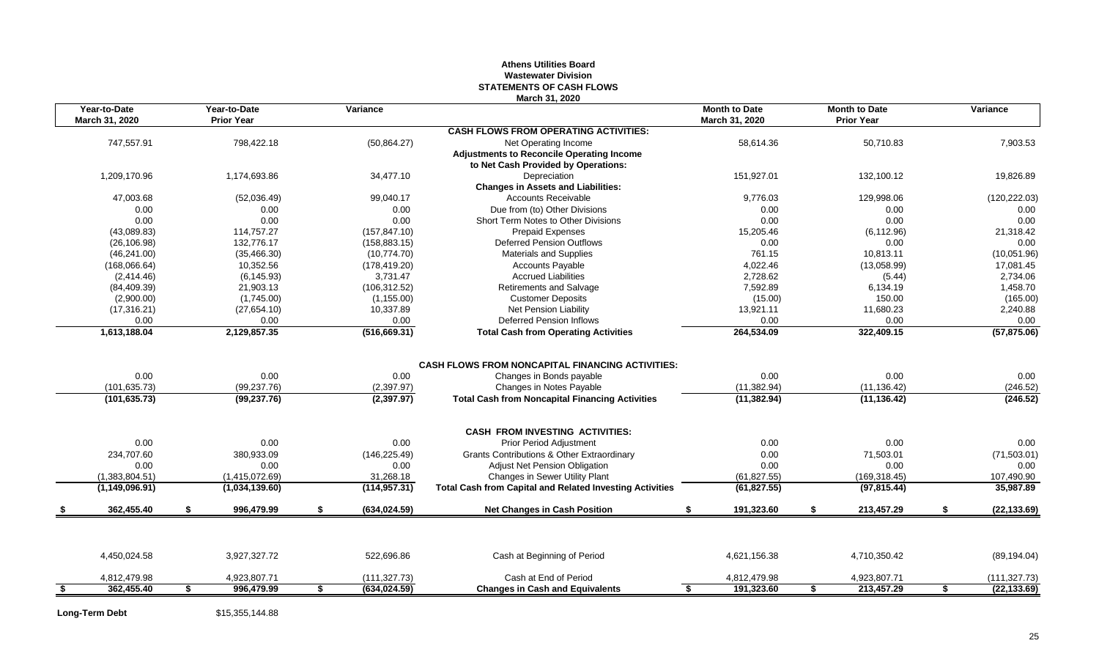#### **Athens Utilities Board Wastewater Division STATEMENTS OF CASH FLOWS March 31, 2020**

| Year-to-Date<br>March 31, 2020 |    | Year-to-Date<br><b>Prior Year</b> |    | Variance      |                                                                 | <b>Month to Date</b><br>March 31, 2020 |     | <b>Month to Date</b><br><b>Prior Year</b> |    | Variance      |
|--------------------------------|----|-----------------------------------|----|---------------|-----------------------------------------------------------------|----------------------------------------|-----|-------------------------------------------|----|---------------|
|                                |    |                                   |    |               | <b>CASH FLOWS FROM OPERATING ACTIVITIES:</b>                    |                                        |     |                                           |    |               |
| 747,557.91                     |    | 798,422.18                        |    | (50, 864.27)  | Net Operating Income                                            | 58,614.36                              |     | 50,710.83                                 |    | 7,903.53      |
|                                |    |                                   |    |               | <b>Adjustments to Reconcile Operating Income</b>                |                                        |     |                                           |    |               |
|                                |    |                                   |    |               | to Net Cash Provided by Operations:                             |                                        |     |                                           |    |               |
| 1.209.170.96                   |    | 1.174.693.86                      |    | 34,477.10     | Depreciation                                                    | 151.927.01                             |     | 132.100.12                                |    | 19.826.89     |
|                                |    |                                   |    |               | <b>Changes in Assets and Liabilities:</b>                       |                                        |     |                                           |    |               |
| 47,003.68                      |    | (52,036.49)                       |    | 99,040.17     | <b>Accounts Receivable</b>                                      | 9,776.03                               |     | 129,998.06                                |    | (120, 222.03) |
| 0.00                           |    | 0.00                              |    | 0.00          | Due from (to) Other Divisions                                   | 0.00                                   |     | 0.00                                      |    | 0.00          |
| 0.00                           |    | 0.00                              |    | 0.00          | Short Term Notes to Other Divisions                             | 0.00                                   |     | 0.00                                      |    | 0.00          |
| (43,089.83)                    |    | 114,757.27                        |    | (157, 847.10) | <b>Prepaid Expenses</b>                                         | 15,205.46                              |     | (6, 112.96)                               |    | 21,318.42     |
| (26, 106.98)                   |    | 132.776.17                        |    | (158, 883.15) | <b>Deferred Pension Outflows</b>                                | 0.00                                   |     | 0.00                                      |    | 0.00          |
| (46, 241.00)                   |    | (35, 466.30)                      |    | (10,774.70)   | <b>Materials and Supplies</b>                                   | 761.15                                 |     | 10,813.11                                 |    | (10,051.96)   |
| (168,066.64)                   |    | 10,352.56                         |    | (178, 419.20) | <b>Accounts Payable</b>                                         | 4,022.46                               |     | (13,058.99)                               |    | 17,081.45     |
| (2,414.46)                     |    | (6, 145.93)                       |    | 3,731.47      | <b>Accrued Liabilities</b>                                      | 2,728.62                               |     | (5.44)                                    |    | 2,734.06      |
| (84, 409.39)                   |    | 21,903.13                         |    | (106, 312.52) | Retirements and Salvage                                         | 7,592.89                               |     | 6,134.19                                  |    | 1,458.70      |
| (2,900.00)                     |    | (1,745.00)                        |    | (1, 155.00)   | <b>Customer Deposits</b>                                        | (15.00)                                |     | 150.00                                    |    | (165.00)      |
| (17, 316.21)                   |    | (27, 654.10)                      |    | 10,337.89     | <b>Net Pension Liability</b>                                    | 13,921.11                              |     | 11,680.23                                 |    | 2,240.88      |
| 0.00                           |    | 0.00                              |    | 0.00          | Deferred Pension Inflows                                        | 0.00                                   |     | 0.00                                      |    | 0.00          |
| 1,613,188.04                   |    | 2,129,857.35                      |    | (516, 669.31) | <b>Total Cash from Operating Activities</b>                     | 264,534.09                             |     | 322,409.15                                |    | (57, 875.06)  |
|                                |    |                                   |    |               |                                                                 |                                        |     |                                           |    |               |
|                                |    |                                   |    |               | <b>CASH FLOWS FROM NONCAPITAL FINANCING ACTIVITIES:</b>         |                                        |     |                                           |    |               |
| 0.00                           |    | 0.00                              |    | 0.00          | Changes in Bonds payable                                        | 0.00                                   |     | 0.00                                      |    | 0.00          |
| (101, 635.73)                  |    | (99, 237.76)                      |    | (2,397.97)    | Changes in Notes Payable                                        | (11, 382.94)                           |     | (11, 136.42)                              |    | (246.52)      |
| (101, 635.73)                  |    | (99, 237.76)                      |    | (2,397.97)    | <b>Total Cash from Noncapital Financing Activities</b>          | (11, 382.94)                           |     | (11, 136.42)                              |    | (246.52)      |
|                                |    |                                   |    |               | <b>CASH FROM INVESTING ACTIVITIES:</b>                          |                                        |     |                                           |    |               |
| 0.00                           |    | 0.00                              |    | 0.00          | <b>Prior Period Adjustment</b>                                  | 0.00                                   |     | 0.00                                      |    | 0.00          |
| 234.707.60                     |    | 380.933.09                        |    | (146, 225.49) | <b>Grants Contributions &amp; Other Extraordinary</b>           | 0.00                                   |     | 71,503.01                                 |    | (71, 503.01)  |
| 0.00                           |    | 0.00                              |    | 0.00          | <b>Adjust Net Pension Obligation</b>                            | 0.00                                   |     | 0.00                                      |    | 0.00          |
| (1,383,804.51)                 |    | (1,415,072.69)                    |    | 31,268.18     | Changes in Sewer Utility Plant                                  | (61, 827.55)                           |     | (169, 318.45)                             |    | 107,490.90    |
| (1, 149, 096.91)               |    | (1,034,139.60)                    |    | (114, 957.31) | <b>Total Cash from Capital and Related Investing Activities</b> | (61, 827.55)                           |     | (97, 815.44)                              |    | 35,987.89     |
| 362.455.40                     |    | 996,479.99                        | \$ | (634, 024.59) | <b>Net Changes in Cash Position</b>                             | 191,323.60                             | - 1 | 213,457.29                                | \$ | (22, 133.69)  |
|                                |    |                                   |    |               |                                                                 |                                        |     |                                           |    |               |
| 4,450,024.58                   |    | 3,927,327.72                      |    | 522,696.86    | Cash at Beginning of Period                                     | 4,621,156.38                           |     | 4,710,350.42                              |    | (89, 194.04)  |
| 4,812,479.98                   |    | 4,923,807.71                      |    | (111, 327.73) | Cash at End of Period                                           | 4,812,479.98                           |     | 4,923,807.71                              |    | (111, 327.73) |
| 362,455.40                     | S. | 996,479.99                        | S. | (634, 024.59) | <b>Changes in Cash and Equivalents</b>                          | \$<br>191,323.60                       | S.  | 213,457.29                                | S. | (22, 133.69)  |
|                                |    |                                   |    |               |                                                                 |                                        |     |                                           |    |               |

**Long-Term Debt** \$15,355,144.88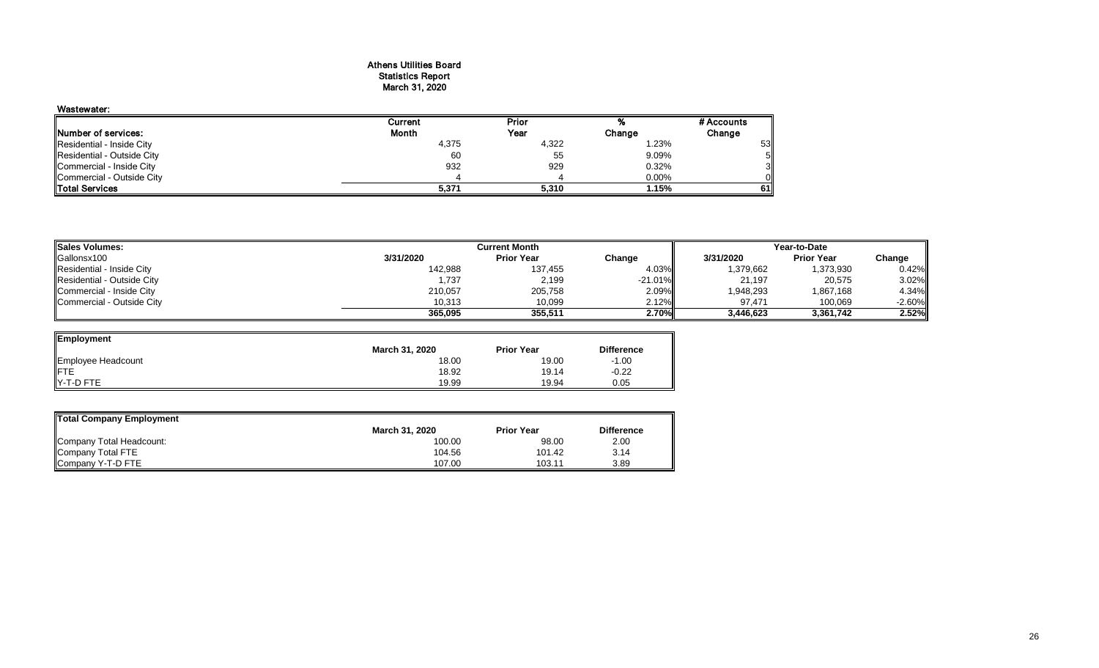#### Athens Utilities Board Statistics Report March 31, 2020

| Wastewater:                |         |       |          |            |
|----------------------------|---------|-------|----------|------------|
|                            | Current | Prior |          | # Accounts |
| Number of services:        | Month   | Year  | Change   | Change     |
| Residential - Inside City  | 4,375   | 4,322 | 1.23%    | 53         |
| Residential - Outside City | 60      | 55    | 9.09%    | 51         |
| Commercial - Inside City   | 932     | 929   | 0.32%    | 3          |
| Commercial - Outside City  |         |       | $0.00\%$ |            |
| <b>Total Services</b>      | 5,371   | 5,310 | 1.15%    | 61I        |

| <b>Sales Volumes:</b>      |           | Current Month     | Year-to-Date |           |                   |           |
|----------------------------|-----------|-------------------|--------------|-----------|-------------------|-----------|
| Gallonsx100                | 3/31/2020 | <b>Prior Year</b> | Change       | 3/31/2020 | <b>Prior Year</b> | Change    |
| Residential - Inside City  | 142,988   | 137,455           | 4.03%        | 1,379,662 | 1,373,930         | 0.42%     |
| Residential - Outside City | 1,737     | 2,199             | -21.01%I     | 21,197    | 20,575            | 3.02%     |
| Commercial - Inside City   | 210,057   | 205,758           | 2.09%        | 1,948,293 | 1,867,168         | 4.34%     |
| Commercial - Outside City  | 10.313    | 10,099            | 2.12%        | 97.471    | 100,069           | $-2.60\%$ |
|                            | 365,095   | 355.511           | 2.70%        | 3.446.623 | 3,361,742         | 2.52%     |

 $\overline{\phantom{0}}$ 

| Employment         |                |                   |                   |
|--------------------|----------------|-------------------|-------------------|
|                    | March 31, 2020 | <b>Prior Year</b> | <b>Difference</b> |
| Employee Headcount | 18.00          | 19.00             | $-1.00$           |
|                    | 18.92          | 19.14             | $-0.22$           |
| IY-T-D FTE         | 19.99          | 19.94             | 0.05              |

| Total Company Employment |                |                   |                   |
|--------------------------|----------------|-------------------|-------------------|
|                          | March 31, 2020 | <b>Prior Year</b> | <b>Difference</b> |
| Company Total Headcount: | 100.00         | 98.00             | 2.00              |
| Company Total FTE        | 104.56         | 101.42            | 3.14              |
| Company Y-T-D FTE        | 107.00         | 103.11            | 3.89              |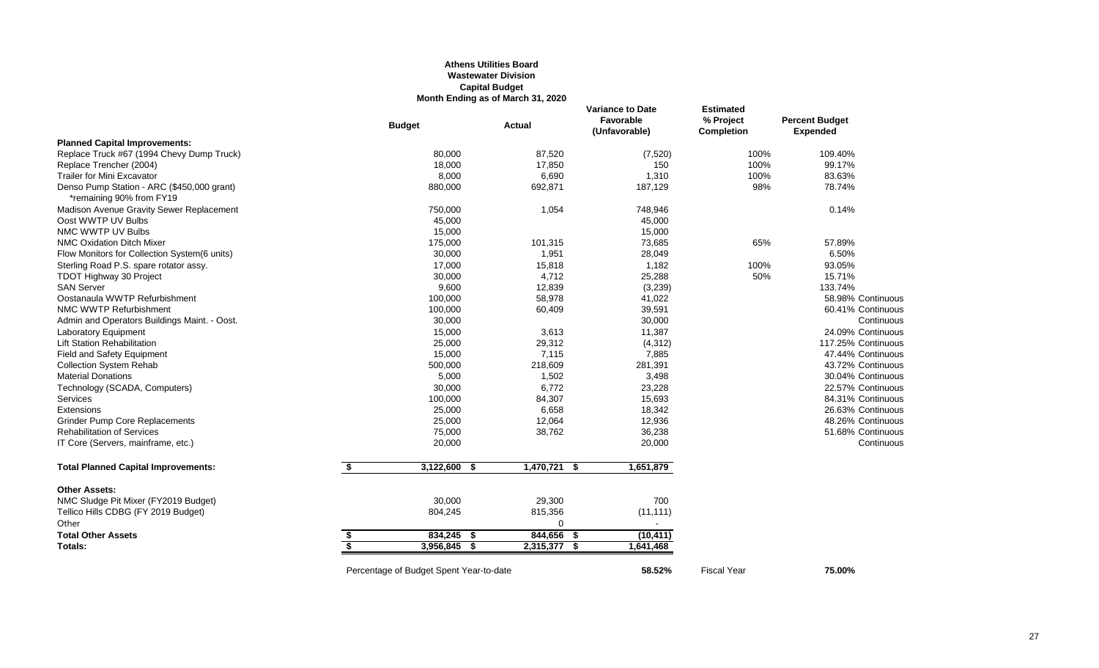#### **Athens Utilities Board Wastewater Division Capital Budget Month Ending as of March 31, 2020**

|                                                                        |                                         | MONTH ENGING AS OF MATCH 31, 2020 |                                                       |                                             |                                          |
|------------------------------------------------------------------------|-----------------------------------------|-----------------------------------|-------------------------------------------------------|---------------------------------------------|------------------------------------------|
|                                                                        | <b>Budget</b>                           | <b>Actual</b>                     | <b>Variance to Date</b><br>Favorable<br>(Unfavorable) | <b>Estimated</b><br>% Project<br>Completion | <b>Percent Budget</b><br><b>Expended</b> |
| <b>Planned Capital Improvements:</b>                                   |                                         |                                   |                                                       |                                             |                                          |
| Replace Truck #67 (1994 Chevy Dump Truck)                              | 80,000                                  | 87,520                            | (7, 520)                                              | 100%                                        | 109.40%                                  |
| Replace Trencher (2004)                                                | 18,000                                  | 17,850                            | 150                                                   | 100%                                        | 99.17%                                   |
| <b>Trailer for Mini Excavator</b>                                      | 8,000                                   | 6,690                             | 1,310                                                 | 100%                                        | 83.63%                                   |
| Denso Pump Station - ARC (\$450,000 grant)<br>*remaining 90% from FY19 | 880,000                                 | 692,871                           | 187,129                                               | 98%                                         | 78.74%                                   |
| Madison Avenue Gravity Sewer Replacement                               | 750,000                                 | 1,054                             | 748,946                                               |                                             | 0.14%                                    |
| Oost WWTP UV Bulbs                                                     | 45,000                                  |                                   | 45,000                                                |                                             |                                          |
| NMC WWTP UV Bulbs                                                      | 15,000                                  |                                   | 15,000                                                |                                             |                                          |
| <b>NMC Oxidation Ditch Mixer</b>                                       | 175,000                                 | 101,315                           | 73,685                                                | 65%                                         | 57.89%                                   |
| Flow Monitors for Collection System(6 units)                           | 30,000                                  | 1,951                             | 28,049                                                |                                             | 6.50%                                    |
| Sterling Road P.S. spare rotator assy.                                 | 17,000                                  | 15,818                            | 1,182                                                 | 100%                                        | 93.05%                                   |
| TDOT Highway 30 Project                                                | 30,000                                  | 4,712                             | 25,288                                                | 50%                                         | 15.71%                                   |
| <b>SAN Server</b>                                                      | 9,600                                   | 12,839                            | (3,239)                                               |                                             | 133.74%                                  |
| Oostanaula WWTP Refurbishment                                          | 100,000                                 | 58,978                            | 41,022                                                |                                             | 58.98% Continuous                        |
| NMC WWTP Refurbishment                                                 | 100,000                                 | 60,409                            | 39,591                                                |                                             | 60.41% Continuous                        |
| Admin and Operators Buildings Maint. - Oost.                           | 30,000                                  |                                   | 30,000                                                |                                             | Continuous                               |
| Laboratory Equipment                                                   | 15,000                                  | 3,613                             | 11,387                                                |                                             | 24.09% Continuous                        |
| <b>Lift Station Rehabilitation</b>                                     | 25,000                                  | 29,312                            | (4, 312)                                              |                                             | 117.25% Continuous                       |
| <b>Field and Safety Equipment</b>                                      | 15,000                                  | 7,115                             | 7,885                                                 |                                             | 47.44% Continuous                        |
| <b>Collection System Rehab</b>                                         | 500,000                                 | 218,609                           | 281,391                                               |                                             | 43.72% Continuous                        |
| <b>Material Donations</b>                                              | 5,000                                   | 1,502                             | 3,498                                                 |                                             | 30.04% Continuous                        |
| Technology (SCADA, Computers)                                          | 30,000                                  | 6,772                             | 23,228                                                |                                             | 22.57% Continuous                        |
| Services                                                               | 100,000                                 | 84,307                            | 15,693                                                |                                             | 84.31% Continuous                        |
| Extensions                                                             | 25,000                                  | 6,658                             | 18,342                                                |                                             | 26.63% Continuous                        |
| <b>Grinder Pump Core Replacements</b>                                  | 25,000                                  | 12.064                            | 12,936                                                |                                             | 48.26% Continuous                        |
| <b>Rehabilitation of Services</b>                                      | 75,000                                  | 38,762                            | 36,238                                                |                                             | 51.68% Continuous                        |
| IT Core (Servers, mainframe, etc.)                                     | 20,000                                  |                                   | 20,000                                                |                                             | Continuous                               |
| <b>Total Planned Capital Improvements:</b>                             | \$<br>3,122,600<br>-\$                  | $1,470,721$ \$                    | 1,651,879                                             |                                             |                                          |
| <b>Other Assets:</b>                                                   |                                         |                                   |                                                       |                                             |                                          |
| NMC Sludge Pit Mixer (FY2019 Budget)                                   | 30,000                                  | 29,300                            | 700                                                   |                                             |                                          |
| Tellico Hills CDBG (FY 2019 Budget)                                    | 804,245                                 | 815,356                           | (11, 111)                                             |                                             |                                          |
| Other                                                                  |                                         | $\Omega$                          | $\sim$                                                |                                             |                                          |
| <b>Total Other Assets</b>                                              | \$<br>834,245 \$                        | 844,656<br>-5                     | (10, 411)                                             |                                             |                                          |
| Totals:                                                                | \$<br>3,956,845 \$                      | 2,315,377 \$                      | 1,641,468                                             |                                             |                                          |
|                                                                        | Percentage of Budget Spent Year-to-date |                                   | 58.52%                                                | <b>Fiscal Year</b>                          | 75.00%                                   |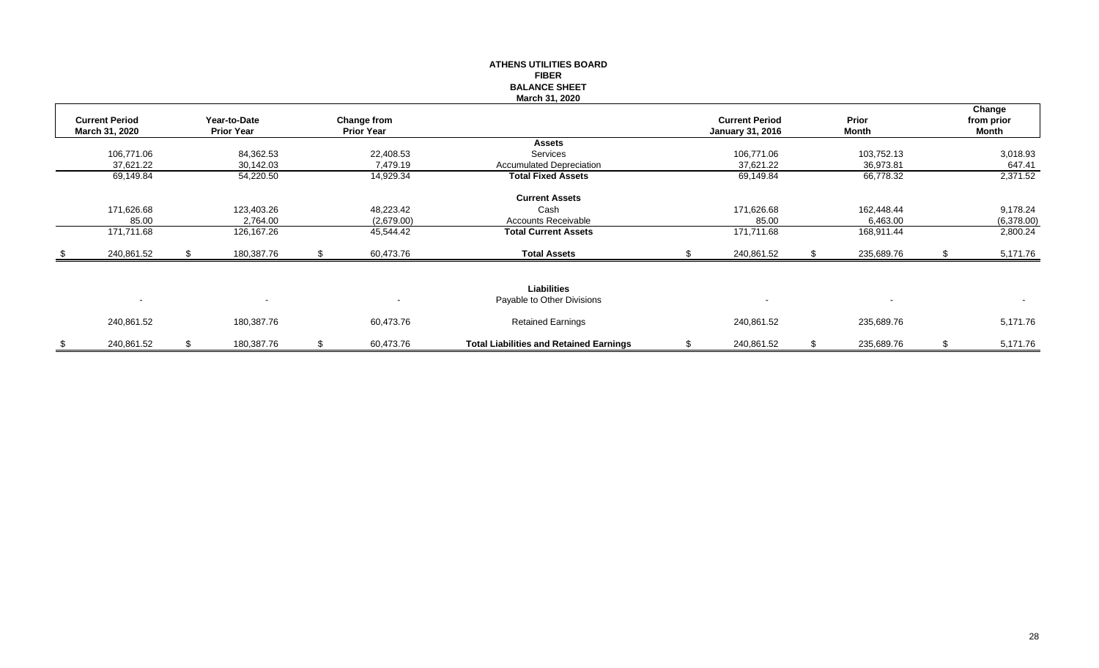|                                         |      |                                   |    |                                         | <b>FIBER</b><br><b>BALANCE SHEET</b><br>March 31, 2020 |                                                  |    |                |                               |
|-----------------------------------------|------|-----------------------------------|----|-----------------------------------------|--------------------------------------------------------|--------------------------------------------------|----|----------------|-------------------------------|
| <b>Current Period</b><br>March 31, 2020 |      | Year-to-Date<br><b>Prior Year</b> |    | <b>Change from</b><br><b>Prior Year</b> |                                                        | <b>Current Period</b><br><b>January 31, 2016</b> |    | Prior<br>Month | Change<br>from prior<br>Month |
|                                         |      |                                   |    |                                         | <b>Assets</b>                                          |                                                  |    |                |                               |
| 106,771.06                              |      | 84,362.53                         |    | 22,408.53                               | Services                                               | 106,771.06                                       |    | 103,752.13     | 3,018.93                      |
| 37,621.22                               |      | 30,142.03                         |    | 7,479.19                                | <b>Accumulated Depreciation</b>                        | 37,621.22                                        |    | 36,973.81      | 647.41                        |
| 69,149.84                               |      | 54,220.50                         |    | 14,929.34                               | <b>Total Fixed Assets</b>                              | 69,149.84                                        |    | 66,778.32      | 2,371.52                      |
|                                         |      |                                   |    |                                         | <b>Current Assets</b>                                  |                                                  |    |                |                               |
| 171,626.68                              |      | 123,403.26                        |    | 48,223.42                               | Cash                                                   | 171,626.68                                       |    | 162,448.44     | 9,178.24                      |
| 85.00                                   |      | 2,764.00                          |    | (2,679.00)                              | <b>Accounts Receivable</b>                             | 85.00                                            |    | 6,463.00       | (6,378.00)                    |
| 171,711.68                              |      | 126, 167. 26                      |    | 45,544.42                               | <b>Total Current Assets</b>                            | 171,711.68                                       |    | 168,911.44     | 2,800.24                      |
| 240,861.52                              | - \$ | 180,387.76                        | S  | 60,473.76                               | <b>Total Assets</b>                                    | 240,861.52                                       |    | 235,689.76     | 5,171.76                      |
| $\sim$                                  |      | $\blacksquare$                    |    | $\blacksquare$                          | <b>Liabilities</b><br>Payable to Other Divisions       |                                                  |    |                |                               |
|                                         |      |                                   |    |                                         |                                                        |                                                  |    |                |                               |
| 240,861.52                              |      | 180,387.76                        |    | 60,473.76                               | <b>Retained Earnings</b>                               | 240,861.52                                       |    | 235,689.76     | 5,171.76                      |
| \$<br>240,861.52                        | S.   | 180,387.76                        | \$ | 60,473.76                               | <b>Total Liabilities and Retained Earnings</b>         | \$<br>240,861.52                                 | -S | 235,689.76     | \$<br>5,171.76                |

# **ATHENS UTILITIES BOARD**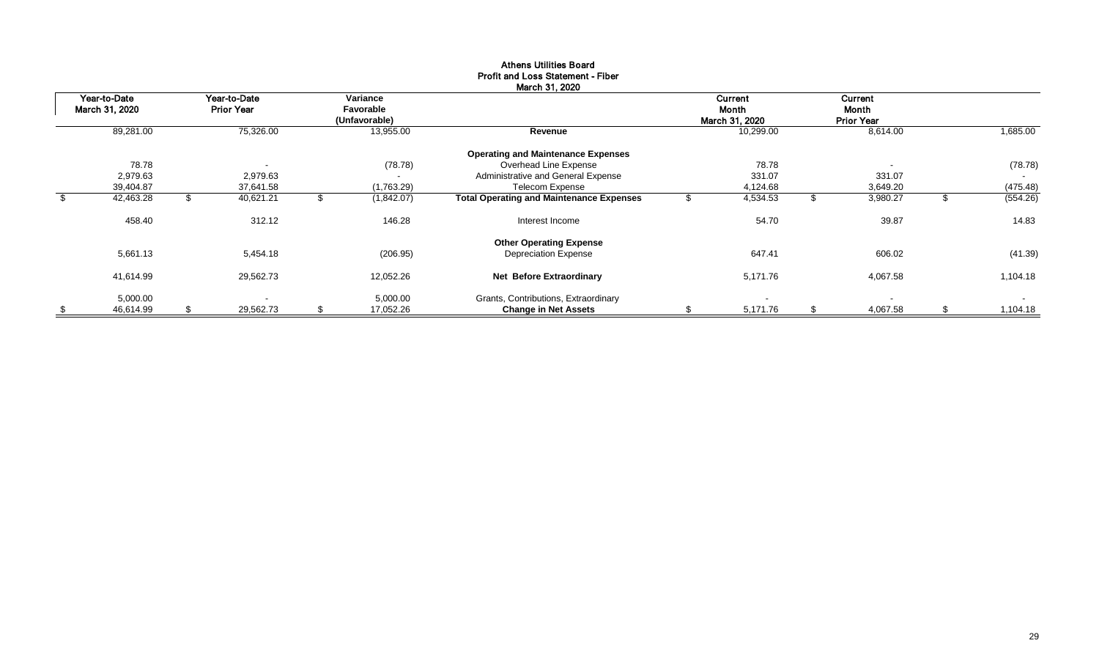|     | Year-to-Date   |    | Year-to-Date             | Variance        |                                                 | Current        |      | <b>Current</b>           |                |
|-----|----------------|----|--------------------------|-----------------|-------------------------------------------------|----------------|------|--------------------------|----------------|
|     | March 31, 2020 |    | <b>Prior Year</b>        | Favorable       |                                                 | Month          |      | Month                    |                |
|     |                |    |                          | (Unfavorable)   |                                                 | March 31, 2020 |      | <b>Prior Year</b>        |                |
|     | 89,281.00      |    | 75,326.00                | 13,955.00       | Revenue                                         | 10,299.00      |      | 8,614.00                 | 1,685.00       |
|     |                |    |                          |                 | <b>Operating and Maintenance Expenses</b>       |                |      |                          |                |
|     | 78.78          |    | $\overline{\phantom{a}}$ | (78.78)         | Overhead Line Expense                           | 78.78          |      | $\overline{\phantom{a}}$ | (78.78)        |
|     | 2,979.63       |    | 2,979.63                 | $\blacksquare$  | Administrative and General Expense              | 331.07         |      | 331.07                   |                |
|     | 39,404.87      |    | 37,641.58                | (1,763.29)      | <b>Telecom Expense</b>                          | 4,124.68       |      | 3,649.20                 | (475.48)       |
| \$. | 42,463.28      | Æ. | 40,621.21                | (1,842.07)      | <b>Total Operating and Maintenance Expenses</b> | 4,534.53       | - 35 | 3,980.27                 | (554.26)       |
|     | 458.40         |    | 312.12                   | 146.28          | Interest Income                                 | 54.70          |      | 39.87                    | 14.83          |
|     |                |    |                          |                 | <b>Other Operating Expense</b>                  |                |      |                          |                |
|     | 5,661.13       |    | 5,454.18                 | (206.95)        | <b>Depreciation Expense</b>                     | 647.41         |      | 606.02                   | (41.39)        |
|     | 41,614.99      |    | 29,562.73                | 12,052.26       | <b>Net Before Extraordinary</b>                 | 5,171.76       |      | 4,067.58                 | 1,104.18       |
|     | 5,000.00       |    |                          | 5,000.00        | Grants, Contributions, Extraordinary            |                |      | $\sim$                   | $\sim$         |
| \$  | 46,614.99      | \$ | 29,562.73                | \$<br>17,052.26 | <b>Change in Net Assets</b>                     | 5,171.76       | \$   | 4,067.58                 | \$<br>1,104.18 |

#### Athens Utilities Board Profit and Loss Statement - Fiber